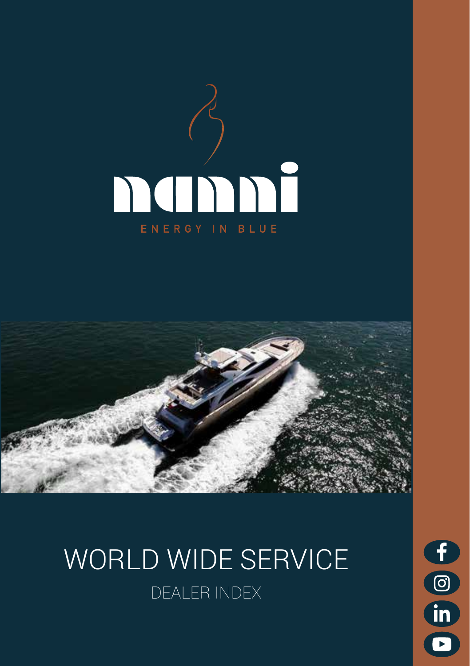



# WORLD WIDE SERVICE DEALER INDEX

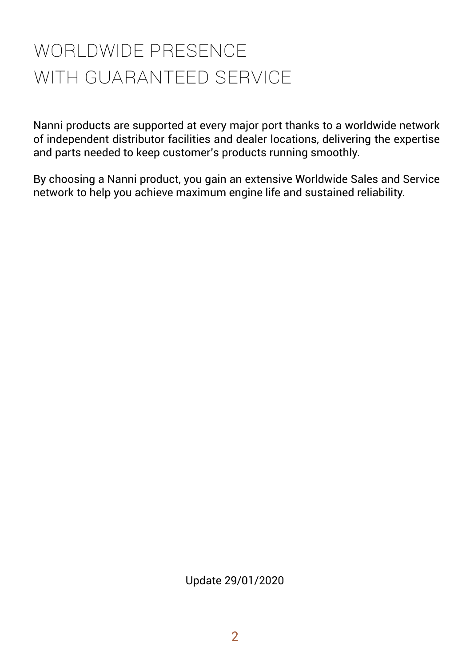# WORLDWIDE PRESENCE WITH GUARANTEED SERVICE

Nanni products are supported at every major port thanks to a worldwide network of independent distributor facilities and dealer locations, delivering the expertise and parts needed to keep customer's products running smoothly.

By choosing a Nanni product, you gain an extensive Worldwide Sales and Service network to help you achieve maximum engine life and sustained reliability.

Update 29/01/2020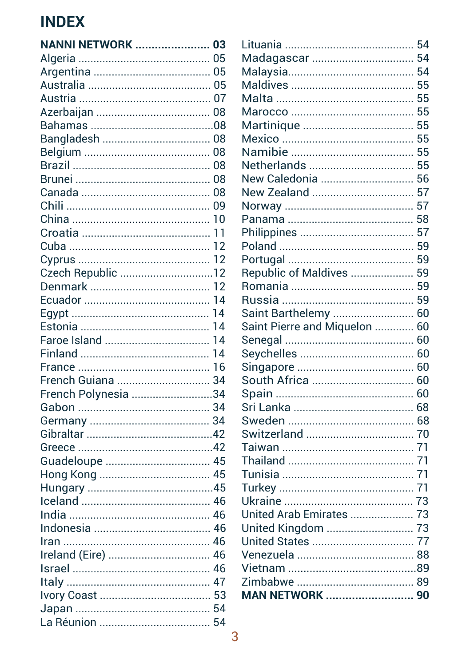# **INDEX**

| <b>NANNI NETWORK  03</b> |  |
|--------------------------|--|
|                          |  |
|                          |  |
|                          |  |
|                          |  |
|                          |  |
|                          |  |
|                          |  |
|                          |  |
|                          |  |
|                          |  |
|                          |  |
|                          |  |
|                          |  |
|                          |  |
|                          |  |
|                          |  |
| Czech Republic 12        |  |
|                          |  |
|                          |  |
|                          |  |
|                          |  |
| Faroe Island  14         |  |
|                          |  |
|                          |  |
| French Guiana  34        |  |
| French Polynesia 34      |  |
|                          |  |
|                          |  |
|                          |  |
|                          |  |
|                          |  |
|                          |  |
|                          |  |
|                          |  |
|                          |  |
|                          |  |
|                          |  |
| Ireland (Eire)  46       |  |
|                          |  |
|                          |  |
|                          |  |
|                          |  |
|                          |  |
|                          |  |

| Madagascar  54                |  |
|-------------------------------|--|
|                               |  |
|                               |  |
|                               |  |
|                               |  |
|                               |  |
|                               |  |
|                               |  |
|                               |  |
| New Caledonia  56             |  |
| New Zealand  57               |  |
|                               |  |
|                               |  |
|                               |  |
|                               |  |
|                               |  |
| Republic of Maldives  59      |  |
|                               |  |
|                               |  |
| Saint Barthelemy  60          |  |
| Saint Pierre and Miquelon  60 |  |
|                               |  |
|                               |  |
|                               |  |
|                               |  |
|                               |  |
|                               |  |
|                               |  |
|                               |  |
|                               |  |
|                               |  |
|                               |  |
|                               |  |
|                               |  |
| United Arab Emirates  73      |  |
| United Kingdom  73            |  |
|                               |  |
|                               |  |
|                               |  |
|                               |  |
| <b>MAN NETWORK</b> 90         |  |
|                               |  |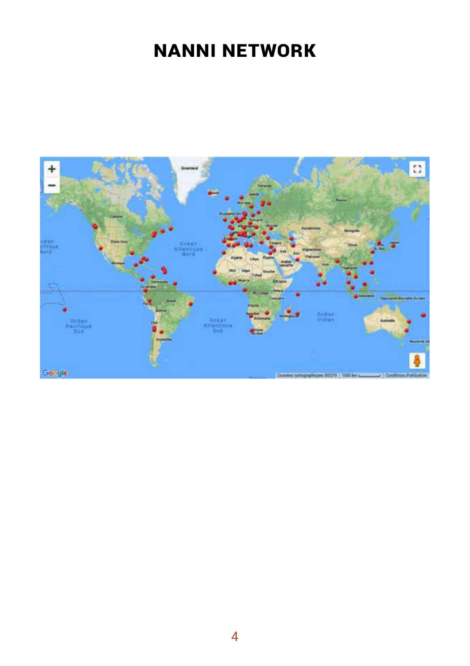# **NANNI NETWORK**

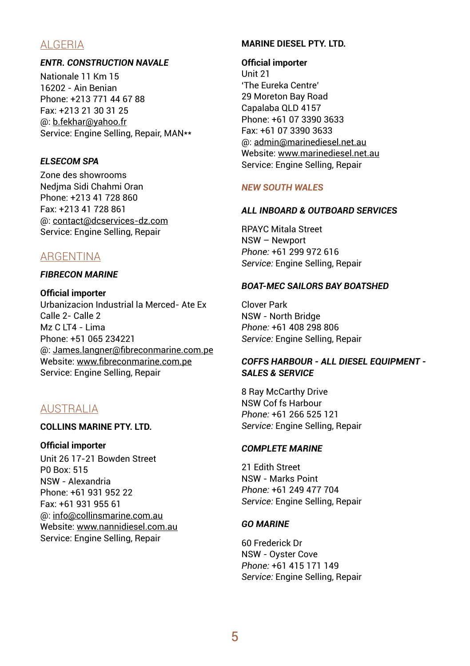# ALGERIA

## *ENTR. CONSTRUCTION NAVALE*

Nationale 11 Km 15 16202 - Ain Benian Phone: +213 771 44 67 88 Fax: +213 21 30 31 25 @: b.fekhar@yahoo.fr Service: Engine Selling, Repair, MAN\*\*

## *ELSECOM SPA*

Zone des showrooms Nedjma Sidi Chahmi Oran Phone: +213 41 728 860 Fax: +213 41 728 861 @: contact@dcservices-dz.com Service: Engine Selling, Repair

# ARGENTINA

#### *FIBRECON MARINE*

#### **Official importer**

Urbanizacion Industrial la Merced- Ate Ex Calle 2- Calle 2  $Mz$  C LT4 - Lima Phone: +51 065 234221 @: James.langner@fibreconmarine.com.pe Website: www.fibreconmarine.com.pe Service: Engine Selling, Repair

# AUSTRALIA

## **COLLINS MARINE PTY. LTD.**

#### **Official importer**

Unit 26 17-21 Bowden Street P0 Box: 515 NSW - Alexandria Phone: +61 931 952 22 Fax: +61 931 955 61 @: info@collinsmarine.com.au Website: www.nannidiesel.com.au Service: Engine Selling, Repair

## **MARINE DIESEL PTY. LTD.**

#### **Official importer**

Unit 21 'The Eureka Centre' 29 Moreton Bay Road Capalaba QLD 4157 Phone: +61 07 3390 3633 Fax: +61 07 3390 3633 @: admin@marinediesel.net.au Website: www.marinediesel.net.au Service: Engine Selling, Repair

## *NEW SOUTH WALES*

## *ALL INBOARD & OUTBOARD SERVICES*

RPAYC Mitala Street NSW – Newport *Phone:* +61 299 972 616 *Service:* Engine Selling, Repair

## *BOAT-MEC SAILORS BAY BOATSHED*

Clover Park NSW - North Bridge *Phone:* +61 408 298 806 *Service:* Engine Selling, Repair

## *COFFS HARBOUR - ALL DIESEL EQUIPMENT - SALES & SERVICE*

8 Ray McCarthy Drive NSW Cof fs Harbour *Phone:* +61 266 525 121 *Service:* Engine Selling, Repair

### *COMPLETE MARINE*

21 Edith Street NSW - Marks Point *Phone:* +61 249 477 704 *Service:* Engine Selling, Repair

## *GO MARINE*

60 Frederick Dr NSW - Oyster Cove *Phone:* +61 415 171 149 *Service:* Engine Selling, Repair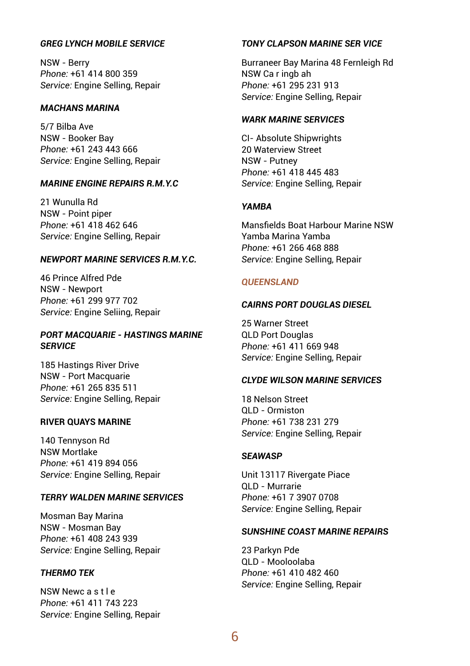## *GREG LYNCH MOBILE SERVICE*

NSW - Berry *Phone:* +61 414 800 359 *Service:* Engine Selling, Repair

#### *MACHANS MARINA*

5/7 Bilba Ave NSW - Booker Bay *Phone:* +61 243 443 666 *Service:* Engine Selling, Repair

## *MARINE ENGINE REPAIRS R.M.Y.C*

21 Wunulla Rd NSW - Point piper *Phone:* +61 418 462 646 *Service:* Engine Selling, Repair

#### *NEWPORT MARINE SERVICES R.M.Y.C.*

46 Prince Alfred Pde NSW - Newport *Phone:* +61 299 977 702 *Service:* Engine Seliing, Repair

## *PORT MACQUARIE - HASTINGS MARINE SERVICE*

185 Hastings River Drive NSW - Port Macquarie *Phone:* +61 265 835 511 *Service:* Engine Selling, Repair

#### **RIVER QUAYS MARINE**

140 Tennyson Rd NSW Mortlake *Phone:* +61 419 894 056 *Service:* Engine Selling, Repair

#### *TERRY WALDEN MARINE SERVICES*

Mosman Bay Marina NSW - Mosman Bay *Phone:* +61 408 243 939 *Service:* Engine Selling, Repair

#### *THERMO TEK*

NSW Newc a s t l e *Phone:* +61 411 743 223 *Service:* Engine Selling, Repair

## *TONY CLAPSON MARINE SER VICE*

Burraneer Bay Marina 48 Fernleigh Rd NSW Ca r ingb ah *Phone:* +61 295 231 913 *Service:* Engine Selling, Repair

## *WARK MARINE SERVICES*

CI- Absolute Shipwrights 20 Waterview Street NSW - Putney *Phone:* +61 418 445 483 *Service:* Engine Selling, Repair

## *YAMBA*

Mansfields Boat Harbour Marine NSW Yamba Marina Yamba *Phone:* +61 266 468 888 *Service:* Engine Selling, Repair

#### *QUEENSLAND*

#### *CAIRNS PORT DOUGLAS DIESEL*

25 Warner Street QLD Port Douglas *Phone:* +61 411 669 948 *Service:* Engine Selling, Repair

## *CLYDE WILSON MARINE SERVICES*

18 Nelson Street QLD - Ormiston *Phone:* +61 738 231 279 *Service:* Engine Selling, Repair

#### *SEAWASP*

Unit 13117 Rivergate Piace QLD - Murrarie *Phone:* +61 7 3907 0708 *Service:* Engine Selling, Repair

#### *SUNSHINE COAST MARINE REPAIRS*

23 Parkyn Pde QLD - Mooloolaba *Phone:* +61 410 482 460 *Service:* Engine Selling, Repair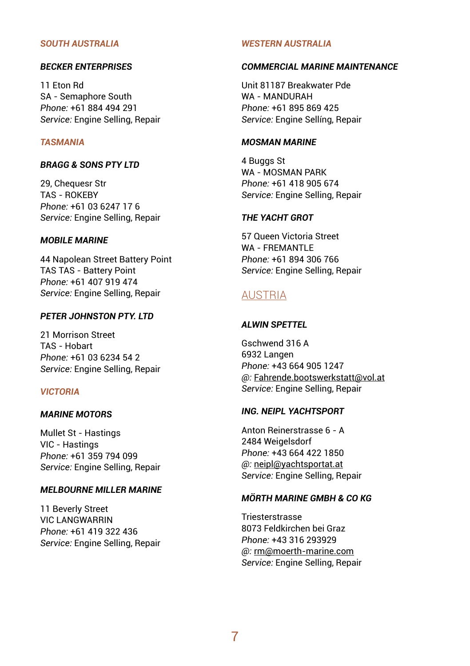#### *SOUTH AUSTRALIA*

#### *BECKER ENTERPRISES*

11 Eton Rd SA - Semaphore South *Phone:* +61 884 494 291 *Service:* Engine Selling, Repair

#### *TASMANIA*

#### *BRAGG & SONS PTY LTD*

29, Chequesr Str TAS - ROKEBY *Phone:* +61 03 6247 17 6 *Service:* Engine Selling, Repair

## *MOBILE MARINE*

44 Napolean Street Battery Point TAS TAS - Battery Point *Phone:* +61 407 919 474 *Service:* Engine Selling, Repair

#### *PETER JOHNSTON PTY. LTD*

21 Morrison Street TAS - Hobart *Phone:* +61 03 6234 54 2 *Service:* Engine Selling, Repair

#### *VICTORIA*

#### *MARINE MOTORS*

Mullet St - Hastings VIC - Hastings *Phone:* +61 359 794 099 *Service:* Engine Selling, Repair

#### *MELBOURNE MILLER MARINE*

11 Beverly Street VIC LANGWARRIN *Phone:* +61 419 322 436 *Service:* Engine Selling, Repair

#### *WESTERN AUSTRALIA*

#### *COMMERCIAL MARINE MAINTENANCE*

Unit 81187 Breakwater Pde WA - MANDURAH *Phone:* +61 895 869 425 *Service:* Engine Sellíng, Repair

#### *MOSMAN MARINE*

4 Buggs St WA - MOSMAN PARK *Phone:* +61 418 905 674 *Service:* Engine Selling, Repair

#### *THE YACHT GROT*

57 Queen Victoria Street WA - FREMANTI F *Phone:* +61 894 306 766 *Service:* Engine Selling, Repair

## AUSTRIA

#### *ALWIN SPETTEL*

Gschwend 316 A 6932 Langen *Phone:* +43 664 905 1247 *@:* Fahrende.bootswerkstatt@vol.at *Service:* Engine Selling, Repair

#### *ING. NEIPL YACHTSPORT*

Anton Reinerstrasse 6 - A 2484 Weigelsdorf *Phone:* +43 664 422 1850 *@:* neipl@yachtsportat.at *Service:* Engine Selling, Repair

#### *MÖRTH MARINE GMBH & CO KG*

Triesterstrasse 8073 Feldkirchen bei Graz *Phone:* +43 316 293929 *@:* rm@moerth-marine.com *Service:* Engine Selling, Repair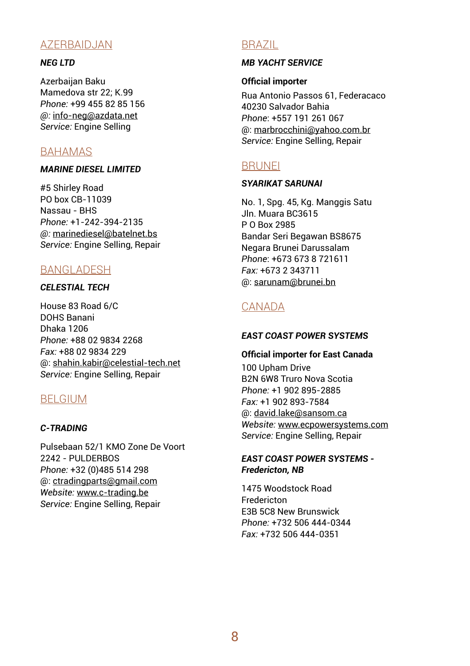# AZERBAIDJAN

## *NEG LTD*

Azerbaijan Baku Mamedova str 22; К.99 *Phone:* +99 455 82 85 156 *@:* info-neg@azdata.net *Service:* Engine Selling

# BAHAMAS

#### *MARINE DIESEL LIMITED*

#5 Shirley Road PO box CB-11039 Nassau - BHS *Phone:* +1-242-394-2135 *@:* marinediesel@batelnet.bs *Service:* Engine Selling, Repair

## BANGLADESH

## *CELESTIAL TECH*

House 83 Road 6/C DOHS Banani Dhaka 1206 *Phone:* +88 02 9834 2268 *Fax:* +88 02 9834 229 @: shahin.kabir@celestial-tech.net *Service:* Engine Selling, Repair

## BELGIUM

## *C-TRADING*

Pulsebaan 52/1 KMO Zone De Voort 2242 - PULDERBOS *Phone:* +32 (0)485 514 298 @: ctradingparts@gmail.com *Website:* www.c-trading.be *Service:* Engine Selling, Repair

# BRAZIL

## *MB YACHT SERVICE*

### **Official importer**

Rua Antonio Passos 61, Federacaco 40230 Salvador Bahia *Phone*: +557 191 261 067 @: marbrocchini@yahoo.com.br *Service:* Engine Selling, Repair

## **BRUNEI**

## *SYARIKAT SARUNAI*

No. 1, Spg. 45, Kg. Manggis Satu Jln. Muara BC3615 P O Box 2985 Bandar Seri Begawan BS8675 Negara Brunei Darussalam *Phone*: +673 673 8 721611 *Fax:* +673 2 343711 @: sarunam@brunei.bn

# CANADA

#### *EAST COAST POWER SYSTEMS*

#### **Official importer for East Canada**

100 Upham Drive B2N 6W8 Truro Nova Scotia *Phone:* +1 902 895-2885 *Fax:* +1 902 893-7584 @: david.lake@sansom.ca *Website:* www.ecpowersystems.com *Service:* Engine Selling, Repair

## *EAST COAST POWER SYSTEMS - Fredericton, NB*

1475 Woodstock Road Fredericton E3B 5C8 New Brunswick *Phone:* +732 506 444-0344 *Fax:* +732 506 444-0351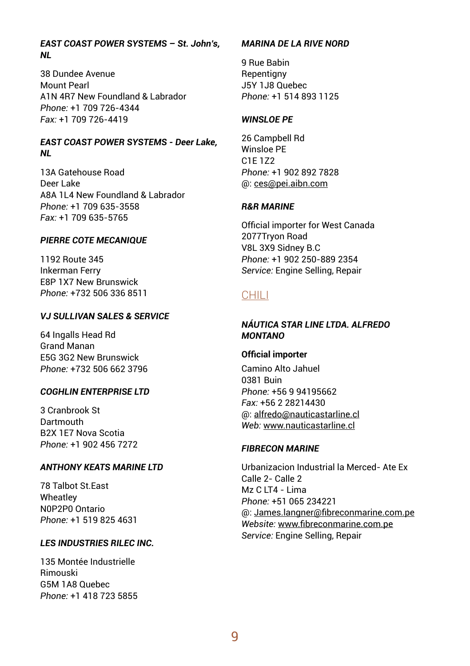#### *EAST COAST POWER SYSTEMS – St. John's, NL*

38 Dundee Avenue Mount Pearl A1N 4R7 New Foundland & Labrador *Phone:* +1 709 726-4344 *Fax:* +1 709 726-4419

#### *EAST COAST POWER SYSTEMS - Deer Lake, NL*

13A Gatehouse Road Deer Lake A8A 1L4 New Foundland & Labrador *Phone:* +1 709 635-3558 *Fax:* +1 709 635-5765

#### *PIERRE COTE MECANIQUE*

1192 Route 345 Inkerman Ferry E8P 1X7 New Brunswick *Phone:* +732 506 336 8511

## *VJ SULLIVAN SALES & SERVICE*

64 Ingalls Head Rd Grand Manan E5G 3G2 New Brunswick *Phone:* +732 506 662 3796

## *COGHLIN ENTERPRISE LTD*

3 Cranbrook St **Dartmouth** B2X 1E7 Nova Scotia *Phone:* +1 902 456 7272

## *ANTHONY KEATS MARINE LTD*

78 Talbot St.East **Wheatley** N0P2P0 Ontario *Phone:* +1 519 825 4631

## *LES INDUSTRIES RILEC INC.*

135 Montée Industrielle Rimouski G5M 1A8 Quebec *Phone:* +1 418 723 5855

## *MARINA DE LA RIVE NORD*

9 Rue Babin Repentigny J5Y 1J8 Quebec *Phone:* +1 514 893 1125

#### *WINSLOE PE*

26 Campbell Rd Winsloe PE C1E 1Z2 *Phone:* +1 902 892 7828 @: ces@pei.aibn.com

#### *R&R MARINE*

Official importer for West Canada 2077Tryon Road V8L 3X9 Sidney B.C *Phone:* +1 902 250-889 2354 *Service:* Engine Selling, Repair

## CHILI

#### *NÁUTICA STAR LINE LTDA. ALFREDO MONTANO*

#### **Official importer**

Camino Alto Jahuel 0381 Buin *Phone:* +56 9 94195662 *Fax:* +56 2 28214430 @: alfredo@nauticastarline.cl *Web:* www.nauticastarline.cl

#### *FIBRECON MARINE*

Urbanizacion Industrial la Merced- Ate Ex Calle 2- Calle 2 Mz C LT4 - Lima *Phone:* +51 065 234221 @: James.langner@fibreconmarine.com.pe *Website:* www.fibreconmarine.com.pe *Service:* Engine Selling, Repair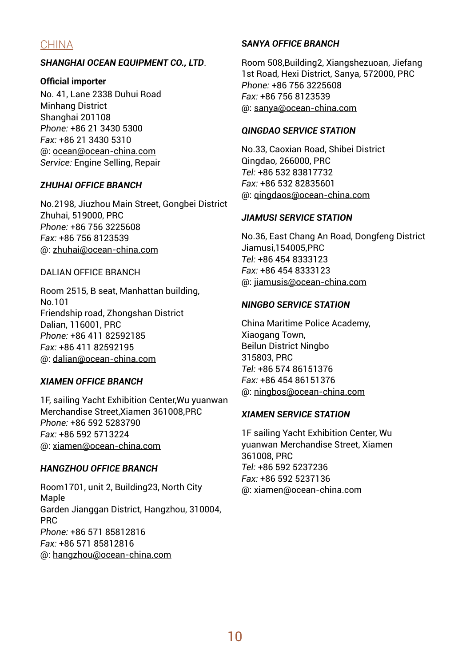# CHINA

## *SHANGHAI OCEAN EQUIPMENT CO., LTD*.

## **Official importer**

No. 41, Lane 2338 Duhui Road Minhang District Shanghai 201108 *Phone:* +86 21 3430 5300 *Fax:* +86 21 3430 5310 @: ocean@ocean-china.com *Service:* Engine Selling, Repair

## *ZHUHAI OFFICE BRANCH*

No.2198, Jiuzhou Main Street, Gongbei District Zhuhai, 519000, PRC *Phone:* +86 756 3225608 *Fax:* +86 756 8123539 @: zhuhai@ocean-china.com

## DALIAN OFFICE BRANCH

Room 2515, B seat, Manhattan building, No.101 Friendship road, Zhongshan District Dalian, 116001, PRC *Phone:* +86 411 82592185 *Fax:* +86 411 82592195 @: dalian@ocean-china.com

## *XIAMEN OFFICE BRANCH*

1F, sailing Yacht Exhibition Center,Wu yuanwan Merchandise Street,Xiamen 361008,PRC *Phone:* +86 592 5283790 *Fax:* +86 592 5713224 @: xiamen@ocean-china.com

## *HANGZHOU OFFICE BRANCH*

Room1701, unit 2, Building23, North City Maple Garden Jianggan District, Hangzhou, 310004, PRC *Phone:* +86 571 85812816 *Fax:* +86 571 85812816 @: hangzhou@ocean-china.com

## *SANYA OFFICE BRANCH*

Room 508,Building2, Xiangshezuoan, Jiefang 1st Road, Hexi District, Sanya, 572000, PRC *Phone:* +86 756 3225608 *Fax:* +86 756 8123539 @: sanya@ocean-china.com

## *QINGDAO SERVICE STATION*

No.33, Caoxian Road, Shibei District Qingdao, 266000, PRC *Tel:* +86 532 83817732 *Fax:* +86 532 82835601 @: qingdaos@ocean-china.com

## *JIAMUSI SERVICE STATION*

No.36, East Chang An Road, Dongfeng District Jiamusi,154005,PRC *Tel:* +86 454 8333123 *Fax:* +86 454 8333123 @: jiamusis@ocean-china.com

#### *NINGBO SERVICE STATION*

China Maritime Police Academy, Xiaogang Town, Beilun District Ningbo 315803, PRC *Tel:* +86 574 86151376 *Fax:* +86 454 86151376 @: ningbos@ocean-china.com

#### *XIAMEN SERVICE STATION*

1F sailing Yacht Exhibition Center, Wu yuanwan Merchandise Street, Xiamen 361008, PRC *Tel:* +86 592 5237236 *Fax:* +86 592 5237136 @: xiamen@ocean-china.com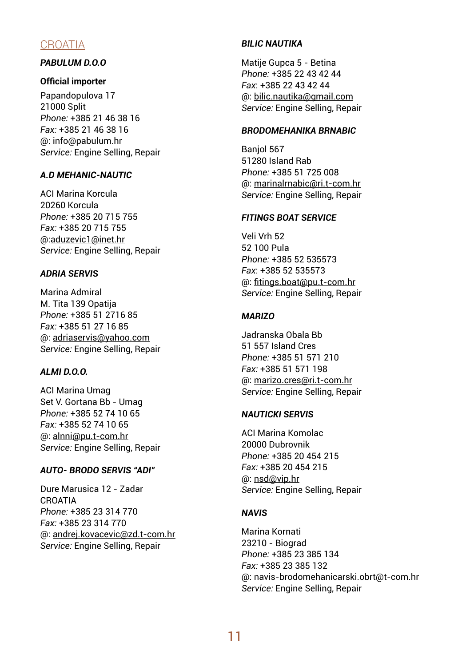# **CROATIA**

## *PABULUM D.O.O*

#### **Official importer**

Papandopulova 17 21000 Split *Phone:* +385 21 46 38 16 *Fax:* +385 21 46 38 16 @: info@pabulum.hr *Service:* Engine Selling, Repair

## *A.D MEHANIC-NAUTIC*

ACI Marina Korcula 20260 Korcula *Phone:* +385 20 715 755 *Fax:* +385 20 715 755 @:aduzevic1@inet.hr *Service:* Engine Selling, Repair

## *ADRIA SERVIS*

Marina Admiral M. Tita 139 Opatija *Phone:* +385 51 2716 85 *Fax:* +385 51 27 16 85 @: adriaservis@yahoo.com *Service:* Engine Selling, Repair

## *ALMI D.O.O.*

ACI Marina Umag Set V. Gortana Bb - Umag *Phone:* +385 52 74 10 65 *Fax:* +385 52 74 10 65 @: alnni@pu.t-com.hr *Service:* Engine Selling, Repair

## *AUTO- BRODO SERVIS "ADI"*

Dure Marusica 12 - Zadar **CROATIA** *Phone:* +385 23 314 770 *Fax:* +385 23 314 770 @: andrej.kovacevic@zd.t-com.hr *Service:* Engine Selling, Repair

## *BILIC NAUTIKA*

Matije Gupca 5 - Betina *Phone:* +385 22 43 42 44 *Fax*: +385 22 43 42 44 @: bilic.nautika@gmail.com *Service:* Engine Selling, Repair

## *BRODOMEHANIKA BRNABIC*

Banjol 567 51280 Island Rab *Phone:* +385 51 725 008 @: marinalrnabic@ri.t-com.hr *Service:* Engine Selling, Repair

## *FITINGS BOAT SERVICE*

Veli Vrh 52 52 100 Pula *Phone:* +385 52 535573 *Fax*: +385 52 535573 @: fitings.boat@pu.t-com.hr *Service:* Engine Selling, Repair

## *MARIZO*

Jadranska Obala Bb 51 557 Island Cres *Phone:* +385 51 571 210 *Fax:* +385 51 571 198 @: marizo.cres@ri.t-com.hr *Service:* Engine Selling, Repair

## *NAUTICKI SERVIS*

ACI Marina Komolac 20000 Dubrovnik *Phone:* +385 20 454 215 *Fax:* +385 20 454 215 @: nsd@vip.hr *Service:* Engine Selling, Repair

## *NAVIS*

Marina Kornati 23210 - Biograd *Phone:* +385 23 385 134 *Fax:* +385 23 385 132 @: navis-brodomehanicarski.obrt@t-com.hr *Service:* Engine Selling, Repair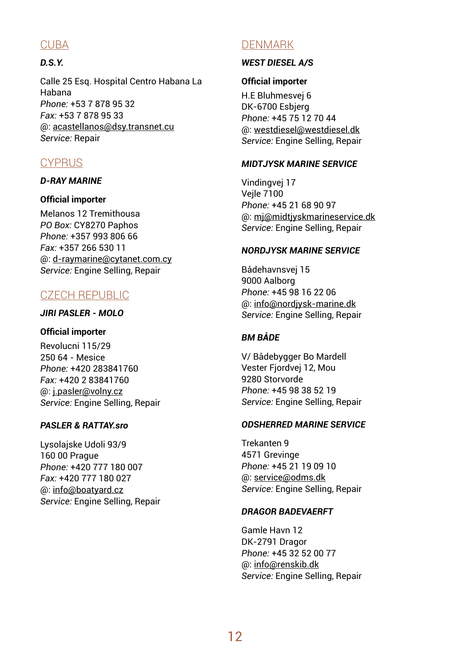# **CURA**

## *D.S.Y.*

Calle 25 Esq. Hospital Centro Habana La Habana *Phone:* +53 7 878 95 32 *Fax:* +53 7 878 95 33 @: acastellanos@dsy.transnet.cu *Service:* Repair

# **CYPRUS**

## *D-RAY MARINE*

## **Official importer**

Melanos 12 Tremithousa **PO Box: CY8270 Paphos** *Phone:* +357 993 806 66 *Fax:* +357 266 530 11 @: d-raymarine@cytanet.com.cy *Service:* Engine Selling, Repair

# CZECH REPUBLIC

## *JIRI PASLER - MOLO*

## **Official importer**

Revolucni 115/29 250 64 - Mesice *Phone:* +420 283841760 *Fax:* +420 2 83841760 @: j.pasler@volny.cz *Service:* Engine Selling, Repair

## **PASLER & RATTAV sro**

Lysolajske Udoli 93/9 160 00 Prague *Phone:* +420 777 180 007 *Fax:* +420 777 180 027 @: info@boatyard.cz *Service:* Engine Selling, Repair

# DENMARK

## *WEST DIESEL A/S*

## **Official importer**

H.E Bluhmesvej 6 DK-6700 Esbjerg *Phone:* +45 75 12 70 44 @: westdiesel@westdiesel.dk *Service:* Engine Selling, Repair

## *MIDT.IYSK MARINE SFRVICE*

Vindingvej 17 Vejle 7100 *Phone:* +45 21 68 90 97 @: mj@midtjyskmarineservice.dk *Service:* Engine Selling, Repair

## *NORDJYSK MARINE SERVICE*

Bådehavnsvej 15 9000 Aalborg *Phone:* +45 98 16 22 06 @: info@nordjysk-marine.dk *Service:* Engine Selling, Repair

## *BM BÅDE*

V/ Bådebygger Bo Mardell Vester Fjordvej 12, Mou 9280 Storvorde *Phone:* +45 98 38 52 19 *Service:* Engine Selling, Repair

## *ODSHERRED MARINE SERVICE*

Trekanten 9 4571 Grevinge *Phone:* +45 21 19 09 10 @: service@odms.dk *Service:* Engine Selling, Repair

## *DRAGOR BADEVAERFT*

Gamle Havn 12 DK-2791 Dragor *Phone:* +45 32 52 00 77 @: info@renskib.dk *Service:* Engine Selling, Repair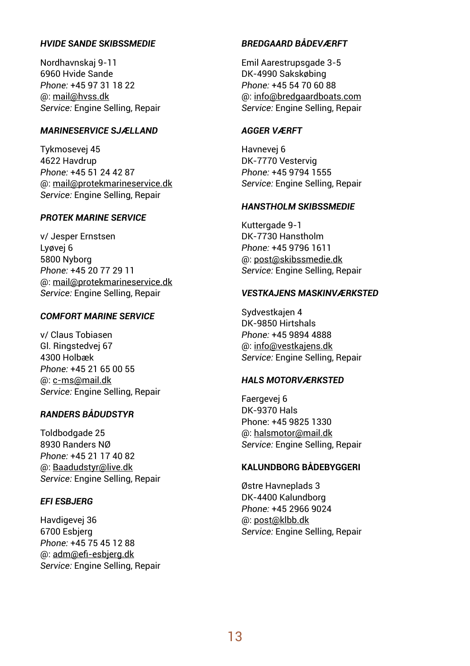#### *HVIDE SANDE SKIBSSMEDIE*

Nordhavnskaj 9-11 6960 Hvide Sande *Phone:* +45 97 31 18 22 @: mail@hvss.dk *Service:* Engine Selling, Repair

## *MARINESERVICE SJÆLLAND*

Tykmosevej 45 4622 Havdrup *Phone:* +45 51 24 42 87 @: mail@protekmarineservice.dk *Service:* Engine Selling, Repair

#### *PROTEK MARINE SERVICE*

v/ Jesper Ernstsen Lyøvej 6 5800 Nyborg *Phone:* +45 20 77 29 11 @: mail@protekmarineservice.dk *Service:* Engine Selling, Repair

## *COMFORT MARINE SERVICE*

v/ Claus Tobiasen Gl. Ringstedvej 67 4300 Holbæk *Phone:* +45 21 65 00 55 @: c-ms@mail.dk *Service:* Engine Selling, Repair

#### *RANDERS BÅDUDSTYR*

Toldbodgade 25 8930 Randers NØ *Phone:* +45 21 17 40 82 @: Baadudstyr@live.dk *Service:* Engine Selling, Repair

## *EFI ESBJERG*

Havdigevej 36 6700 Esbjerg *Phone:* +45 75 45 12 88 @: adm@efi-esbjerg.dk *Service:* Engine Selling, Repair

#### *BREDGAARD BÅDEVÆRFT*

Emil Aarestrupsgade 3-5 DK-4990 Sakskøbing *Phone:* +45 54 70 60 88 @: info@bredgaardboats.com *Service:* Engine Selling, Repair

## *AGGER VÆRFT*

Havnevej 6 DK-7770 Vestervig *Phone:* +45 9794 1555 *Service:* Engine Selling, Repair

## *HANSTHOLM SKIBSSMEDIE*

Kuttergade 9-1 DK-7730 Hanstholm *Phone:* +45 9796 1611 @: post@skibssmedie.dk *Service:* Engine Selling, Repair

#### *VESTKAJENS MASKINVÆRKSTED*

Sydvestkajen 4 DK-9850 Hirtshals *Phone:* +45 9894 4888 @: info@vestkajens.dk *Service:* Engine Selling, Repair

## *HALS MOTORVÆRKSTED*

Faergevej 6 DK-9370 Hals Phone: +45 9825 1330 @: halsmotor@mail.dk *Service:* Engine Selling, Repair

## **KALUNDBORG BÅDEBYGGERI**

Østre Havneplads 3 DK-4400 Kalundborg *Phone:* +45 2966 9024 @: post@klbb.dk *Service:* Engine Selling, Repair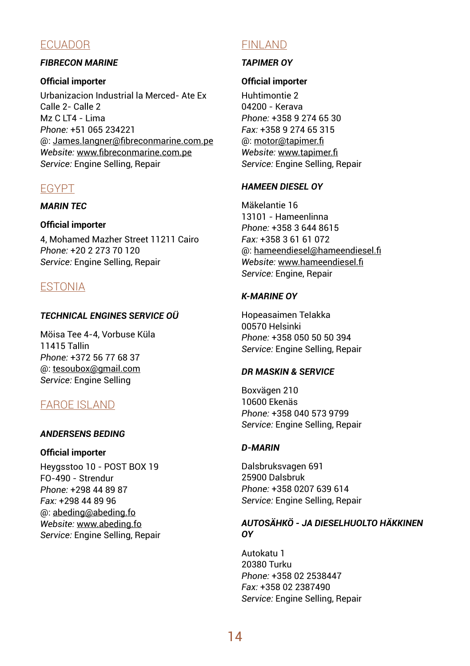# ECUADOR

# *FIBRECON MARINE*

## **Official importer**

Urbanizacion Industrial la Merced- Ate Ex Calle 2- Calle 2  $Mz$  C LT4 - Lima *Phone:* +51 065 234221 @: James.langner@fibreconmarine.com.pe *Website:* www.fibreconmarine.com.pe *Service:* Engine Selling, Repair

# EGYPT

## *MARIN TEC*

## **Official importer**

4, Mohamed Mazher Street 11211 Cairo *Phone:* +20 2 273 70 120 *Service:* Engine Selling, Repair

# ESTONIA

## *TECHNICAL ENGINES SERVICE OÜ*

Möisa Tee 4-4, Vorbuse Küla 11415 Tallin *Phone:* +372 56 77 68 37 @: tesoubox@gmail.com *Service:* Engine Selling

# FAROE ISLAND

## *ANDERSENS BEDING*

## **Official importer**

Heygsstoo 10 - POST BOX 19 FO-490 - Strendur *Phone:* +298 44 89 87 *Fax:* +298 44 89 96 @: abeding@abeding.fo *Website:* www.abeding.fo *Service:* Engine Selling, Repair

# FINLAND

## *TAPIMER OY*

## **Official importer**

Huhtimontie 2 04200 - Kerava *Phone:* +358 9 274 65 30 *Fax:* +358 9 274 65 315 @: motor@tapimer.fi *Website:* www.tapimer.fi *Service:* Engine Selling, Repair

## *HAMEEN DIESEL OY*

Mäkelantie 16 13101 - Hameenlinna *Phone:* +358 3 644 8615 *Fax:* +358 3 61 61 072 @: hameendiesel@hameendiesel.fi *Website:* www.hameendiesel.fi *Service:* Engine, Repair

## *K-MARINE OY*

Hopeasaimen TeIakka 00570 Helsinki *Phone:* +358 050 50 50 394 *Service:* Engine Selling, Repair

## *DR MASKIN & SERVICE*

Boxvägen 210 10600 Ekenäs *Phone:* +358 040 573 9799 *Service:* Engine Selling, Repair

## *D-MARIN*

Dalsbruksvagen 691 25900 Dalsbruk *Phone:* +358 0207 639 614 *Service:* Engine Selling, Repair

## *AUTOSÄHKÖ - JA DIESELHUOLTO HÄKKINEN OY*

Autokatu 1 20380 Turku *Phone:* +358 02 2538447 *Fax:* +358 02 2387490 *Service:* Engine Selling, Repair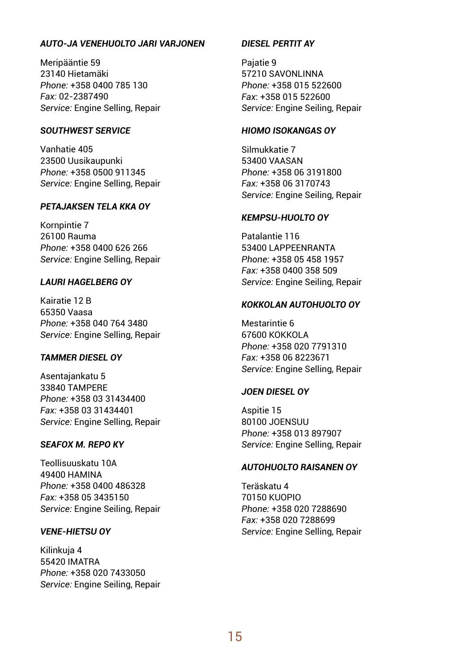## *AUTO-JA VENEHUOLTO JARI VARJONEN*

Meripääntie 59 23140 Hietamäki *Phone:* +358 0400 785 130 *Fax:* 02-2387490 *Service:* Engine Selling, Repair

## *SOUTHWEST SERVICE*

Vanhatie 405 23500 Uusikaupunki *Phone:* +358 0500 911345 *Service:* Engine Selling, Repair

## *PETAJAKSEN TELA KKA OY*

Kornpintie 7 26100 Rauma *Phone:* +358 0400 626 266 *Service:* Engine Selling, Repair

## *LAURI HAGELBERG OY*

Kairatie 12 B 65350 Vaasa *Phone:* +358 040 764 3480 *Service:* Engine Selling, Repair

## *TAMMER DIESEL OY*

Asentajankatu 5 33840 TAMPERE *Phone:* +358 03 31434400 *Fax:* +358 03 31434401 *Service:* Engine Selling, Repair

## *SEAFOX M. REPO KY*

Teollisuuskatu 10A 49400 HAMINA *Phone:* +358 0400 486328 *Fax:* +358 05 3435150 *Service:* Engine Seiling, Repair

#### *VENE-HIETSU OY*

Kilinkuja 4 55420 IMATRA *Phone:* +358 020 7433050 *Service:* Engine Seiling, Repair

#### *DIESEL PERTIT AY*

Pajatie 9 57210 SAVONI INNA *Phone:* +358 015 522600 *Fax*: +358 015 522600 *Service:* Engine Seiling, Repair

## *HIOMO ISOKANGAS OY*

Silmukkatie 7 53400 VAASAN *Phone:* +358 06 3191800 *Fax:* +358 06 3170743 *Service:* Engine Seiling, Repair

#### *KEMPSU-HUOLTO OY*

Patalantie 116 53400 LAPPEENRANTA *Phone:* +358 05 458 1957 *Fax:* +358 0400 358 509 *Service:* Engine Seiling, Repair

## *KOKKOLAN AUTOHUOLTO OY*

Mestarintie 6 67600 KOKKOLA *Phone:* +358 020 7791310 *Fax:* +358 06 8223671 *Service:* Engine Selling, Repair

## *JOEN DIESEL OY*

Aspitie 15 80100 JOENSUU *Phone:* +358 013 897907 *Service:* Engine Selling, Repair

## *AUTOHUOLTO RAISANEN OY*

Teräskatu 4 70150 KUOPIO *Phone:* +358 020 7288690 *Fax:* +358 020 7288699 *Service:* Engine Selling, Repair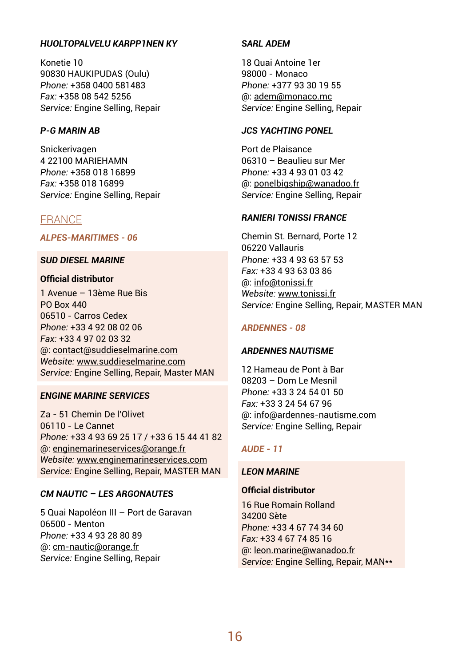#### *HUOLTOPALVELU KARPP1NEN KY*

Konetie 10 90830 HAUKIPUDAS (Oulu) *Phone:* +358 0400 581483 *Fax:* +358 08 542 5256 *Service:* Engine Selling, Repair

## *P-G MARIN AB*

Snickerivagen 4 22100 MARIEHAMN *Phone:* +358 018 16899 *Fax:* +358 018 16899 *Service:* Engine Selling, Repair

## FRANCE

*ALPES-MARITIMES - 06*

#### *SUD DIESEL MARINE*

## **Official distributor**

1 Avenue – 13ème Rue Bis PO Box 440 06510 - Carros Cedex *Phone:* +33 4 92 08 02 06 *Fax:* +33 4 97 02 03 32 @: contact@suddieselmarine.com *Website:* www.suddieselmarine.com *Service:* Engine Selling, Repair, Master MAN

## *ENGINE MARINE SERVICES*

Za - 51 Chemin De l'Olivet 06110 - Le Cannet *Phone:* +33 4 93 69 25 17 / +33 6 15 44 41 82 @: enginemarineservices@orange.fr *Website:* www.enginemarineservices.com *Service:* Engine Selling, Repair, MASTER MAN

## *CM NAUTIC – LES ARGONAUTES*

5 Quai Napoléon III – Port de Garavan 06500 - Menton *Phone:* +33 4 93 28 80 89 @: cm-nautic@orange.fr *Service:* Engine Selling, Repair

## *SARL ADEM*

18 Quai Antoine 1er 98000 - Monaco *Phone:* +377 93 30 19 55 @: adem@monaco.mc *Service:* Engine Selling, Repair

## *JCS YACHTING PONEL*

Port de Plaisance 06310 – Beaulieu sur Mer *Phone:* +33 4 93 01 03 42 @: ponelbigship@wanadoo.fr *Service:* Engine Selling, Repair

#### *RANIERI TONISSI FRANCE*

Chemin St. Bernard, Porte 12 06220 Vallauris *Phone:* +33 4 93 63 57 53 *Fax:* +33 4 93 63 03 86 @: info@tonissi.fr *Website:* www.tonissi.fr *Service:* Engine Selling, Repair, MASTER MAN

#### *ARDENNES - 08*

#### *ARDENNES NAUTISME*

12 Hameau de Pont à Bar 08203 – Dom Le Mesnil *Phone:* +33 3 24 54 01 50 *Fax:* +33 3 24 54 67 96 @: info@ardennes-nautisme.com *Service:* Engine Selling, Repair

## *AUDE - 11*

#### *LEON MARINE*

## **Official distributor**

16 Rue Romain Rolland 34200 Sète *Phone:* +33 4 67 74 34 60 *Fax:* +33 4 67 74 85 16 @: leon.marine@wanadoo.fr *Service:* Engine Selling, Repair, MAN\*\*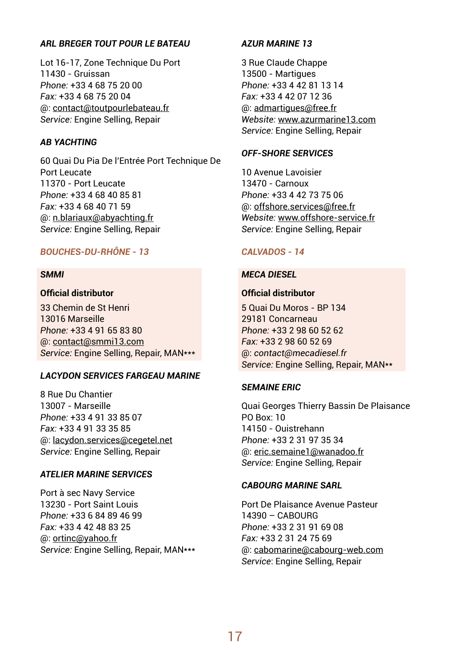#### *ARL BREGER TOUT POUR LE BATEAU*

Lot 16-17, Zone Technique Du Port 11430 - Gruissan *Phone:* +33 4 68 75 20 00 *Fax:* +33 4 68 75 20 04 @: contact@toutpourlebateau.fr *Service:* Engine Selling, Repair

#### *AB YACHTING*

60 Quai Du Pia De l'Entrée Port Technique De Port Leucate 11370 - Port Leucate *Phone:* +33 4 68 40 85 81 *Fax:* +33 4 68 40 71 59 @: n.blariaux@abyachting.fr *Service:* Engine Selling, Repair

## *BOUCHES-DU-RHÔNE - 13*

#### *SMMI*

## **Official distributor**

33 Chemin de St Henri 13016 Marseille *Phone:* +33 4 91 65 83 80 @: contact@smmi13.com *Service:* Engine Selling, Repair, MAN\*\*\*

#### *LACYDON SERVICES FARGEAU MARINE*

8 Rue Du Chantier 13007 - Marseille *Phone:* +33 4 91 33 85 07 *Fax:* +33 4 91 33 35 85 @: lacydon.services@cegetel.net *Service:* Engine Selling, Repair

## *ATELIER MARINE SERVICES*

Port à sec Navy Service 13230 - Port Saint Louis *Phone:* +33 6 84 89 46 99 *Fax:* +33 4 42 48 83 25 @: ortinc@yahoo.fr *Service:* Engine Selling, Repair, MAN\*\*\*

## *AZUR MARINE 13*

3 Rue CIaude Chappe 13500 - Martigues *Phone:* +33 4 42 81 13 14 *Fax:* +33 4 42 07 12 36 @: admartigues@free.fr *Website:* www.azurmarine13.com *Service:* Engine Selling, Repair

#### *OFF-SHORE SERVICES*

10 Avenue Lavoisier 13470 - Carnoux *Phone:* +33 4 42 73 75 06 @: offshore.services@free.fr *Website:* www.offshore-service.fr *Service:* Engine Selling, Repair

#### *CALVADOS - 14*

#### *MECA DIESEL*

## **Official distributor**

5 Quai Du Moros - BP 134 29181 Concarneau *Phone:* +33 2 98 60 52 62 *Fax:* +33 2 98 60 52 69 @: *contact@mecadiesel.fr Service:* Engine Selling, Repair, MAN\*\*

#### *SEMAINE ERIC*

Quai Georges Thierry Bassin De Plaisance PO Box: 10 14150 - Ouistrehann *Phone:* +33 2 31 97 35 34 @: eric.semaine1@wanadoo.fr *Service:* Engine Selling, Repair

#### *CABOURG MARINE SARL*

Port De Plaisance Avenue Pasteur 14390 – CABOURG *Phone:* +33 2 31 91 69 08 *Fax:* +33 2 31 24 75 69 @: cabomarine@cabourg-web.com *Service*: Engine Selling, Repair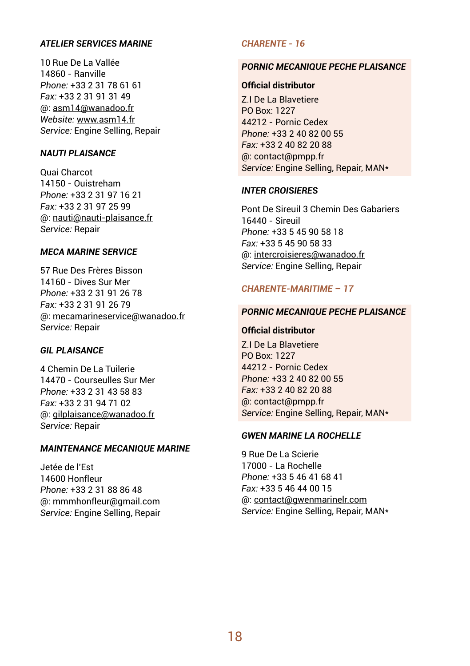## *ATELIER SERVICES MARINE*

10 Rue De La Vallée 14860 - Ranville *Phone:* +33 2 31 78 61 61 *Fax:* +33 2 31 91 31 49 @: asm14@wanadoo.fr *Website:* www.asm14.fr *Service:* Engine Selling, Repair

## *NAUTI PLAISANCE*

Quai Charcot 14150 - Ouistreham *Phone:* +33 2 31 97 16 21 *Fax:* +33 2 31 97 25 99 @: nauti@nauti-plaisance.fr *Service:* Repair

#### *MECA MARINE SERVICE*

57 Rue Des Frères Bisson 14160 - Dives Sur Mer *Phone:* +33 2 31 91 26 78 *Fax:* +33 2 31 91 26 79 @: mecamarineservice@wanadoo.fr *Service:* Repair

#### *GIL PLAISANCE*

4 Chemin De La Tuilerie 14470 - Courseulles Sur Mer *Phone:* +33 2 31 43 58 83 *Fax:* +33 2 31 94 71 02 @: gilplaisance@wanadoo.fr *Service:* Repair

## *MAINTENANCE MECANIQUE MARINE*

Jetée de l'Est 14600 Honfleur *Phone:* +33 2 31 88 86 48 @: mmmhonfleur@gmail.com *Service:* Engine Selling, Repair

## *CHARENTE - 16*

#### *PORNIC MECANIQUE PECHE PLAISANCE*

#### **Official distributor**

Z.I De La Blavetiere PO Box: 1227 44212 - Pornic Cedex *Phone:* +33 2 40 82 00 55 *Fax:* +33 2 40 82 20 88 @: contact@pmpp.fr *Service:* Engine Selling, Repair, MAN\*

#### *INTER CROISIERES*

Pont De Sireuil 3 Chemin Des Gabariers 16440 - Sireuil *Phone:* +33 5 45 90 58 18 *Fax:* +33 5 45 90 58 33 @: intercroisieres@wanadoo.fr *Service:* Engine Selling, Repair

## *CHARENTE-MARITIME – 17*

## *PORNIC MECANIQUE PECHE PLAISANCE*

#### **Official distributor**

Z.I De La Blavetiere PO Box: 1227 44212 - Pornic Cedex *Phone:* +33 2 40 82 00 55 *Fax:* +33 2 40 82 20 88 @: contact@pmpp.fr *Service:* Engine Selling, Repair, MAN\*

#### *GWEN MARINE LA ROCHELLE*

9 Rue De La Scierie 17000 - La Rochelle *Phone:* +33 5 46 41 68 41 *Fax:* +33 5 46 44 00 15 @: contact@gwenmarinelr.com *Service:* Engine Selling, Repair, MAN\*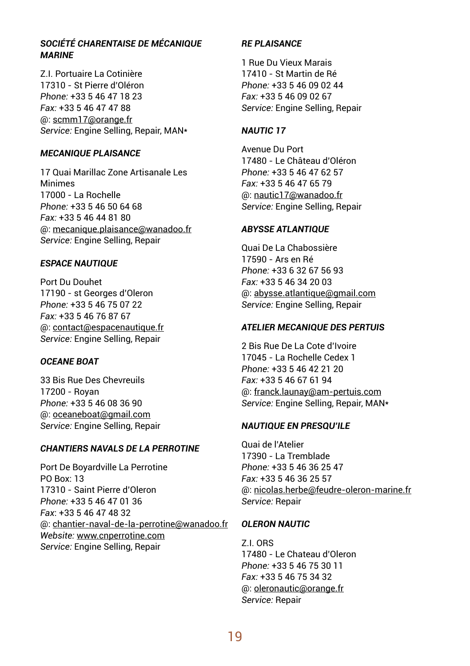## *SOCIÉTÉ CHARENTAISE DE MÉCANIQUE MARINE*

Z.I. Portuaire La Cotinière 17310 - St Pierre d'Oléron *Phone:* +33 5 46 47 18 23 *Fax:* +33 5 46 47 47 88 @: scmm17@orange.fr *Service:* Engine Selling, Repair, MAN\*

#### *MECANIQUE PLAISANCE*

17 Quai Marillac Zone Artisanale Les Minimes 17000 - La Rochelle *Phone:* +33 5 46 50 64 68 *Fax:* +33 5 46 44 81 80 @: mecanique.plaisance@wanadoo.fr *Service:* Engine Selling, Repair

## *ESPACE NAUTIQUE*

Port Du Douhet 17190 - st Georges d'Oleron *Phone:* +33 5 46 75 07 22 *Fax:* +33 5 46 76 87 67 @: contact@espacenautique.fr *Service:* Engine Selling, Repair

## *OCEANE BOAT*

33 Bis Rue Des Chevreuils 17200 - Royan *Phone:* +33 5 46 08 36 90 @: oceaneboat@gmail.com *Service:* Engine Selling, Repair

## *CHANTIERS NAVALS DE LA PERROTINE*

Port De Boyardville La Perrotine PO Box: 13 17310 - Saint Pierre d'Oleron *Phone:* +33 5 46 47 01 36 *Fax*: +33 5 46 47 48 32 @: chantier-naval-de-la-perrotine@wanadoo.fr *Website:* www.cnperrotine.com *Service:* Engine Selling, Repair

## *RE PLAISANCE*

1 Rue Du Vieux Marais 17410 - St Martin de Ré *Phone:* +33 5 46 09 02 44 *Fax:* +33 5 46 09 02 67 *Service:* Engine Selling, Repair

## *NAUTIC 17*

Avenue Du Port 17480 - Le Château d'Oléron *Phone:* +33 5 46 47 62 57 *Fax:* +33 5 46 47 65 79 @: nautic17@wanadoo.fr *Service:* Engine Selling, Repair

## *ABYSSE ATLANTIQUE*

Quai De La Chabossière 17590 - Ars en Ré *Phone:* +33 6 32 67 56 93 *Fax:* +33 5 46 34 20 03 @: abysse.atlantique@gmail.com *Service:* Engine Selling, Repair

## *ATELIER MECANIQUE DES PERTUIS*

2 Bis Rue De La Cote d'Ivoire 17045 - La Rochelle Cedex 1 *Phone:* +33 5 46 42 21 20 *Fax:* +33 5 46 67 61 94 @: franck.launay@am-pertuis.com *Service:* Engine Selling, Repair, MAN\*

## *NAUTIQUE EN PRESQU'ILE*

Quai de l'Atelier 17390 - La Tremblade *Phone:* +33 5 46 36 25 47 *Fax:* +33 5 46 36 25 57 @: nicolas.herbe@feudre-oleron-marine.fr *Service:* Repair

## *OLERON NAUTIC*

Z.I. ORS 17480 - Le Chateau d'Oleron *Phone:* +33 5 46 75 30 11 *Fax:* +33 5 46 75 34 32 @: oleronautic@orange.fr *Service:* Repair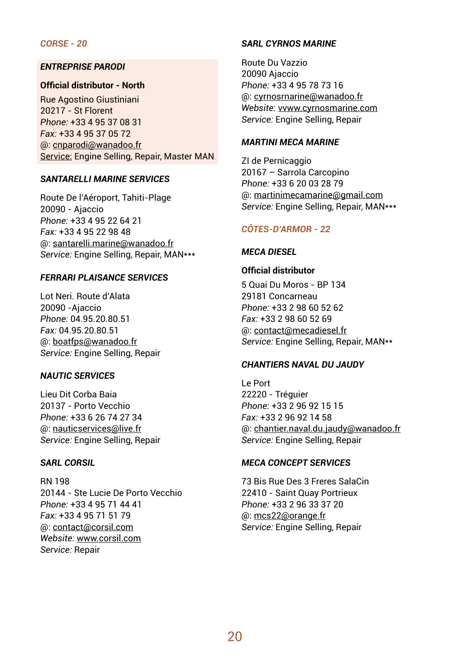## *CORSE - 20*

#### *ENTREPRISE PARODI*

## **Official distributor - North**

Rue Agostino Giustiniani 20217 - St Florent *Phone:* +33 4 95 37 08 31 *Fax:* +33 4 95 37 05 72 @: cnparodi@wanadoo.fr Service: Engine Selling, Repair, Master MAN

#### *SANTARELLI MARINE SERVICES*

Route De l'Aéroport, Tahiti-Plage 20090 - Ajaccio *Phone:* +33 4 95 22 64 21 *Fax:* +33 4 95 22 98 48 @: santarelli.marine@wanadoo.fr *Service:* Engine Selling, Repair, MAN\*\*\*

#### *FERRARI PLAISANCE SERVICES*

Lot Neri. Route d'Alata 20090 -Ajaccio *Phone:* 04.95.20.80.51 *Fax:* 04.95.20.80.51 @: boatfps@wanadoo.fr *Service:* Engine Selling, Repair

#### *NAUTIC SERVICES*

Lieu Dit Corba Baia 20137 - Porto Vecchio *Phone:* +33 6 26 74 27 34 @: nauticservices@live.fr *Service:* Engine Selling, Repair

#### *SARL CORSIL*

RN 198 20144 - Ste Lucie De Porto Vecchio *Phone:* +33 4 95 71 44 41 *Fax:* +33 4 95 71 51 79 @: contact@corsil.com *Website:* www.corsil.com *Service:* Repair

#### *SARL CYRNOS MARINE*

Route Du Vazzio 20090 Ajaccio *Phone:* +33 4 95 78 73 16 @: cyrnosrnarine@wanadoo.fr *Website:* vvww.cyrnosmarine.com *Service:* Engine Selling, Repair

#### *MARTINI MECA MARINE*

ZI de Pernicaggio 20167 – Sarrola Carcopino *Phone:* +33 6 20 03 28 79 @: martinimecamarine@gmail.com *Service:* Engine Selling, Repair, MAN\*\*\*

#### *CÔTES-D'ARMOR - 22*

#### *MECA DIESEL*

## **Official distributor**

5 Quai Du Moros - BP 134 29181 Concarneau *Phone:* +33 2 98 60 52 62 *Fax:* +33 2 98 60 52 69 @: contact@mecadiesel.fr *Service:* Engine Selling, Repair, MAN\*\*

## *CHANTIERS NAVAL DU JAUDY*

Le Port 22220 - Tréguier *Phone:* +33 2 96 92 15 15 *Fax:* +33 2 96 92 14 58 @: chantier.naval.du.jaudy@wanadoo.fr *Service:* Engine Selling, Repair

#### *MECA CONCEPT SERVICES*

73 Bis Rue Des 3 Freres SalaCin 22410 - Saint Quay Portrieux *Phone:* +33 2 96 33 37 20 @: mcs22@orange.fr *Service:* Engine Selling, Repair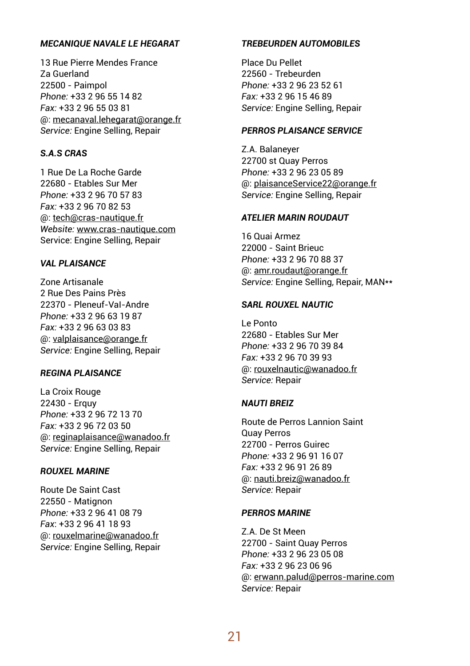#### *MECANIQUE NAVALE LE HEGARAT*

13 Rue Pierre Mendes France Za Guerland 22500 - Paimpol *Phone:* +33 2 96 55 14 82 *Fax:* +33 2 96 55 03 81 @: mecanaval.lehegarat@orange.fr *Service:* Engine Selling, Repair

## *S.A.S CRAS*

1 Rue De La Roche Garde 22680 - Etables Sur Mer *Phone:* +33 2 96 70 57 83 *Fax:* +33 2 96 70 82 53 @: tech@cras-nautique.fr *Website:* www.cras-nautique.com Service: Engine Selling, Repair

## *VAL PLAISANCE*

Zone Artisanale 2 Rue Des Pains Près 22370 - Pleneuf-VaI-Andre *Phone:* +33 2 96 63 19 87 *Fax:* +33 2 96 63 03 83 @: valplaisance@orange.fr *Service:* Engine Selling, Repair

#### *REGINA PLAISANCE*

La Croix Rouge 22430 - Erquy *Phone:* +33 2 96 72 13 70 *Fax:* +33 2 96 72 03 50 @: reginaplaisance@wanadoo.fr *Service:* Engine Selling, Repair

#### *ROUXEL MARINE*

Route De Saint Cast 22550 - Matignon *Phone:* +33 2 96 41 08 79 *Fax*: +33 2 96 41 18 93 @: rouxelmarine@wanadoo.fr *Service:* Engine Selling, Repair

#### *TREBEURDEN AUTOMOBILES*

Place Du Pellet 22560 - Trebeurden *Phone:* +33 2 96 23 52 61 *Fax:* +33 2 96 15 46 89 *Service:* Engine Selling, Repair

## *PERROS PLAISANCE SERVICE*

Z.A. Balaneyer 22700 st Quay Perros *Phone:* +33 2 96 23 05 89 @: plaisanceService22@orange.fr *Service:* Engine Selling, Repair

#### *ATELIER MARIN ROUDAUT*

16 Quai Armez 22000 - Saint Brieuc *Phone:* +33 2 96 70 88 37 @: amr.roudaut@orange.fr *Service:* Engine Selling, Repair, MAN\*\*

## *SARL ROUXEL NAUTIC*

Le Ponto 22680 - Etables Sur Mer *Phone:* +33 2 96 70 39 84 *Fax:* +33 2 96 70 39 93 @: rouxelnautic@wanadoo.fr *Service:* Repair

#### *NAUTI BREIZ*

Route de Perros Lannion Saint Quay Perros 22700 - Perros Guirec *Phone:* +33 2 96 91 16 07 *Fax:* +33 2 96 91 26 89 @: nauti.breiz@wanadoo.fr *Service:* Repair

#### *PERROS MARINE*

Z.A. De St Meen 22700 - Saint Quay Perros *Phone:* +33 2 96 23 05 08 *Fax:* +33 2 96 23 06 96 @: erwann.palud@perros-marine.com *Service:* Repair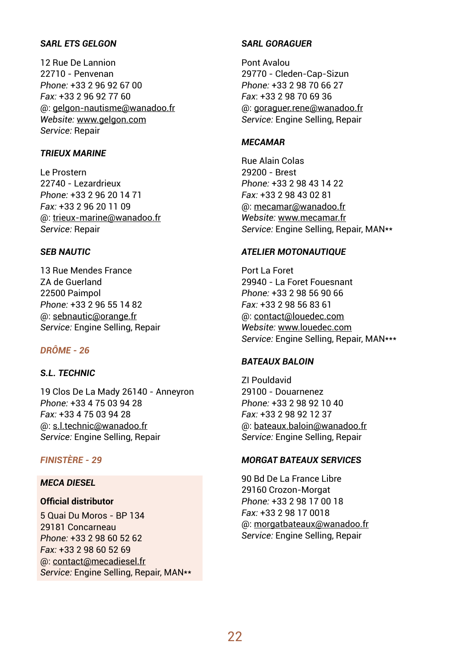## *SARL ETS GELGON*

12 Rue De Lannion 22710 - Penvenan *Phone:* +33 2 96 92 67 00 *Fax:* +33 2 96 92 77 60 @: gelgon-nautisme@wanadoo.fr *Website:* www.gelgon.com *Service:* Repair

#### *TRIEUX MARINE*

Le Prostern 22740 - Lezardrieux *Phone:* +33 2 96 20 14 71 *Fax:* +33 2 96 20 11 09 @: trieux-marine@wanadoo.fr *Service:* Repair

#### *SEB NAUTIC*

13 Rue Mendes France ZA de Guerland 22500 Paimpol *Phone:* +33 2 96 55 14 82 @: sebnautic@orange.fr *Service:* Engine Selling, Repair

## *DRÔME - 26*

## *S.L. TECHNIC*

19 Clos De La Mady 26140 - Anneyron *Phone:* +33 4 75 03 94 28 *Fax:* +33 4 75 03 94 28 @: s.l.technic@wanadoo.fr *Service:* Engine Selling, Repair

## *FINISTÈRE - 29*

## *MECA DIESEL*

## **Official distributor**

5 Quai Du Moros - BP 134 29181 Concarneau *Phone:* +33 2 98 60 52 62 *Fax:* +33 2 98 60 52 69 @: contact@mecadiesel.fr *Service:* Engine Selling, Repair, MAN\*\*

## *SARL GORAGUER*

Pont Avalou 29770 - Cleden-Cap-Sizun *Phone:* +33 2 98 70 66 27 *Fax*: +33 2 98 70 69 36 @: goraguer.rene@wanadoo.fr *Service:* Engine Selling, Repair

#### *MECAMAR*

Rue Alain Colas 29200 - Brest *Phone:* +33 2 98 43 14 22 *Fax:* +33 2 98 43 02 81 @: mecamar@wanadoo.fr *Website:* www.mecamar.fr *Service:* Engine Selling, Repair, MAN\*\*

#### *ATELIER MOTONAUTIQUE*

Port La Foret 29940 - La Foret Fouesnant *Phone:* +33 2 98 56 90 66 *Fax:* +33 2 98 56 83 61 @: contact@louedec.com *Website:* www.louedec.com *Service:* Engine Selling, Repair, MAN\*\*\*

#### *BATEAUX BALOIN*

ZI Pouldavid 29100 - Douarnenez *Phone:* +33 2 98 92 10 40 *Fax:* +33 2 98 92 12 37 @: bateaux.baloin@wanadoo.fr *Service:* Engine Selling, Repair

#### *MORGAT BATEAUX SERVICES*

90 Bd De La France Libre 29160 Crozon-Morgat *Phone:* +33 2 98 17 00 18 *Fax:* +33 2 98 17 0018 @: morgatbateaux@wanadoo.fr *Service:* Engine Selling, Repair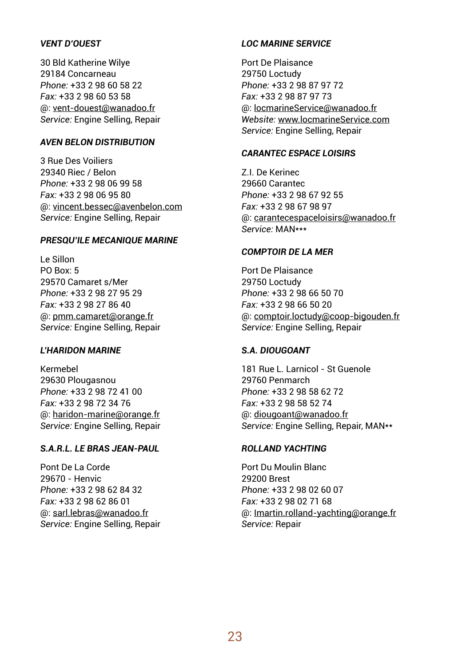## *VENT D'OUEST*

30 Bld Katherine Wilye 29184 Concarneau *Phone:* +33 2 98 60 58 22 *Fax:* +33 2 98 60 53 58 @: vent-douest@wanadoo.fr *Service:* Engine Selling, Repair

#### *AVEN BELON DISTRIBUTION*

3 Rue Des Voiliers 29340 Riec / Belon *Phone:* +33 2 98 06 99 58 *Fax:* +33 2 98 06 95 80 @: vincent.bessec@avenbelon.com *Service:* Engine Selling, Repair

#### *PRESQU'ILE MECANIQUE MARINE*

Le Sillon PO Box: 5 29570 Camaret s/Mer *Phone:* +33 2 98 27 95 29 *Fax:* +33 2 98 27 86 40 @: pmm.camaret@orange.fr *Service:* Engine Selling, Repair

#### *L'HARIDON MARINE*

Kermebel 29630 Plougasnou *Phone:* +33 2 98 72 41 00 *Fax:* +33 2 98 72 34 76 @: haridon-marine@orange.fr *Service:* Engine Selling, Repair

## *S.A.R.L. LE BRAS JEAN-PAUL*

Pont De La Corde 29670 - Henvic *Phone:* +33 2 98 62 84 32 *Fax:* +33 2 98 62 86 01 @: sarl.lebras@wanadoo.fr *Service:* Engine Selling, Repair

## *LOC MARINE SERVICE*

Port De Plaisance 29750 Loctudy *Phone:* +33 2 98 87 97 72 *Fax:* +33 2 98 87 97 73 @: locmarineService@wanadoo.fr *Website:* www.locmarineService.com *Service:* Engine Selling, Repair

## *CARANTEC ESPACE LOISIRS*

Z.I. De Kerinec 29660 Carantec *Phone:* +33 2 98 67 92 55 *Fax:* +33 2 98 67 98 97 @: carantecespaceloisirs@wanadoo.fr *Service:* MAN\*\*\*

#### *COMPTOIR DE LA MER*

Port De Plaisance 29750 Loctudy *Phone:* +33 2 98 66 50 70 *Fax:* +33 2 98 66 50 20 @: comptoir.loctudy@coop-bigouden.fr *Service:* Engine Selling, Repair

#### *S.A. DIOUGOANT*

181 Rue L. Larnicol - St Guenole 29760 Penmarch *Phone:* +33 2 98 58 62 72 *Fax:* +33 2 98 58 52 74 @: diougoant@wanadoo.fr *Service:* Engine Selling, Repair, MAN\*\*

## *ROLLAND YACHTING*

Port Du Moulin Blanc 29200 Brest *Phone:* +33 2 98 02 60 07 *Fax:* +33 2 98 02 71 68 @: Imartin.rolland-yachting@orange.fr *Service:* Repair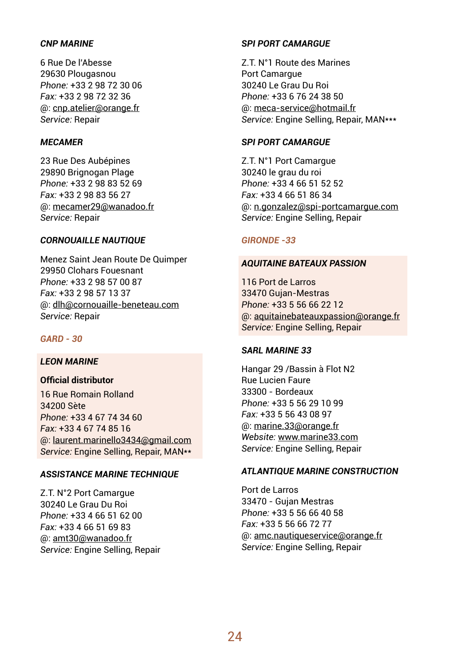## *CNP MARINE*

6 Rue De l'Abesse 29630 Plougasnou *Phone:* +33 2 98 72 30 06 *Fax:* +33 2 98 72 32 36 @: cnp.atelier@orange.fr *Service:* Repair

#### *MECAMER*

23 Rue Des Aubépines 29890 Brignogan Plage *Phone:* +33 2 98 83 52 69 *Fax:* +33 2 98 83 56 27 @: mecamer29@wanadoo.fr *Service:* Repair

## *CORNOUAILLE NAUTIQUE*

Menez Saint Jean Route De Quimper 29950 Clohars Fouesnant *Phone:* +33 2 98 57 00 87 *Fax:* +33 2 98 57 13 37 @: dlh@cornouaille-beneteau.com *Service:* Repair

## *GARD - 30*

## *LEON MARINE*

## **Official distributor**

16 Rue Romain Rolland 34200 Sète *Phone:* +33 4 67 74 34 60 *Fax:* +33 4 67 74 85 16 @: laurent.marinello3434@gmail.com *Service:* Engine Selling, Repair, MAN\*\*

## *ASSISTANCE MARINE TECHNIQUE*

Z.T. N°2 Port Camargue 30240 Le Grau Du Roi *Phone:* +33 4 66 51 62 00 *Fax:* +33 4 66 51 69 83 @: amt30@wanadoo.fr *Service:* Engine Selling, Repair

#### *SPI PORT CAMARGUE*

Z.T. N°1 Route des Marines Port Camargue 30240 Le Grau Du Roi *Phone:* +33 6 76 24 38 50 @: meca-service@hotmail.fr *Service:* Engine Selling, Repair, MAN\*\*\*

#### *SPI PORT CAMARGUE*

Z.T. N°1 Port Camargue 30240 le grau du roi *Phone:* +33 4 66 51 52 52 *Fax:* +33 4 66 51 86 34 @: n.gonzalez@spi-portcamargue.com *Service:* Engine Selling, Repair

## *GIRONDE -33*

## *AQUITAINE BATEAUX PASSION*

116 Port de Larros 33470 Gujan-Mestras *Phone:* +33 5 56 66 22 12 @: aquitainebateauxpassion@orange.fr *Service:* Engine Selling, Repair

#### *SARL MARINE 33*

Hangar 29 /Bassin à Flot N2 Rue Lucien Faure 33300 - Bordeaux *Phone:* +33 5 56 29 10 99 *Fax:* +33 5 56 43 08 97 @: marine.33@orange.fr *Website:* www.marine33.com *Service:* Engine Selling, Repair

#### *ATLANTIQUE MARINE CONSTRUCTION*

Port de Larros 33470 - Gujan Mestras *Phone:* +33 5 56 66 40 58 *Fax:* +33 5 56 66 72 77 @: amc.nautiqueservice@orange.fr *Service:* Engine Selling, Repair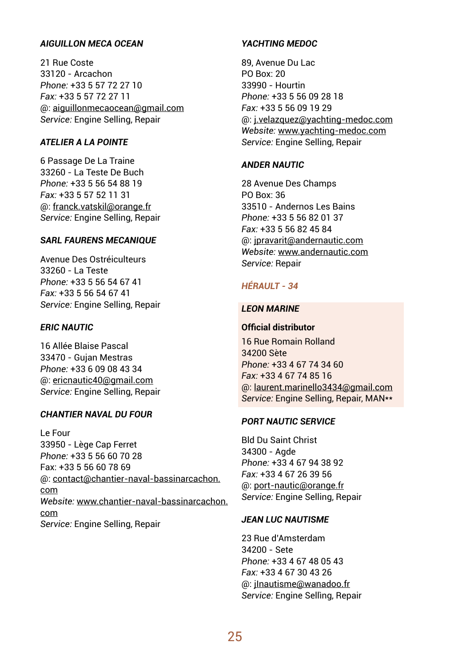## *AIGUILLON MECA OCEAN*

21 Rue Coste 33120 - Arcachon *Phone:* +33 5 57 72 27 10 *Fax:* +33 5 57 72 27 11 @: aiguillonmecaocean@gmail.com *Service:* Engine Selling, Repair

## *ATELIER A LA POINTE*

6 Passage De La Traine 33260 - La Teste De Buch *Phone:* +33 5 56 54 88 19 *Fax:* +33 5 57 52 11 31 @: franck.vatskil@orange.fr *Service:* Engine Selling, Repair

## *SARL FAURENS MECANIQUE*

Avenue Des Ostréiculteurs 33260 - La Teste *Phone:* +33 5 56 54 67 41 *Fax:* +33 5 56 54 67 41 *Service:* Engine Selling, Repair

#### *ERIC NAUTIC*

16 Allée Blaise Pascal 33470 - Gujan Mestras *Phone:* +33 6 09 08 43 34 @: ericnautic40@gmail.com *Service:* Engine Selling, Repair

#### *CHANTIER NAVAL DU FOUR*

Le Four 33950 - Lège Cap Ferret *Phone:* +33 5 56 60 70 28 Fax: +33 5 56 60 78 69 @: contact@chantier-naval-bassinarcachon. com *Website:* www.chantier-naval-bassinarcachon. com *Service:* Engine Selling, Repair

## *YACHTING MEDOC*

89, Avenue Du Lac PO Box: 20 33990 - Hourtin *Phone:* +33 5 56 09 28 18 *Fax:* +33 5 56 09 19 29 @: j.velazquez@yachting-medoc.com *Website:* www.yachting-medoc.com *Service:* Engine Selling, Repair

#### *ANDER NAUTIC*

28 Avenue Des Champs PO Box: 36 33510 - Andernos Les Bains *Phone:* +33 5 56 82 01 37 *Fax:* +33 5 56 82 45 84 @: jpravarit@andernautic.com *Website:* www.andernautic.com *Service:* Repair

## *HÉRAULT - 34*

## *LEON MARINE*

#### **Official distributor**

16 Rue Romain Rolland 34200 Sète *Phone:* +33 4 67 74 34 60 *Fax:* +33 4 67 74 85 16 @: laurent.marinello3434@gmail.com *Service:* Engine Selling, Repair, MAN\*\*

## *PORT NAUTIC SERVICE*

Bld Du Saint Christ 34300 - Agde *Phone:* +33 4 67 94 38 92 *Fax:* +33 4 67 26 39 56 @: port-nautic@orange.fr *Service:* Engine Selling, Repair

#### *JEAN LUC NAUTISME*

23 Rue d'Amsterdam 34200 - Sete *Phone:* +33 4 67 48 05 43 *Fax:* +33 4 67 30 43 26 @: jInautisme@wanadoo.fr *Service:* Engine Sellìng, Repair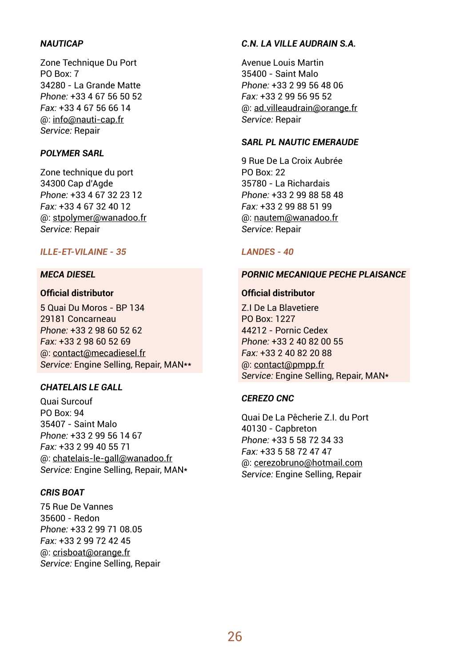#### *NAUTICAP*

Zone Technique Du Port PO Box: 7 34280 - La Grande Matte *Phone:* +33 4 67 56 50 52 *Fax:* +33 4 67 56 66 14 @: info@nauti-cap.fr *Service:* Repair

## *POLYMER SARL*

Zone technique du port 34300 Cap d'Agde *Phone:* +33 4 67 32 23 12 *Fax:* +33 4 67 32 40 12 @: stpolymer@wanadoo.fr *Service:* Repair

## *ILLE-ET-VILAINE - 35*

#### *MECA DIESEL*

## **Official distributor**

5 Quai Du Moros - BP 134 29181 Concarneau *Phone:* +33 2 98 60 52 62 *Fax:* +33 2 98 60 52 69 @: contact@mecadiesel.fr *Service:* Engine Selling, Repair, MAN\*\*

## *CHATELAIS LE GALL*

Quai Surcouf PO Box: 94 35407 - Saint Malo *Phone:* +33 2 99 56 14 67 *Fax:* +33 2 99 40 55 71 @: chatelais-le-gall@wanadoo.fr *Service:* Engine Selling, Repair, MAN\*

#### *CRIS BOAT*

75 Rue De Vannes 35600 - Redon *Phone:* +33 2 99 71 08.05 *Fax:* +33 2 99 72 42 45 @: crisboat@orange.fr *Service:* Engine Selling, Repair

#### *C.N. LA VILLE AUDRAIN S.A.*

Avenue Louis Martin 35400 - Saint Malo *Phone:* +33 2 99 56 48 06 *Fax:* +33 2 99 56 95 52 @: ad.villeaudrain@orange.fr *Service:* Repair

#### *SARL PL NAUTIC EMERAUDE*

9 Rue De La Croix Aubrée PO Box: 22 35780 - La Richardais *Phone:* +33 2 99 88 58 48 *Fax:* +33 2 99 88 51 99 @: nautem@wanadoo.fr *Service:* Repair

#### *LANDES - 40*

#### *PORNIC MECANIQUE PECHE PLAISANCE*

## **Official distributor**

Z.I De La Blavetiere PO Box: 1227 44212 - Pornic Cedex *Phone:* +33 2 40 82 00 55 *Fax:* +33 2 40 82 20 88 @: contact@pmpp.fr *Service:* Engine Selling, Repair, MAN\*

## *CEREZO CNC*

Quai De La Pêcherie Z.I. du Port 40130 - Capbreton *Phone:* +33 5 58 72 34 33 *Fax:* +33 5 58 72 47 47 @: cerezobruno@hotmail.com *Service:* Engine Selling, Repair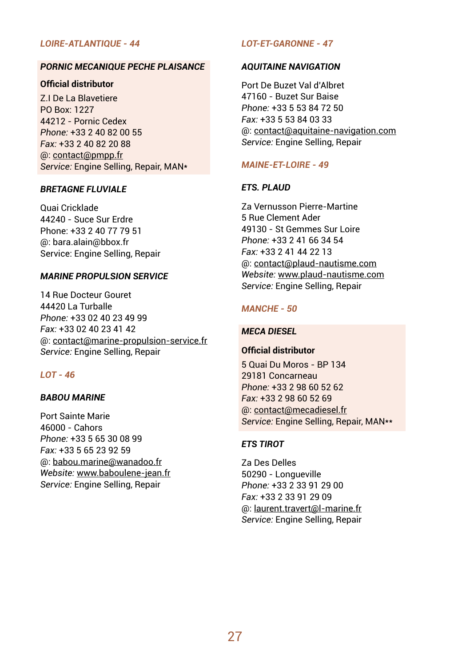## *LOIRE-ATLANTIQUE - 44*

## *PORNIC MECANIQUE PECHE PLAISANCE*

## **Official distributor**

Z.I De La Blavetiere PO Box: 1227 44212 - Pornic Cedex *Phone:* +33 2 40 82 00 55 *Fax:* +33 2 40 82 20 88 @: contact@pmpp.fr *Service:* Engine Selling, Repair, MAN\*

#### *BRETAGNE FLUVIALE*

Quai Cricklade 44240 - Suce Sur Erdre Phone: +33 2 40 77 79 51 @: bara.alain@bbox.fr Service: Engine Selling, Repair

#### *MARINE PROPULSION SERVICE*

14 Rue Docteur Gouret 44420 La Turballe *Phone:* +33 02 40 23 49 99 *Fax:* +33 02 40 23 41 42 @: contact@marine-propulsion-service.fr *Service:* Engine Selling, Repair

### *LOT - 46*

#### *BABOU MARINE*

Port Sainte Marie 46000 - Cahors *Phone:* +33 5 65 30 08 99 *Fax:* +33 5 65 23 92 59 @: babou.marine@wanadoo.fr *Website:* www.baboulene-jean.fr *Service:* Engine Selling, Repair

## *LOT-ET-GARONNE - 47*

#### *AQUITAINE NAVIGATION*

Port De Buzet Val d'Albret 47160 - Buzet Sur Baise *Phone:* +33 5 53 84 72 50 *Fax:* +33 5 53 84 03 33 @: contact@aquitaine-navigation.com *Service:* Engine Selling, Repair

#### *MAINE-ET-LOIRE - 49*

#### *ETS. PLAUD*

Za Vernusson Pierre-Martine 5 Rue Clement Ader 49130 - St Gemmes Sur Loire *Phone:* +33 2 41 66 34 54 *Fax:* +33 2 41 44 22 13 @: contact@plaud-nautisme.com *Website:* www.plaud-nautisme.com *Service:* Engine Selling, Repair

#### *MANCHE - 50*

#### *MECA DIESEL*

#### **Official distributor**

5 Quai Du Moros - BP 134 29181 Concarneau *Phone:* +33 2 98 60 52 62 *Fax:* +33 2 98 60 52 69 @: contact@mecadiesel.fr *Service:* Engine Selling, Repair, MAN\*\*

#### *ETS TIROT*

Za Des Delles 50290 - Longueville *Phone:* +33 2 33 91 29 00 *Fax:* +33 2 33 91 29 09 @: laurent.travert@l-marine.fr *Service:* Engine Selling, Repair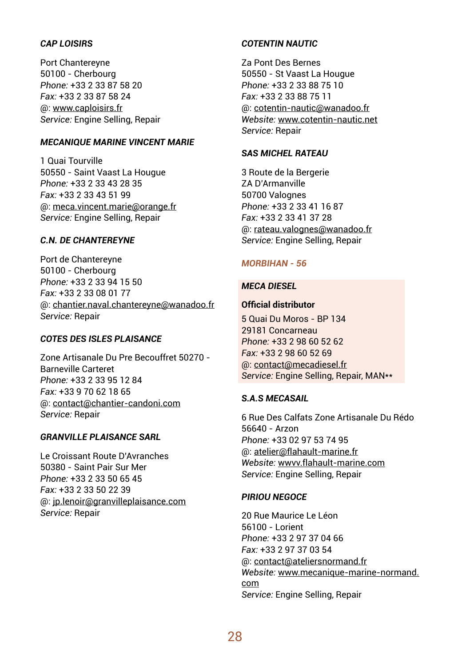## *CAP LOISIRS*

Port Chantereyne 50100 - Cherbourg *Phone:* +33 2 33 87 58 20 *Fax:* +33 2 33 87 58 24 @: www.caploisirs.fr *Service:* Engine Selling, Repair

#### *MECANIQUE MARINE VINCENT MARIE*

1 Quai Tourville 50550 - Saint Vaast La Hougue *Phone:* +33 2 33 43 28 35 *Fax:* +33 2 33 43 51 99 @: meca.vincent.marie@orange.fr *Service:* Engine Selling, Repair

## *C.N. DE CHANTEREYNE*

Port de Chantereyne 50100 - Cherbourg *Phone:* +33 2 33 94 15 50 *Fax:* +33 2 33 08 01 77 @: chantier.naval.chantereyne@wanadoo.fr *Service:* Repair

## *COTES DES ISLES PLAISANCE*

Zone Artisanale Du Pre Becouffret 50270 - Barneville Carteret *Phone:* +33 2 33 95 12 84 *Fax:* +33 9 70 62 18 65 @: contact@chantier-candoni.com *Service:* Repair

## *GRANVILLE PLAISANCE SARL*

Le Croissant Route D'Avranches 50380 - Saint Pair Sur Mer *Phone:* +33 2 33 50 65 45 *Fax:* +33 2 33 50 22 39 @: jp.lenoir@granvilleplaisance.com *Service:* Repair

#### *COTENTIN NAUTIC*

Za Pont Des Bernes 50550 - St Vaast La Hougue *Phone:* +33 2 33 88 75 10 *Fax:* +33 2 33 88 75 11 @: cotentin-nautic@wanadoo.fr *Website:* www.cotentin-nautic.net *Service:* Repair

## *SAS MICHEL RATEAU*

3 Route de la Bergerie ZA D'Armanville 50700 Valognes *Phone:* +33 2 33 41 16 87 *Fax:* +33 2 33 41 37 28 @: rateau.valognes@wanadoo.fr *Service:* Engine Selling, Repair

## *MORBIHAN - 56*

#### *MECA DIESEL*

#### **Official distributor**

5 Quai Du Moros - BP 134 29181 Concarneau *Phone:* +33 2 98 60 52 62 *Fax:* +33 2 98 60 52 69 @: contact@mecadiesel.fr *Service:* Engine Selling, Repair, MAN\*\*

## *S.A.S MECASAIL*

6 Rue Des Calfats Zone Artisanale Du Rédo 56640 - Arzon *Phone:* +33 02 97 53 74 95 @: atelier@flahault-marine.fr *Website:* wwvv.flahault-marine.com *Service:* Engine Selling, Repair

## *PIRIOU NEGOCE*

20 Rue Maurice Le Léon 56100 - Lorient *Phone:* +33 2 97 37 04 66 *Fax:* +33 2 97 37 03 54 @: contact@ateliersnormand.fr *Website:* www.mecanique-marine-normand. com *Service:* Engine Selling, Repair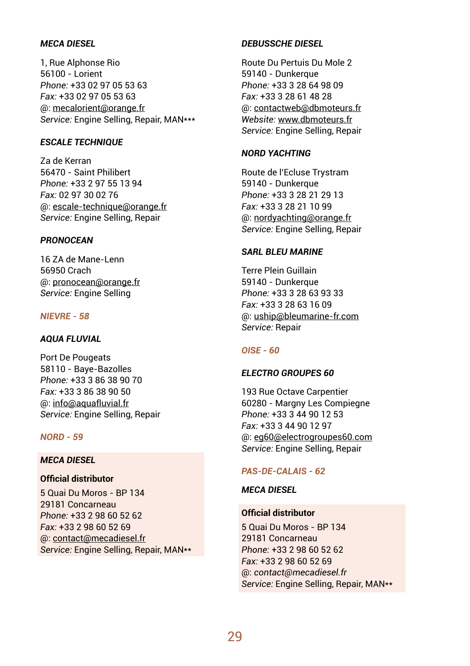## *MECA DIESEL*

1, Rue Alphonse Rio 56100 - Lorient *Phone:* +33 02 97 05 53 63 *Fax:* +33 02 97 05 53 63 @: mecalorient@orange.fr *Service:* Engine Selling, Repair, MAN\*\*\*

#### *ESCALE TECHNIQUE*

Za de Kerran 56470 - Saint Philibert *Phone:* +33 2 97 55 13 94 *Fax:* 02 97 30 02 76 @: escale-technique@orange.fr *Service:* Engine Selling, Repair

## *PRONOCEAN*

16 ZA de Mane-Lenn 56950 Crach @: pronocean@orange.fr *Service:* Engine Selling

## *NIEVRE - 58*

## *AQUA FLUVIAL*

Port De Pougeats 58110 - Baye-Bazolles *Phone:* +33 3 86 38 90 70 *Fax:* +33 3 86 38 90 50 @: info@aquafluvial.fr *Service:* Engine Selling, Repair

#### *NORD - 59*

## *MECA DIESEL*

## **Official distributor**

5 Quai Du Moros - BP 134 29181 Concarneau *Phone:* +33 2 98 60 52 62 *Fax:* +33 2 98 60 52 69 @: contact@mecadiesel.fr *Service:* Engine Selling, Repair, MAN\*\*

#### *DEBUSSCHE DIESEL*

Route Du Pertuis Du Mole 2 59140 - Dunkerque *Phone:* +33 3 28 64 98 09 *Fax:* +33 3 28 61 48 28 @: contactweb@dbmoteurs.fr *Website:* www.dbmoteurs.fr *Service:* Engine Selling, Repair

#### *NORD YACHTING*

Route de l'Ecluse Trystram 59140 - Dunkerque *Phone:* +33 3 28 21 29 13 *Fax:* +33 3 28 21 10 99 @: nordyachting@orange.fr *Service:* Engine Selling, Repair

#### *SARL BLEU MARINE*

Terre Plein Guillain 59140 - Dunkerque *Phone:* +33 3 28 63 93 33 *Fax:* +33 3 28 63 16 09 @: uship@bleumarine-fr.com *Service:* Repair

#### *OISE - 60*

#### *ELECTRO GROUPES 60*

193 Rue Octave Carpentier 60280 - Margny Les Compiegne *Phone:* +33 3 44 90 12 53 *Fax:* +33 3 44 90 12 97 @: eg60@electrogroupes60.com *Service:* Engine Selling, Repair

#### *PAS-DE-CALAIS - 62*

#### *MECA DIESEL*

## **Official distributor**

5 Quai Du Moros - BP 134 29181 Concarneau *Phone:* +33 2 98 60 52 62 *Fax:* +33 2 98 60 52 69 @: *contact@mecadiesel.fr Service:* Engine Selling, Repair, MAN\*\*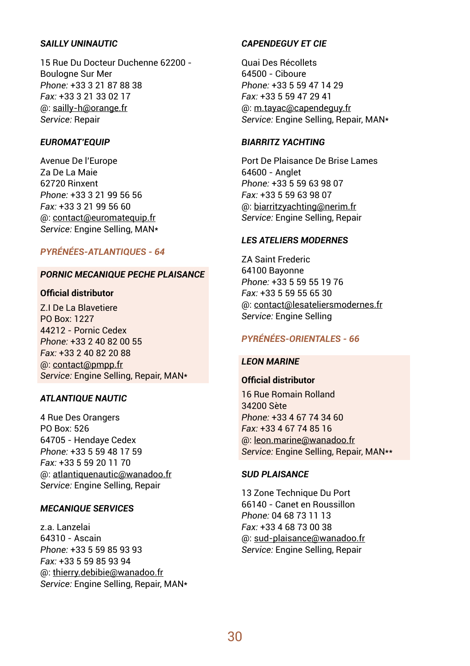## **SAILLY UNINAUTIC**

15 Rue Du Docteur Duchenne 62200 - Boulogne Sur Mer *Phone:* +33 3 21 87 88 38 *Fax:* +33 3 21 33 02 17 @: sailly-h@orange.fr *Service:* Repair

#### *EUROMAT'EQUIP*

Avenue De l'Europe Za De La Maie 62720 Rinxent *Phone:* +33 3 21 99 56 56 *Fax:* +33 3 21 99 56 60 @: contact@euromatequip.fr *Service:* Engine Selling, MAN\*

## *PYRÉNÉES-ATLANTIQUES - 64*

#### *PORNIC MECANIQUE PECHE PLAISANCE*

## **Official distributor**

Z.I De La Blavetiere PO Box: 1227 44212 - Pornic Cedex *Phone:* +33 2 40 82 00 55 *Fax:* +33 2 40 82 20 88 @: contact@pmpp.fr *Service:* Engine Selling, Repair, MAN\*

## *ATLANTIQUE NAUTIC*

4 Rue Des Orangers PO Box: 526 64705 - Hendaye Cedex *Phone:* +33 5 59 48 17 59 *Fax:* +33 5 59 20 11 70 @: atlantiquenautic@wanadoo.fr *Service:* Engine Selling, Repair

#### *MECANIQUE SERVICES*

z.a. Lanzelai 64310 - Ascain *Phone:* +33 5 59 85 93 93 *Fax:* +33 5 59 85 93 94 @: thierry.debibie@wanadoo.fr *Service:* Engine Selling, Repair, MAN\*

#### *CAPENDEGUY ET CIE*

Quai Des Récollets 64500 - Ciboure *Phone:* +33 5 59 47 14 29 *Fax:* +33 5 59 47 29 41 @: m.tayac@capendeguy.fr *Service:* Engine Selling, Repair, MAN\*

#### *BIARRITZ YACHTING*

Port De Plaisance De Brise Lames 64600 - Anglet *Phone:* +33 5 59 63 98 07 *Fax:* +33 5 59 63 98 07 @: biarritzyachting@nerim.fr *Service:* Engine Selling, Repair

## *LES ATELIERS MODERNES*

ZA Saint Frederic 64100 Bayonne *Phone:* +33 5 59 55 19 76 *Fax:* +33 5 59 55 65 30 @: contact@lesateliersmodernes.fr *Service:* Engine Selling

## *PYRÉNÉES-ORIENTALES - 66*

#### *LEON MARINE*

# **Official distributor**

16 Rue Romain Rolland 34200 Sète *Phone:* +33 4 67 74 34 60 *Fax:* +33 4 67 74 85 16 @: leon.marine@wanadoo.fr *Service:* Engine Selling, Repair, MAN\*\*

## *SUD PLAISANCE*

13 Zone Technique Du Port 66140 - Canet en Roussillon *Phone:* 04 68 73 11 13 *Fax:* +33 4 68 73 00 38 @: sud-plaisance@wanadoo.fr *Service:* Engine Selling, Repair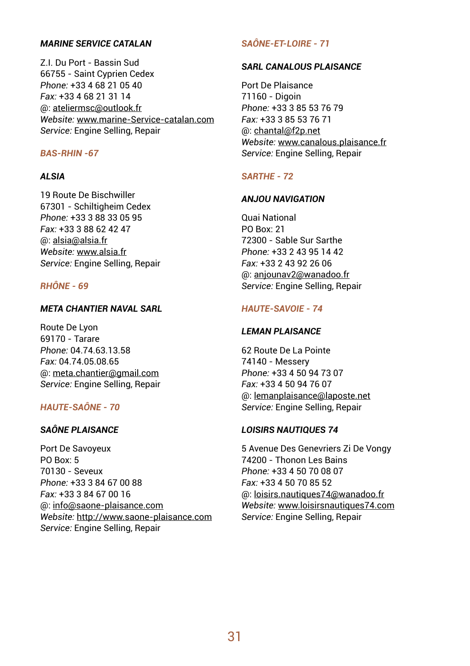## *MARINE SERVICE CATALAN*

Z.I. Du Port - Bassin Sud 66755 - Saint Cyprien Cedex *Phone:* +33 4 68 21 05 40 *Fax:* +33 4 68 21 31 14 @: ateliermsc@outlook.fr *Website:* www.marine-Service-catalan.com *Service:* Engine Selling, Repair

## *BAS-RHIN -67*

#### *ALSIA*

19 Route De Bischwiller 67301 - Schiltigheim Cedex *Phone:* +33 3 88 33 05 95 *Fax:* +33 3 88 62 42 47 @: alsia@alsia.fr *Website:* www.alsia.fr *Service:* Engine Selling, Repair

#### *RHÔNE - 69*

#### *META CHANTIER NAVAL SARL*

Route De Lyon 69170 - Tarare *Phone:* 04.74.63.13.58 *Fax:* 04.74.05.08.65 @: meta.chantier@gmail.com *Service:* Engine Selling, Repair

## *HAUTE-SAÔNE - 70*

## *SAÔNE PLAISANCE*

Port De Savoyeux PO Box: 5 70130 - Seveux *Phone:* +33 3 84 67 00 88 *Fax:* +33 3 84 67 00 16 @: info@saone-plaisance.com *Website:* http://www.saone-plaisance.com *Service:* Engine Selling, Repair

## *SAÔNE-ET-LOIRE - 71*

#### *SARL CANALOUS PLAISANCE*

Port De Plaisance 71160 - Digoin *Phone:* +33 3 85 53 76 79 *Fax:* +33 3 85 53 76 71 @: chantal@f2p.net *Website:* www.canalous.plaisance.fr *Service:* Engine Selling, Repair

#### *SARTHE - 72*

#### *ANJOU NAVIGATION*

Quai National PO Box: 21 72300 - Sable Sur Sarthe *Phone:* +33 2 43 95 14 42 *Fax:* +33 2 43 92 26 06 @: anjounav2@wanadoo.fr *Service:* Engine Selling, Repair

## *HAUTE-SAVOIE - 74*

#### *LEMAN PLAISANCE*

62 Route De La Pointe 74140 - Messery *Phone:* +33 4 50 94 73 07 *Fax:* +33 4 50 94 76 07 @: lemanplaisance@laposte.net *Service:* Engine Selling, Repair

## *LOISIRS NAUTIQUES 74*

5 Avenue Des Genevriers Zi De Vongy 74200 - Thonon Les Bains *Phone:* +33 4 50 70 08 07 *Fax:* +33 4 50 70 85 52 @: loisirs.nautiques74@wanadoo.fr *Website:* www.loisirsnautiques74.com *Service:* Engine Selling, Repair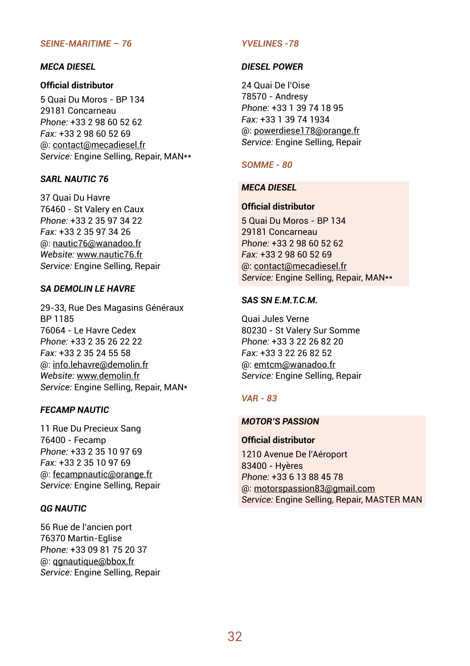#### *SEINE-MARITIME – 76*

#### *MECA DIESEL*

## **Official distributor**

5 Quai Du Moros - BP 134 29181 Concarneau *Phone:* +33 2 98 60 52 62 *Fax:* +33 2 98 60 52 69 @: contact@mecadiesel.fr *Service:* Engine Selling, Repair, MAN\*\*

## *SARL NAUTIC 76*

37 Quai Du Havre 76460 - St Valery en Caux *Phone:* +33 2 35 97 34 22 *Fax:* +33 2 35 97 34 26 @: nautic76@wanadoo.fr *Website:* www.nautic76.fr *Service:* Engine Selling, Repair

#### *SA DEMOLIN LE HAVRE*

29-33, Rue Des Magasins Généraux BP 1185 76064 - Le Havre Cedex *Phone:* +33 2 35 26 22 22 *Fax:* +33 2 35 24 55 58 @: info.lehavre@demolin.fr *Website:* www.demolin.fr *Service:* Engine Selling, Repair, MAN\*

## *FECAMP NAUTIC*

11 Rue Du Precieux Sang 76400 - Fecamp *Phone:* +33 2 35 10 97 69 *Fax:* +33 2 35 10 97 69 @: fecampnautic@orange.fr *Service:* Engine Selling, Repair

## *QG NAUTIC*

56 Rue de l'ancien port 76370 Martin-Eglise *Phone:* +33 09 81 75 20 37 @: qgnautique@bbox.fr *Service:* Engine Selling, Repair

#### *YVELINES -78*

#### *DIESEL POWER*

24 Quai De l'Oise 78570 - Andresy *Phone:* +33 1 39 74 18 95 *Fax:* +33 1 39 74 1934 @: powerdiese178@orange.fr *Service:* Engine Selling, Repair

#### *SOMME - 80*

## *MECA DIESEL*

## **Official distributor**

5 Quai Du Moros - BP 134 29181 Concarneau *Phone:* +33 2 98 60 52 62 *Fax:* +33 2 98 60 52 69 @: contact@mecadiesel.fr *Service:* Engine Selling, Repair, MAN\*\*

#### *SAS SN E.M.T.C.M.*

Quai Jules Verne 80230 - St Valery Sur Somme *Phone:* +33 3 22 26 82 20 *Fax:* +33 3 22 26 82 52 @: emtcm@wanadoo.fr *Service:* Engine Selling, Repair

#### *VAR - 83*

## *MOTOR'S PASSION*

## **Official distributor**

1210 Avenue De l'Aéroport 83400 - Hyères *Phone:* +33 6 13 88 45 78 @: motorspassion83@gmail.com *Service:* Engine Selling, Repair, MASTER MAN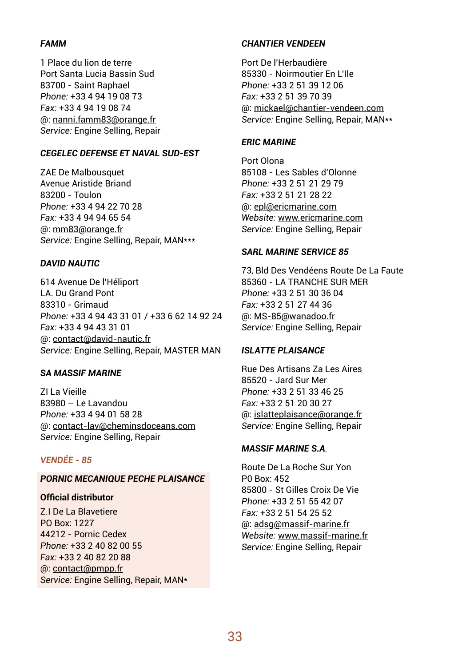## *FAMM*

1 Place du lion de terre Port Santa Lucia Bassin Sud 83700 - Saint Raphael *Phone:* +33 4 94 19 08 73 *Fax:* +33 4 94 19 08 74 @: nanni.famm83@orange.fr *Service:* Engine Selling, Repair

## *CEGELEC DEFENSE ET NAVAL SUD-EST*

ZAE De Malbousquet Avenue Aristide Briand 83200 - Toulon *Phone:* +33 4 94 22 70 28 *Fax:* +33 4 94 94 65 54 @: mm83@orange.fr *Service:* Engine Selling, Repair, MAN\*\*\*

## *DAVID NAUTIC*

614 Avenue De l'Héliport LA. Du Grand Pont 83310 - Grimaud *Phone:* +33 4 94 43 31 01 / +33 6 62 14 92 24 *Fax:* +33 4 94 43 31 01 @: contact@david-nautic.fr *Service:* Engine Selling, Repair, MASTER MAN

## *SA MASSIF MARINE*

ZI La Vieille 83980 – Le Lavandou *Phone:* +33 4 94 01 58 28 @: contact-lav@cheminsdoceans.com *Service:* Engine Selling, Repair

## *VENDÉE - 85*

## *PORNIC MECANIQUE PECHE PLAISANCE*

#### **Official distributor**

Z.I De La Blavetiere PO Box: 1227 44212 - Pornic Cedex *Phone:* +33 2 40 82 00 55 *Fax:* +33 2 40 82 20 88 @: contact@pmpp.fr *Service:* Engine Selling, Repair, MAN\*

## *CHANTIER VENDEEN*

Port De l'Herbaudière 85330 - Noirmoutier En L'Ile *Phone:* +33 2 51 39 12 06 *Fax:* +33 2 51 39 70 39 @: mickael@chantier-vendeen.com *Service:* Engine Selling, Repair, MAN\*\*

## *ERIC MARINE*

Port Olona 85108 - Les Sables d'Olonne *Phone:* +33 2 51 21 29 79 *Fax:* +33 2 51 21 28 22 @: epl@ericmarine.com *Website:* www.ericmarine.com *Service:* Engine Selling, Repair

## *SARL MARINE SERVICE 85*

73, Bld Des Vendéens Route De La Faute 85360 - LA TRANCHE SUR MER *Phone:* +33 2 51 30 36 04 *Fax:* +33 2 51 27 44 36 @: MS-85@wanadoo.fr *Service:* Engine Selling, Repair

#### *ISLATTE PLAISANCE*

Rue Des Artisans Za Les Aires 85520 - Jard Sur Mer *Phone:* +33 2 51 33 46 25 *Fax:* +33 2 51 20 30 27 @: islatteplaisance@orange.fr *Service:* Engine Selling, Repair

## *MASSIF MARINE S.A.*

Route De La Roche Sur Yon P0 Box: 452 85800 - St Gilles Croix De Vie *Phone:* +33 2 51 55 42 07 *Fax:* +33 2 51 54 25 52 @: adsg@massif-marine.fr *Website:* www.massif-marine.fr *Service:* Engine Selling, Repair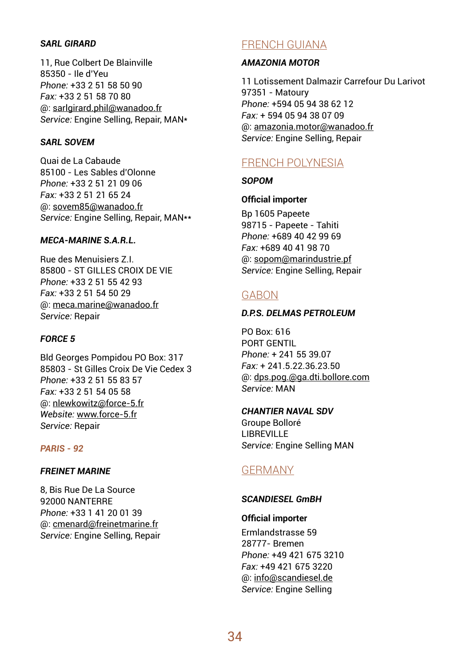## *SARL GIRARD*

11, Rue Colbert De Blainville 85350 - Ile d'Yeu *Phone:* +33 2 51 58 50 90 *Fax:* +33 2 51 58 70 80 @: sarlgirard.phil@wanadoo.fr *Service:* Engine Selling, Repair, MAN\*

## *SARL SOVEM*

Quai de La Cabaude 85100 - Les Sables d'Olonne *Phone:* +33 2 51 21 09 06 *Fax:* +33 2 51 21 65 24 @: sovem85@wanadoo.fr *Service:* Engine Selling, Repair, MAN\*\*

## *MECA-MARINE S.A.R.L.*

Rue des Menuisiers Z.I. 85800 - ST GILLES CROIX DE VIE *Phone:* +33 2 51 55 42 93 *Fax:* +33 2 51 54 50 29 @: meca.marine@wanadoo.fr *Service:* Repair

## *FORCE 5*

Bld Georges Pompidou PO Box: 317 85803 - St Gilles Croix De Vie Cedex 3 *Phone:* +33 2 51 55 83 57 *Fax:* +33 2 51 54 05 58 @: nlewkowitz@force-5.fr *Website:* www.force-5.fr *Service:* Repair

## *PARIS - 92*

#### *FREINET MARINE*

8, Bis Rue De La Source 92000 NANTERRE *Phone:* +33 1 41 20 01 39 @: cmenard@freinetmarine.fr *Service:* Engine Selling, Repair

# FRENCH GUIANA

## *AMAZONIA MOTOR*

11 Lotissement Dalmazir Carrefour Du Larivot 97351 - Matoury *Phone:* +594 05 94 38 62 12 *Fax:* + 594 05 94 38 07 09 @: amazonia.motor@wanadoo.fr *Service:* Engine Selling, Repair

# FRENCH POLYNESIA

*SOPOM*

## **Official importer**

Bp 1605 Papeete 98715 - Papeete - Tahiti *Phone:* +689 40 42 99 69 *Fax:* +689 40 41 98 70 @: sopom@marindustrie.pf *Service:* Engine Selling, Repair

# **GARON**

## *D.P.S. DELMAS PETROLEUM*

PO Box: 616 PORT GENTIL *Phone:* + 241 55 39.07 *Fax:* + 241.5.22.36.23.50 @: dps.pog.@ga.dti.bollore.com *Service:* MAN

#### *CHANTIER NAVAL SDV*

Groupe Bolloré LIBREVILLE *Service:* Engine Selling MAN

# GERMANY

## *SCANDIESEL GmBH*

**Official importer** Ermlandstrasse 59 28777- Bremen *Phone:* +49 421 675 3210 *Fax:* +49 421 675 3220 @: info@scandiesel.de *Service:* Engine Selling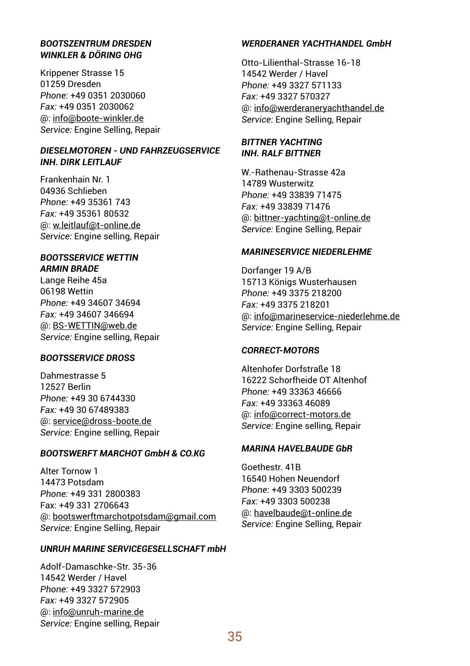## *BOOTSZENTRUM DRESDEN WINKLER & DÖRING OHG*

Krippener Strasse 15 01259 Dresden *Phone:* +49 0351 2030060 *Fax:* +49 0351 2030062 @: info@boote-winkler.de *Service:* Engine Selling, Repair

## *DIESELMOTOREN - UND FAHRZEUGSERVICE INH. DIRK LEITLAUF*

Frankenhain Nr. 1 04936 Schlieben *Phone:* +49 35361 743 *Fax:* +49 35361 80532 @: w.leitlauf@t-online.de *Service:* Engine selling, Repair

## *BOOTSSERVICE WETTIN ARMIN BRADE*

Lange Reihe 45a 06198 Wettin *Phone:* +49 34607 34694 *Fax:* +49 34607 346694 @: BS-WETTIN@web.de *Service:* Engine selling, Repair

#### *BOOTSSERVICE DROSS*

Dahmestrasse 5 12527 Berlin *Phone:* +49 30 6744330 *Fax:* +49 30 67489383 @: service@dross-boote.de *Service:* Engine selling, Repair

## *BOOTSWERFT MARCHOT GmbH & CO.KG*

Alter Tornow 1 14473 Potsdam *Phone:* +49 331 2800383 Fax: +49 331 2706643 @: bootswerftmarchotpotsdam@gmail.com *Service:* Engine Selling, Repair

#### *UNRUH MARINE SERVICEGESELLSCHAFT mbH*

Adolf-Damaschke-Str. 35-36 14542 Werder / Havel *Phone:* +49 3327 572903 *Fax:* +49 3327 572905 @: info@unruh-marine.de *Service:* Engine selling, Repair

#### *WERDERANER YACHTHANDEL GmbH*

Otto-Lilienthal-Strasse 16-18 14542 Werder / Havel *Phone:* +49 3327 571133 *Fax:* +49 3327 570327 @: info@werderaneryachthandel.de *Service:* Engine Selling, Repair

#### *BITTNER YACHTING INH. RALF BITTNER*

W.-Rathenau-Strasse 42a 14789 Wusterwitz *Phone:* +49 33839 71475 *Fax:* +49 33839 71476 @: bittner-yachting@t-online.de *Service:* Engine Selling, Repair

#### *MARINESERVICE NIEDERLEHME*

Dorfanger 19 A/B 15713 Königs Wusterhausen *Phone:* +49 3375 218200 *Fax:* +49 3375 218201 @: info@marineservice-niederlehme.de *Service:* Engine Selling, Repair

#### *CORRECT-MOTORS*

Altenhofer Dorfstraße 18 16222 Schorfheide OT Altenhof *Phone:* +49 33363 46666 *Fax:* +49 33363 46089 @: info@correct-motors.de *Service:* Engine selling, Repair

#### *MARINA HAVELBAUDE GbR*

Goethestr. 41B 16540 Hohen Neuendorf *Phone:* +49 3303 500239 *Fax:* +49 3303 500238 @: havelbaude@t-online.de *Service:* Engine Selling, Repair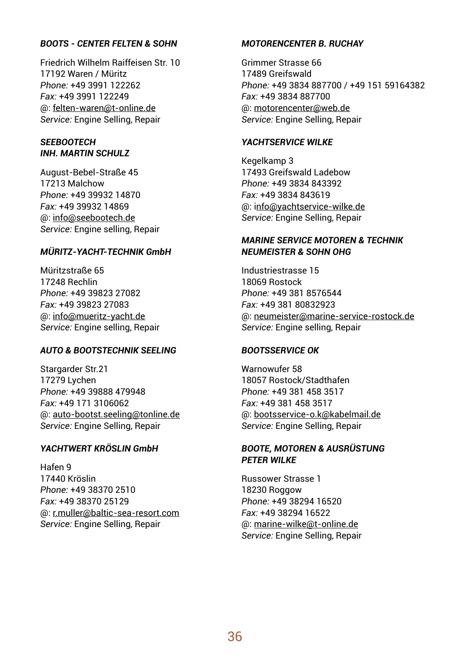## *BOOTS - CENTER FELTEN & SOHN*

Friedrich Wilhelm Raiffeisen Str. 10 17192 Waren / Müritz *Phone:* +49 3991 122262 *Fax:* +49 3991 122249 @: felten-waren@t-online.de *Service:* Engine Selling, Repair

## *SEEBOOTECH INH. MARTIN SCHULZ*

August-Bebel-Straße 45 17213 Malchow *Phone:* +49 39932 14870 *Fax:* +49 39932 14869 @: info@seebootech.de *Service:* Engine selling, Repair

#### *MÜRITZ-YACHT-TECHNIK GmbH*

Müritzstraße 65 17248 Rechlin *Phone:* +49 39823 27082 *Fax:* +49 39823 27083 @: info@mueritz-yacht.de *Service:* Engine selling, Repair

#### *AUTO & BOOTSTECHNIK SEELING*

Stargarder Str.21 17279 Lychen *Phone:* +49 39888 479948 *Fax:* +49 171 3106062 @: auto-bootst.seeling@tonline.de *Service:* Engine Selling, Repair

## *YACHTWERT KRÖSLIN GmbH*

Hafen 9 17440 Kröslin *Phone:* +49 38370 2510 *Fax:* +49 38370 25129 @: r.muller@baltic-sea-resort.com *Service:* Engine Selling, Repair

## *MOTORENCENTER B. RUCHAY*

Grimmer Strasse 66 17489 Greifswald *Phone:* +49 3834 887700 / +49 151 59164382 *Fax:* +49 3834 887700 @: motorencenter@web.de *Service:* Engine Selling, Repair

#### *YACHTSERVICE WILKE*

Kegelkamp 3 17493 Greifswald Ladebow *Phone:* +49 3834 843392 *Fax:* +49 3834 843619 @: info@yachtservice-wilke.de *Service:* Engine Selling, Repair

#### *MARINE SERVICE MOTOREN & TECHNIK NEUMEISTER & SOHN OHG*

Industriestrasse 15 18069 Rostock *Phone:* +49 381 8576544 *Fax:* +49 381 80832923 @: neumeister@marine-service-rostock.de *Service:* Engine selling, Repair

#### *BOOTSSERVICE OK*

Warnowufer 58 18057 Rostock/Stadthafen *Phone:* +49 381 458 3517 *Fax:* +49 381 458 3517 @: bootsservice-o.k@kabelmail.de *Service:* Engine Selling, Repair

#### *BOOTE, MOTOREN & AUSRÜSTUNG PETER WILKE*

Russower Strasse 1 18230 Roggow *Phone:* +49 38294 16520 *Fax:* +49 38294 16522 @: marine-wilke@t-online.de *Service:* Engine Selling, Repair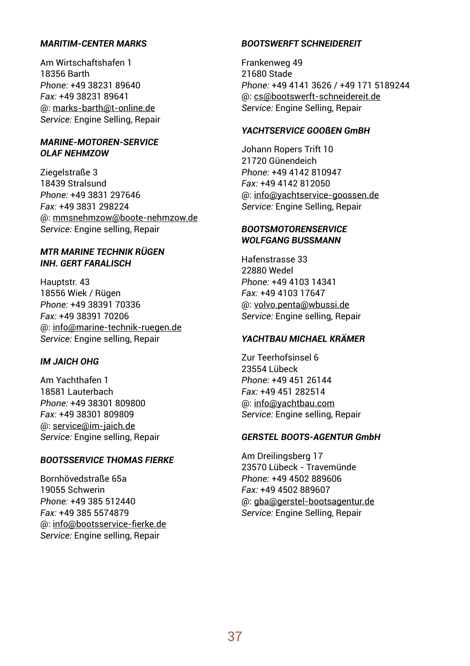## *MARITIM-CENTER MARKS*

Am Wirtschaftshafen 1 18356 Barth *Phone:* +49 38231 89640 *Fax:* +49 38231 89641 @: marks-barth@t-online.de *Service:* Engine Selling, Repair

### *MARINE-MOTOREN-SERVICE OLAF NEHMZOW*

Ziegelstraße 3 18439 Stralsund *Phone:* +49 3831 297646 *Fax:* +49 3831 298224 @: mmsnehmzow@boote-nehmzow.de *Service:* Engine selling, Repair

### *MTR MARINE TECHNIK RÜGEN INH. GERT FARALISCH*

Hauptstr. 43 18556 Wiek / Rügen *Phone:* +49 38391 70336 *Fax:* +49 38391 70206 @: info@marine-technik-ruegen.de *Service:* Engine selling, Repair

## *IM JAICH OHG*

Am Yachthafen 1 18581 Lauterbach *Phone:* +49 38301 809800 *Fax:* +49 38301 809809 @: service@im-jaich.de *Service:* Engine selling, Repair

### *BOOTSSERVICE THOMAS FIERKE*

Bornhövedstraße 65a 19055 Schwerin *Phone:* +49 385 512440 *Fax:* +49 385 5574879 @: info@bootsservice-fierke.de *Service:* Engine selling, Repair

## *BOOTSWERFT SCHNEIDEREIT*

Frankenweg 49 21680 Stade *Phone:* +49 4141 3626 / +49 171 5189244 @: cs@bootswerft-schneidereit.de *Service:* Engine Selling, Repair

## *YACHTSERVICE GOOSEN GmBH*

Johann Ropers Trift 10 21720 Günendeich *Phone:* +49 4142 810947 *Fax:* +49 4142 812050 @: info@yachtservice-goossen.de *Service:* Engine Selling, Repair

## *BOOTSMOTORENSERVICE WOLFGANG BUSSMANN*

Hafenstrasse 33 22880 Wedel *Phone:* +49 4103 14341 *Fax:* +49 4103 17647 @: volvo.penta@wbussi.de *Service:* Engine selling, Repair

## *YACHTBAU MICHAEL KRÄMER*

Zur Teerhofsinsel 6 23554 Lübeck *Phone:* +49 451 26144 *Fax:* +49 451 282514 @: info@yachtbau.com *Service:* Engine selling, Repair

### *GERSTEL BOOTS-AGENTUR GmbH*

Am Dreilingsberg 17 23570 Lübeck - Travemünde *Phone:* +49 4502 889606 *Fax:* +49 4502 889607 @: gba@gerstel-bootsagentur.de *Service:* Engine Selling, Repair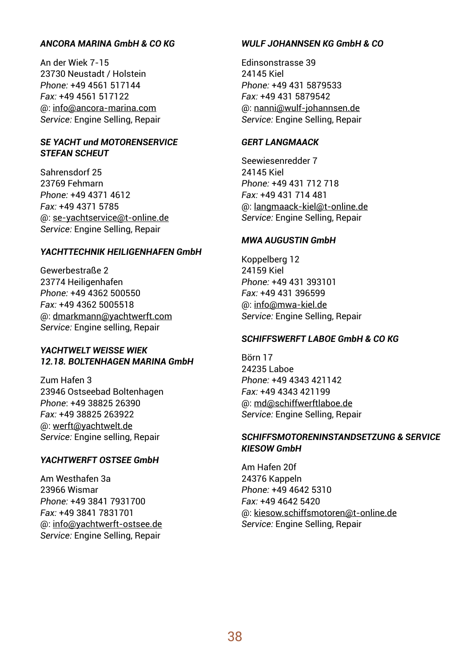## *ANCORA MARINA GmbH & CO KG*

An der Wiek 7-15 23730 Neustadt / Holstein *Phone:* +49 4561 517144 *Fax:* +49 4561 517122 @: info@ancora-marina.com *Service:* Engine Selling, Repair

### *SE YACHT und MOTORENSERVICE STEFAN SCHEUT*

Sahrensdorf 25 23769 Fehmarn *Phone:* +49 4371 4612 *Fax:* +49 4371 5785 @: se-yachtservice@t-online.de *Service:* Engine Selling, Repair

### *YACHTTECHNIK HEILIGENHAFEN GmbH*

Gewerbestraße 2 23774 Heiligenhafen *Phone:* +49 4362 500550 *Fax:* +49 4362 5005518 @: dmarkmann@yachtwerft.com *Service:* Engine selling, Repair

### *YACHTWELT WEISSE WIEK 12.18. BOLTENHAGEN MARINA GmbH*

Zum Hafen 3 23946 Ostseebad Boltenhagen *Phone*: +49 38825 26390 *Fax:* +49 38825 263922 @: werft@yachtwelt.de *Service:* Engine selling, Repair

### *YACHTWERFT OSTSEE GmbH*

Am Westhafen 3a 23966 Wismar *Phone:* +49 3841 7931700 *Fax:* +49 3841 7831701 @: info@yachtwerft-ostsee.de *Service:* Engine Selling, Repair

## *WULF JOHANNSEN KG GmbH & CO*

Edinsonstrasse 39 24145 Kiel *Phone:* +49 431 5879533 *Fax:* +49 431 5879542 @: nanni@wulf-johannsen.de *Service:* Engine Selling, Repair

### *GERT LANGMAACK*

Seewiesenredder 7 24145 Kiel *Phone:* +49 431 712 718 *Fax:* +49 431 714 481 @: langmaack-kiel@t-online.de *Service:* Engine Selling, Repair

## *MWA AUGUSTIN GmbH*

Koppelberg 12 24159 Kiel *Phone:* +49 431 393101 *Fax:* +49 431 396599 @: info@mwa-kiel.de *Service:* Engine Selling, Repair

### *SCHIFFSWERFT LABOE GmbH & CO KG*

Börn 17 24235 Laboe *Phone:* +49 4343 421142 *Fax:* +49 4343 421199 @: md@schiffwerftlaboe.de *Service:* Engine Selling, Repair

### *SCHIFFSMOTORENINSTANDSETZUNG & SERVICE KIESOW GmbH*

Am Hafen 20f 24376 Kappeln *Phone:* +49 4642 5310 *Fax:* +49 4642 5420 @: kiesow.schiffsmotoren@t-online.de *Service:* Engine Selling, Repair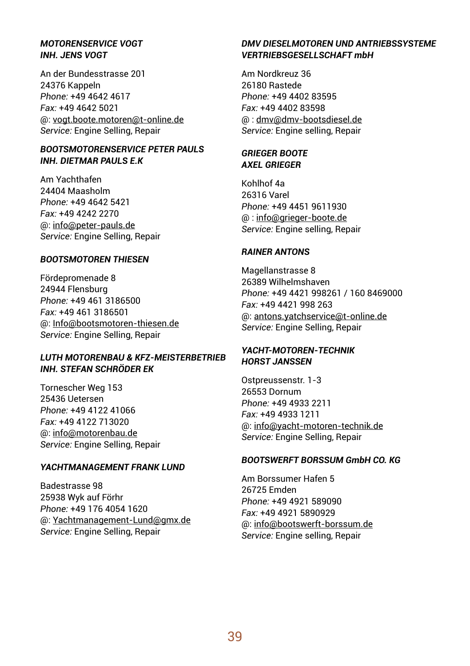## *MOTORENSERVICE VOGT INH. JENS VOGT*

An der Bundesstrasse 201 24376 Kappeln *Phone:* +49 4642 4617 *Fax:* +49 4642 5021 @: vogt.boote.motoren@t-online.de *Service:* Engine Selling, Repair

### *BOOTSMOTORENSERVICE PETER PAULS INH. DIETMAR PAULS E.K*

Am Yachthafen 24404 Maasholm *Phone:* +49 4642 5421 *Fax:* +49 4242 2270 @: info@peter-pauls.de *Service:* Engine Selling, Repair

## *BOOTSMOTOREN THIESEN*

Fördepromenade 8 24944 Flensburg *Phone:* +49 461 3186500 *Fax:* +49 461 3186501 @: Info@bootsmotoren-thiesen.de *Service:* Engine Selling, Repair

## *LUTH MOTORENBAU & KFZ-MEISTERBETRIEB INH. STEFAN SCHRÖDER EK*

Tornescher Weg 153 25436 Uetersen *Phone:* +49 4122 41066 *Fax:* +49 4122 713020 @: info@motorenbau.de *Service:* Engine Selling, Repair

### *YACHTMANAGEMENT FRANK LUND*

Badestrasse 98 25938 Wyk auf Förhr *Phone:* +49 176 4054 1620 @: Yachtmanagement-Lund@gmx.de *Service:* Engine Selling, Repair

## *DMV DIESELMOTOREN UND ANTRIEBSSYSTEME VERTRIEBSGESELLSCHAFT mbH*

Am Nordkreuz 36 26180 Rastede *Phone:* +49 4402 83595 *Fax:* +49 4402 83598 @ : dmv@dmv-bootsdiesel.de *Service:* Engine selling, Repair

## *GRIEGER BOOTE AXEL GRIEGER*

Kohlhof 4a 26316 Varel *Phone:* +49 4451 9611930 @ : info@grieger-boote.de *Service:* Engine selling, Repair

### *RAINER ANTONS*

Magellanstrasse 8 26389 Wilhelmshaven *Phone:* +49 4421 998261 / 160 8469000 *Fax:* +49 4421 998 263 @: antons.yatchservice@t-online.de *Service:* Engine Selling, Repair

## *YACHT-MOTOREN-TECHNIK HORST JANSSEN*

Ostpreussenstr. 1-3 26553 Dornum *Phone:* +49 4933 2211 *Fax:* +49 4933 1211 @: info@yacht-motoren-technik.de *Service:* Engine Selling, Repair

### *BOOTSWERFT BORSSUM GmbH CO. KG*

Am Borssumer Hafen 5 26725 Emden *Phone:* +49 4921 589090 *Fax:* +49 4921 5890929 @: info@bootswerft-borssum.de *Service:* Engine selling, Repair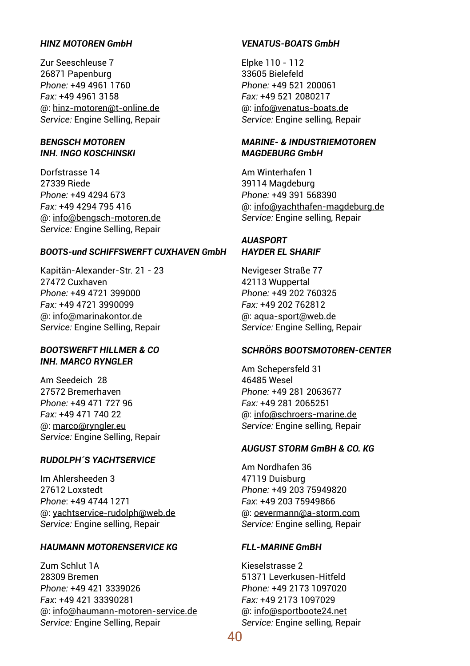## *HINZ MOTOREN GmbH*

Zur Seeschleuse 7 26871 Papenburg *Phone:* +49 4961 1760 *Fax:* +49 4961 3158 @: hinz-motoren@t-online.de *Service:* Engine Selling, Repair

### *BENGSCH MOTOREN INH. INGO KOSCHINSKI*

Dorfstrasse 14 27339 Riede *Phone:* +49 4294 673 *Fax:* +49 4294 795 416 @: info@bengsch-motoren.de *Service:* Engine Selling, Repair

### *BOOTS-und SCHIFFSWERFT CUXHAVEN GmbH*

Kapitän-Alexander-Str. 21 - 23 27472 Cuxhaven *Phone:* +49 4721 399000 *Fax:* +49 4721 3990099 @: info@marinakontor.de *Service:* Engine Selling, Repair

### *BOOTSWERFT HILLMER & CO INH. MARCO RYNGLER*

Am Seedeich 28 27572 Bremerhaven *Phone:* +49 471 727 96 *Fax:* +49 471 740 22 @: marco@ryngler.eu *Service:* Engine Selling, Repair

### *RUDOLPH´S YACHTSERVICE*

Im Ahlersheeden 3 27612 Loxstedt *Phone*: +49 4744 1271 @: yachtservice-rudolph@web.de *Service:* Engine selling, Repair

### *HAUMANN MOTORENSERVICE KG*

Zum Schlut 1A 28309 Bremen *Phone:* +49 421 3339026 *Fax*: +49 421 33390281 @: info@haumann-motoren-service.de *Service:* Engine Selling, Repair

## *VENATUS-BOATS GmbH*

Elpke 110 - 112 33605 Bielefeld *Phone:* +49 521 200061 *Fax:* +49 521 2080217 @: info@venatus-boats.de *Service:* Engine selling, Repair

### *MARINE- & INDUSTRIEMOTOREN MAGDEBURG GmbH*

Am Winterhafen 1 39114 Magdeburg *Phone:* +49 391 568390 @: info@yachthafen-magdeburg.de *Service:* Engine selling, Repair

## *AUASPORT HAYDER EL SHARIF*

Nevigeser Straße 77 42113 Wuppertal *Phone:* +49 202 760325 *Fax:* +49 202 762812 @: aqua-sport@web.de *Service:* Engine Selling, Repair

### *SCHRÖRS BOOTSMOTOREN-CENTER*

Am Schepersfeld 31 46485 Wesel *Phone:* +49 281 2063677 *Fax:* +49 281 2065251 @: info@schroers-marine.de *Service:* Engine selling, Repair

## *AUGUST STORM GmBH & CO. KG*

Am Nordhafen 36 47119 Duisburg *Phone:* +49 203 75949820 *Fax*: +49 203 75949866 @: oevermann@a-storm.com *Service:* Engine selling, Repair

### *FLL-MARINE GmBH*

Kieselstrasse 2 51371 Leverkusen-Hitfeld *Phone:* +49 2173 1097020 *Fax:* +49 2173 1097029 @: info@sportboote24.net *Service:* Engine selling, Repair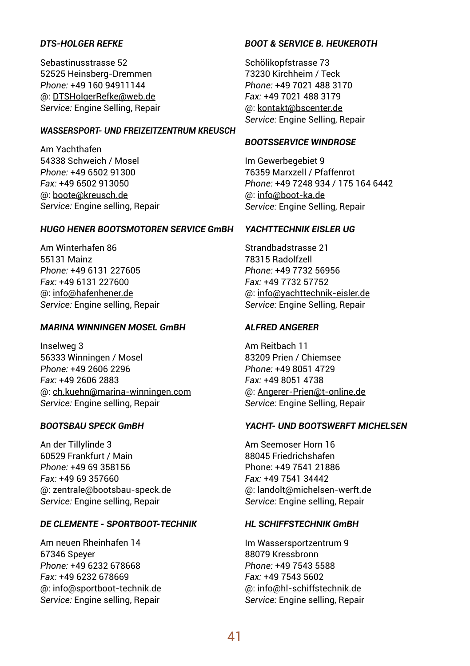## *DTS-HOLGER REFKE*

Sebastinusstrasse 52 52525 Heinsberg-Dremmen *Phone:* +49 160 94911144 @: DTSHolgerRefke@web.de *Service:* Engine Selling, Repair

## *WASSERSPORT- UND FREIZEITZENTRUM KREUSCH*

Am Yachthafen 54338 Schweich / Mosel *Phone:* +49 6502 91300 *Fax:* +49 6502 913050 @: boote@kreusch.de *Service:* Engine selling, Repair

## *HUGO HENER BOOTSMOTOREN SERVICE GmBH*

Am Winterhafen 86 55131 Mainz *Phone:* +49 6131 227605 *Fax:* +49 6131 227600 @: info@hafenhener.de *Service:* Engine selling, Repair

#### *MARINA WINNINGEN MOSEL GmBH*

Inselweg 3 56333 Winningen / Mosel *Phone:* +49 2606 2296 *Fax:* +49 2606 2883 @: ch.kuehn@marina-winningen.com *Service:* Engine selling, Repair

### *BOOTSBAU SPECK GmBH*

An der Tillylinde 3 60529 Frankfurt / Main *Phone:* +49 69 358156 *Fax:* +49 69 357660 @: zentrale@bootsbau-speck.de *Service:* Engine selling, Repair

### *DE CLEMENTE - SPORTBOOT-TECHNIK*

Am neuen Rheinhafen 14 67346 Speyer *Phone:* +49 6232 678668 *Fax:* +49 6232 678669 @: info@sportboot-technik.de *Service:* Engine selling, Repair

### *BOOT & SERVICE B. HEUKEROTH*

Schölikopfstrasse 73 73230 Kirchheim / Teck *Phone:* +49 7021 488 3170 *Fax:* +49 7021 488 3179 @: kontakt@bscenter.de *Service:* Engine Selling, Repair

#### *BOOTSSERVICE WINDROSE*

Im Gewerbegebiet 9 76359 Marxzell / Pfaffenrot *Phone:* +49 7248 934 / 175 164 6442 @: info@boot-ka.de *Service:* Engine Selling, Repair

### *YACHTTECHNIK EISLER UG*

Strandbadstrasse 21 78315 Radolfzell *Phone:* +49 7732 56956 *Fax:* +49 7732 57752 @: info@yachttechnik-eisler.de *Service:* Engine Selling, Repair

### *ALFRED ANGERER*

Am Reitbach 11 83209 Prien / Chiemsee *Phone:* +49 8051 4729 *Fax:* +49 8051 4738 @: Angerer-Prien@t-online.de *Service:* Engine Selling, Repair

## *YACHT- UND BOOTSWERFT MICHELSEN*

Am Seemoser Horn 16 88045 Friedrichshafen Phone: +49 7541 21886 *Fax:* +49 7541 34442 @: landolt@michelsen-werft.de *Service:* Engine selling, Repair

### *HL SCHIFFSTECHNIK GmBH*

Im Wassersportzentrum 9 88079 Kressbronn *Phone:* +49 7543 5588 *Fax:* +49 7543 5602 @: info@hl-schiffstechnik.de *Service:* Engine selling, Repair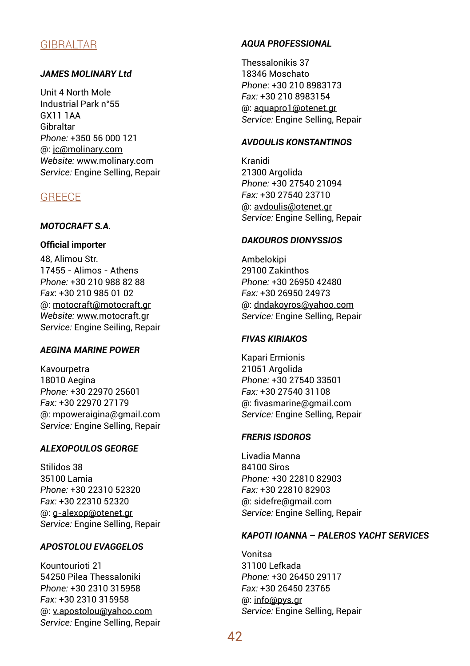## GIBRALTAR

## *JAMES MOLINARY Ltd*

Unit 4 North Mole Industrial Park n°55 GX11 1AA Gibraltar *Phone:* +350 56 000 121 @: jc@molinary.com *Website:* www.molinary.com *Service:* Engine Selling, Repair

## **GREECE**

# *MOTOCRAFT S.A.*

## **Official importer**

48, Alimou Str. 17455 - Alimos - Athens *Phone:* +30 210 988 82 88 *Fax*: +30 210 985 01 02 @: motocraft@motocraft.gr *Website:* www.motocraft.gr *Service:* Engine Seiling, Repair

### *AEGINA MARINE POWER*

Kavourpetra 18010 Aegina *Phone:* +30 22970 25601 *Fax:* +30 22970 27179 @: mpoweraigina@gmail.com *Service:* Engine Selling, Repair

## *ALEXOPOULOS GEORGE*

Stilidos 38 35100 Lamia *Phone:* +30 22310 52320 *Fax:* +30 22310 52320 @: g-alexop@otenet.gr *Service:* Engine Selling, Repair

### *APOSTOLOU EVAGGELOS*

Kountourioti 21 54250 Pilea Thessaloniki *Phone:* +30 2310 315958 *Fax:* +30 2310 315958 @: v.apostolou@yahoo.com *Service:* Engine Selling, Repair

## *AQUA PROFESSIONAL*

Thessalonikis 37 18346 Moschato *Phone*: +30 210 8983173 *Fax:* +30 210 8983154 @: aquapro1@otenet.gr *Service:* Engine Selling, Repair

### *AVDOULIS KONSTANTINOS*

Kranidi 21300 Argolida *Phone:* +30 27540 21094 *Fax:* +30 27540 23710 @: avdoulis@otenet.gr *Service:* Engine Selling, Repair

## *DAKOUROS DIONYSSIOS*

Ambelokipi 29100 Zakinthos *Phone:* +30 26950 42480 *Fax:* +30 26950 24973 @: dndakoyros@yahoo.com *Service:* Engine Selling, Repair

## *FIVAS KIRIAKOS*

Kapari Ermionis 21051 Argolida *Phone:* +30 27540 33501 *Fax:* +30 27540 31108 @: fivasmarine@gmail.com *Service:* Engine Selling, Repair

### *FRERIS ISDOROS*

Livadia Manna 84100 Siros *Phone:* +30 22810 82903 *Fax:* +30 22810 82903 @: sidefre@gmail.com *Service:* Engine Selling, Repair

### *KAPOTI IOANNA – PALEROS YACHT SERVICES*

Vonitsa 31100 Lefkada *Phone:* +30 26450 29117 *Fax:* +30 26450 23765 @: info@pys.gr *Service:* Engine Selling, Repair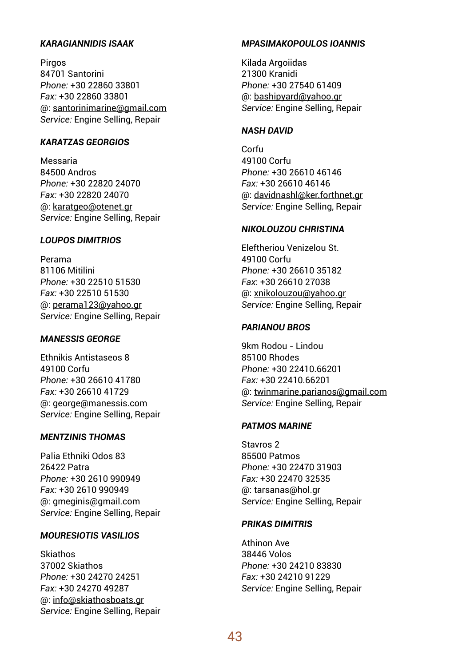## *KARAGIANNIDIS ISAAK*

Pirgos 84701 Santorini *Phone:* +30 22860 33801 *Fax:* +30 22860 33801 @: santorinimarine@gmail.com *Service:* Engine Selling, Repair

### *KARATZAS GEORGIOS*

Messaria 84500 Andros *Phone:* +30 22820 24070 *Fax:* +30 22820 24070 @: karatgeo@otenet.gr *Service:* Engine Selling, Repair

### *LOUPOS DIMITRIOS*

Perama 81106 Mitilini *Phone:* +30 22510 51530 *Fax:* +30 22510 51530 @: perama123@yahoo.gr *Service:* Engine Selling, Repair

## *MANESSIS GEORGE*

Ethnikis Antistaseos 8 49100 Corfu *Phone:* +30 26610 41780 *Fax:* +30 26610 41729 @: george@manessis.com *Service:* Engine Selling, Repair

### *MENTZINIS THOMAS*

Palia Ethniki Odos 83 26422 Patra *Phone:* +30 2610 990949 *Fax:* +30 2610 990949 @: gmeginis@gmail.com *Service:* Engine Selling, Repair

### *MOURESIOTIS VASILIOS*

Skiathos 37002 Skiathos *Phone:* +30 24270 24251 *Fax:* +30 24270 49287 @: info@skiathosboats.gr *Service:* Engine Selling, Repair

### *MPASIMAKOPOULOS IOANNIS*

Kilada Argoiidas 21300 Kranidi *Phone:* +30 27540 61409 @: bashipyard@yahoo.gr *Service:* Engine Selling, Repair

### *NASH DAVID*

Corfu 49100 Corfu *Phone:* +30 26610 46146 *Fax:* +30 26610 46146 @: davidnashl@ker.forthnet.gr *Service:* Engine Selling, Repair

## *NIKOLOUZOU CHRISTINA*

Eleftheriou Venizelou St. 49100 Corfu *Phone:* +30 26610 35182 *Fax*: +30 26610 27038 @: xnikolouzou@yahoo.gr *Service:* Engine Selling, Repair

### *PARIANOU BROS*

9km Rodou - Lindou 85100 Rhodes *Phone:* +30 22410.66201 *Fax:* +30 22410.66201 @: twinmarine.parianos@gmail.com *Service:* Engine Selling, Repair

### *PATMOS MARINE*

Stavros 2 85500 Patmos *Phone:* +30 22470 31903 *Fax:* +30 22470 32535 @: tarsanas@hol.gr *Service:* Engine Selling, Repair

### *PRIKAS DIMITRIS*

Athinon Ave 38446 Volos *Phone:* +30 24210 83830 *Fax:* +30 24210 91229 *Service:* Engine Selling, Repair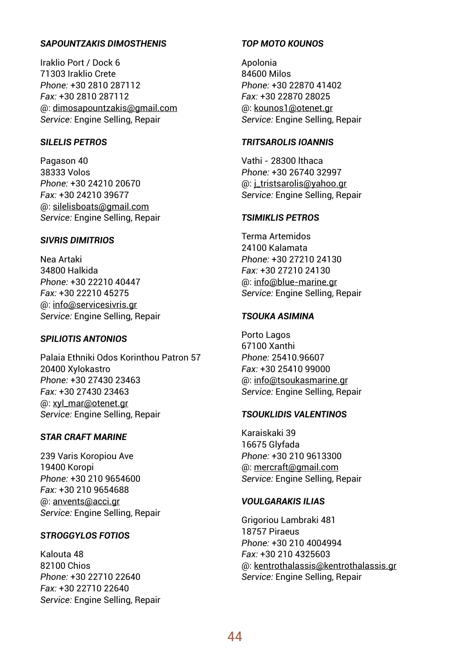## *SAPOUNTZAKIS DIMOSTHENIS*

Iraklio Port / Dock 6 71303 Iraklio Crete *Phone:* +30 2810 287112 *Fax:* +30 2810 287112 @: dimosapountzakis@gmail.com *Service:* Engine Selling, Repair

### *SILELIS PETROS*

Pagason 40 38333 Volos *Phone:* +30 24210 20670 *Fax:* +30 24210 39677 @: silelisboats@gmail.com *Service:* Engine Selling, Repair

### *SIVRIS DIMITRIOS*

Nea Artaki 34800 Halkida *Phone:* +30 22210 40447 *Fax:* +30 22210 45275 @: info@servicesivris.gr *Service:* Engine Selling, Repair

## *SPILIOTIS ANTONIOS*

Palaia Ethniki Odos Korinthou Patron 57 20400 Xylokastro *Phone:* +30 27430 23463 *Fax:* +30 27430 23463 @: xyl\_mar@otenet.gr *Service:* Engine Selling, Repair

### *STAR CRAFT MARINE*

239 Varis Koropiou Ave 19400 Koropi *Phone:* +30 210 9654600 *Fax:* +30 210 9654688 @: anvents@acci.gr *Service:* Engine Selling, Repair

### *STROGGYLOS FOTIOS*

Kalouta 48 82100 Chios *Phone:* +30 22710 22640 *Fax:* +30 22710 22640 *Service:* Engine Selling, Repair

## *TOP MOTO KOUNOS*

Apolonia 84600 Milos *Phone:* +30 22870 41402 *Fax:* +30 22870 28025 @: kounos1@otenet.gr *Service:* Engine Selling, Repair

### *TRITSAROLIS IOANNIS*

Vathi - 28300 lthaca *Phone:* +30 26740 32997 @: j\_tristsarolis@yahoo.gr *Service:* Engine Selling, Repair

### *TSIMIKLIS PETROS*

Terma Artemidos 24100 Kalamata *Phone:* +30 27210 24130 *Fax:* +30 27210 24130 @: info@blue-marine.gr *Service:* Engine Selling, Repair

## *TSOUKA ASIMINA*

Porto Lagos 67100 Xanthi *Phone:* 25410.96607 *Fax:* +30 25410 99000 @: info@tsoukasmarine.gr *Service:* Engine Selling, Repair

### *TSOUKLIDIS VALENTINOS*

Karaiskaki 39 16675 Glyfada *Phone:* +30 210 9613300 @: mercraft@gmail.com *Service:* Engine Selling, Repair

## *VOULGARAKIS ILIAS*

Grigoriou Lambraki 481 18757 Piraeus *Phone:* +30 210 4004994 *Fax:* +30 210 4325603 @: kentrothalassis@kentrothalassis.gr *Service:* Engine Selling, Repair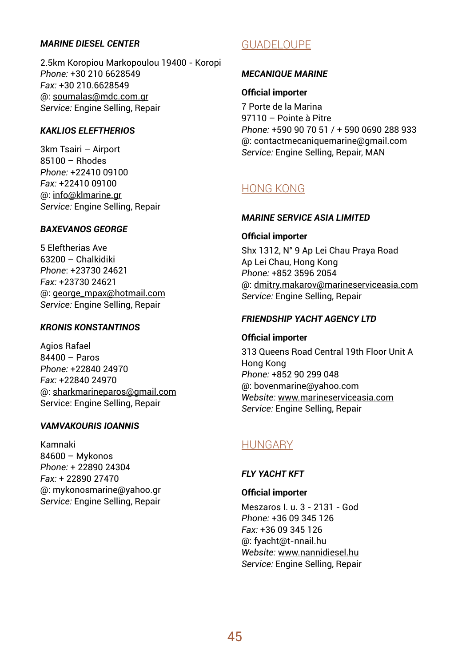## *MARINE DIESEL CENTER*

2.5km Koropiou Markopoulou 19400 - Koropi *Phone:* +30 210 6628549 *Fax:* +30 210.6628549 @: soumalas@mdc.com.gr *Service:* Engine Selling, Repair

## *KAKLIOS ELEFTHERIOS*

3km Tsairi – Airport 85100 – Rhodes *Phone:* +22410 09100 *Fax:* +22410 09100 @: info@klmarine.gr *Service:* Engine Selling, Repair

## *BAXEVANOS GEORGE*

5 Eleftherias Ave 63200 – Chalkidiki *Phone*: +23730 24621 *Fax:* +23730 24621 @: george\_mpax@hotmail.com *Service:* Engine Selling, Repair

### *KRONIS KONSTANTINOS*

Agios Rafael 84400 – Paros *Phone:* +22840 24970 *Fax:* +22840 24970 @: sharkmarineparos@gmail.com Service: Engine Selling, Repair

### *VAMVAKOURIS IOANNIS*

Kamnaki 84600 – Mykonos *Phone:* + 22890 24304 *Fax:* + 22890 27470 @: mykonosmarine@yahoo.gr *Service:* Engine Selling, Repair

# GUADELOUPE

### *MECANIQUE MARINE*

### **Official importer**

7 Porte de la Marina 97110 – Pointe à Pitre *Phone:* +590 90 70 51 / + 590 0690 288 933 @: contactmecaniquemarine@gmail.com *Service:* Engine Selling, Repair, MAN

## HONG KONG

### *MARINE SERVICE ASIA LIMITED*

### **Official importer**

Shx 1312, N° 9 Ap Lei Chau Praya Road Ap Lei Chau, Hong Kong *Phone:* +852 3596 2054 @: dmitry.makarov@marineserviceasia.com *Service:* Engine Selling, Repair

### *FRIENDSHIP YACHT AGENCY LTD*

### **Official importer**

313 Queens Road Central 19th Floor Unit A Hong Kong *Phone:* +852 90 299 048 @: bovenmarine@yahoo.com *Website:* www.marineserviceasia.com *Service:* Engine Selling, Repair

## HUNGARY

## *FLY YACHT KFT*

**Official importer** Meszaros I. u. 3 - 2131 - God *Phone:* +36 09 345 126 *Fax:* +36 09 345 126 @: fyacht@t-nnail.hu *Website:* www.nannidiesel.hu *Service:* Engine Selling, Repair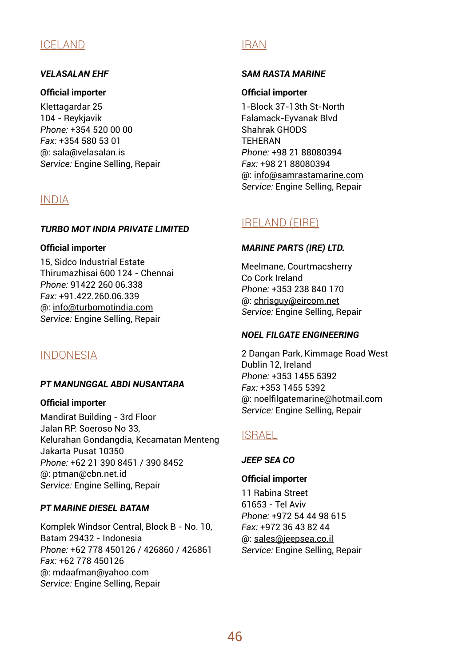## ICELAND

## *VELASALAN EHF*

### **Official importer**

Klettagardar 25 104 - Reykjavik *Phone:* +354 520 00 00 *Fax:* +354 580 53 01 @: sala@velasalan.is *Service:* Engine Selling, Repair

## INDIA

## *TURBO MOT INDIA PRIVATE LIMITED*

### **Official importer**

15, Sidco Industrial Estate Thirumazhisai 600 124 - Chennai *Phone:* 91422 260 06.338 *Fax:* +91.422.260.06.339 @: info@turbomotindia.com *Service:* Engine Selling, Repair

## INDONESIA

### *PT MANUNGGAL ABDI NUSANTARA*

### **Official importer**

Mandirat Building - 3rd Floor Jalan RP. Soeroso No 33, Kelurahan Gondangdia, Kecamatan Menteng Jakarta Pusat 10350 *Phone:* +62 21 390 8451 / 390 8452 @: ptman@cbn.net.id *Service:* Engine Selling, Repair

## *PT MARINE DIESEL BATAM*

Komplek Windsor Central, Block B - No. 10, Batam 29432 - Indonesia *Phone:* +62 778 450126 / 426860 / 426861 *Fax:* +62 778 450126 @: mdaafman@yahoo.com *Service:* Engine Selling, Repair

## IRAN

## *SAM RASTA MARINE*

## **Official importer**

1-Block 37-13th St-North Falamack-Eyvanak Blvd Shahrak GHODS **TEHERAN** *Phone:* +98 21 88080394 *Fax:* +98 21 88080394 @: info@samrastamarine.com *Service:* Engine Selling, Repair

# IRELAND (EIRE)

## *MARINE PARTS (IRE) LTD.*

Meelmane, Courtmacsherry Co Cork Ireland *Phone:* +353 238 840 170 @: chrisguy@eircom.net *Service:* Engine Selling, Repair

## *NOEL FILGATE ENGINEERING*

2 Dangan Park, Kimmage Road West Dublin 12, Ireland *Phone:* +353 1455 5392 *Fax:* +353 1455 5392 @: noelfilgatemarine@hotmail.com *Service:* Engine Selling, Repair

## ISRAEL

## *JEEP SEA CO*

### **Official importer**

11 Rabina Street 61653 - Tel Aviv *Phone:* +972 54 44 98 615 *Fax:* +972 36 43 82 44 @: sales@jeepsea.co.il *Service:* Engine Selling, Repair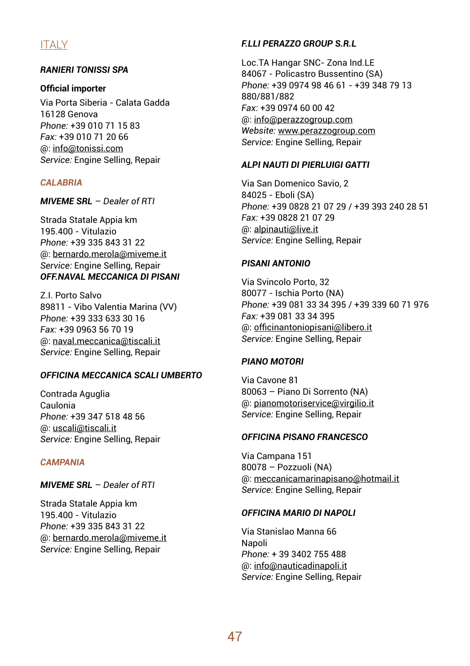# ITALY

## *RANIERI TONISSI SPA*

### **Official importer**

Via Porta Siberia - Calata Gadda 16128 Genova *Phone:* +39 010 71 15 83 *Fax:* +39 010 71 20 66 @: info@tonissi.com *Service:* Engine Selling, Repair

### *CALABRIA*

*MIVEME SRL – Dealer of RTI*

Strada Statale Appia km 195.400 - Vitulazio *Phone:* +39 335 843 31 22 @: bernardo.merola@miveme.it *Service:* Engine Selling, Repair *OFF.NAVAL MECCANICA DI PISANI*

Z.I. Porto Salvo 89811 - Vibo Valentia Marina (VV) *Phone:* +39 333 633 30 16 *Fax:* +39 0963 56 70 19 @: naval.meccanica@tiscali.it *Service:* Engine Selling, Repair

## *OFFICINA MECCANICA SCALI UMBERTO*

Contrada Aguglia Caulonia *Phone:* +39 347 518 48 56 @: uscali@tiscali.it *Service:* Engine Selling, Repair

### *CAMPANIA*

*MIVEME SRL – Dealer of RTI*

Strada Statale Appia km 195.400 - Vitulazio *Phone:* +39 335 843 31 22 @: bernardo.merola@miveme.it *Service:* Engine Selling, Repair

## *F.LLI PERAZZO GROUP S.R.L*

Loc.TA Hangar SNC- Zona Ind.LE 84067 - Policastro Bussentino (SA) *Phone:* +39 0974 98 46 61 - +39 348 79 13 880/881/882 *Fax:* +39 0974 60 00 42 @: info@perazzogroup.com *Website:* www.perazzogroup.com *Service:* Engine Selling, Repair

### *ALPI NAUTI DI PIERLUIGI GATTI*

Via San Domenico Savio, 2 84025 - Eboli (SA) *Phone:* +39 0828 21 07 29 / +39 393 240 28 51 *Fax:* +39 0828 21 07 29 @: alpinauti@live.it *Service:* Engine Selling, Repair

## *PISANI ANTONIO*

Via Svincolo Porto, 32 80077 - Ischia Porto (NA) *Phone:* +39 081 33 34 395 / +39 339 60 71 976 *Fax:* +39 081 33 34 395 @: officinantoniopisani@libero.it *Service:* Engine Selling, Repair

## *PIANO MOTORI*

Via Cavone 81 80063 – Piano Di Sorrento (NA) @: pianomotoriservice@virgilio.it *Service:* Engine Selling, Repair

### *OFFICINA PISANO FRANCESCO*

Via Campana 151 80078 – Pozzuoli (NA) @: meccanicamarinapisano@hotmail.it *Service:* Engine Selling, Repair

## *OFFICINA MARIO DI NAPOLI*

Via Stanislao Manna 66 Napoli *Phone:* + 39 3402 755 488 @: info@nauticadinapoli.it *Service:* Engine Selling, Repair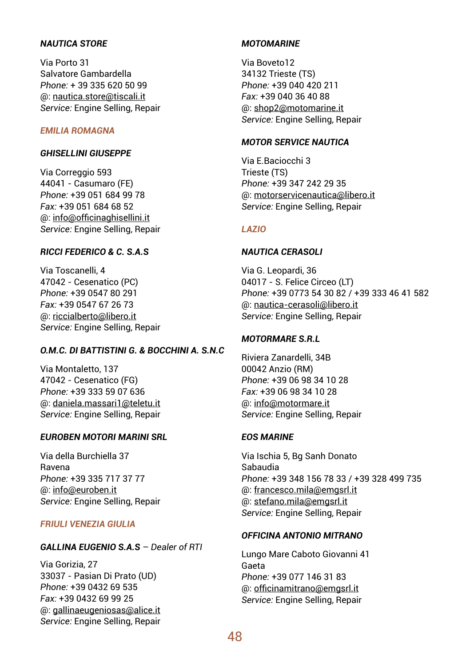## *NAUTICA STORE*

Via Porto 31 Salvatore Gambardella *Phone:* + 39 335 620 50 99 @: nautica.store@tiscali.it *Service:* Engine Selling, Repair

## *EMILIA ROMAGNA*

### *GHISELLINI GIUSEPPE*

Via Correggio 593 44041 - Casumaro (FE) *Phone:* +39 051 684 99 78 *Fax:* +39 051 684 68 52 @: info@officinaghisellini.it *Service:* Engine Selling, Repair

### *RICCI FEDERICO & C. S.A.S*

Via Toscanelli, 4 47042 - Cesenatico (PC) *Phone:* +39 0547 80 291 *Fax:* +39 0547 67 26 73 @: riccialberto@libero.it *Service:* Engine Selling, Repair

## *O.M.C. DI BATTISTINI G. & BOCCHINI A. S.N.C*

Via Montaletto, 137 47042 - Cesenatico (FG) *Phone:* +39 333 59 07 636 @: daniela.massari1@teletu.it *Service:* Engine Selling, Repair

### *EUROBEN MOTORI MARINI SRL*

Via della Burchiella 37 Ravena *Phone:* +39 335 717 37 77 @: info@euroben.it *Service:* Engine Selling, Repair

## *FRIULI VENEZIA GIULIA*

## *GALLINA EUGENIO S.A.S – Dealer of RTI*

Via Gorizia, 27 33037 - Pasian Di Prato (UD) *Phone:* +39 0432 69 535 *Fax:* +39 0432 69 99 25 @: gallinaeugeniosas@alice.it *Service:* Engine Selling, Repair

## *MOTOMARINE*

Via Boveto12 34132 Trieste (TS) *Phone:* +39 040 420 211 *Fax:* +39 040 36 40 88 @: shop2@motomarine.it *Service:* Engine Selling, Repair

### *MOTOR SERVICE NAUTICA*

Via E.Baciocchi 3 Trieste (TS) *Phone:* +39 347 242 29 35 @: motorservicenautica@libero.it *Service:* Engine Selling, Repair

### *LAZIO*

### *NAUTICA CERASOLI*

Via G. Leopardi, 36 04017 - S. Felice Circeo (LT) *Phone:* +39 0773 54 30 82 / +39 333 46 41 582 @: nautica-cerasoli@libero.it *Service:* Engine Selling, Repair

## *MOTORMARE S.R.L*

Riviera Zanardelli, 34B 00042 Anzio (RM) *Phone:* +39 06 98 34 10 28 *Fax:* +39 06 98 34 10 28 @: info@motormare.it *Service:* Engine Selling, Repair

## *EOS MARINE*

Via Ischia 5, Bg Sanh Donato Sabaudia *Phone:* +39 348 156 78 33 / +39 328 499 735 @: francesco.mila@emgsrl.it @: stefano.mila@emgsrl.it *Service:* Engine Selling, Repair

### *OFFICINA ANTONIO MITRANO*

Lungo Mare Caboto Giovanni 41 Gaeta *Phone:* +39 077 146 31 83 @: officinamitrano@emgsrl.it *Service:* Engine Selling, Repair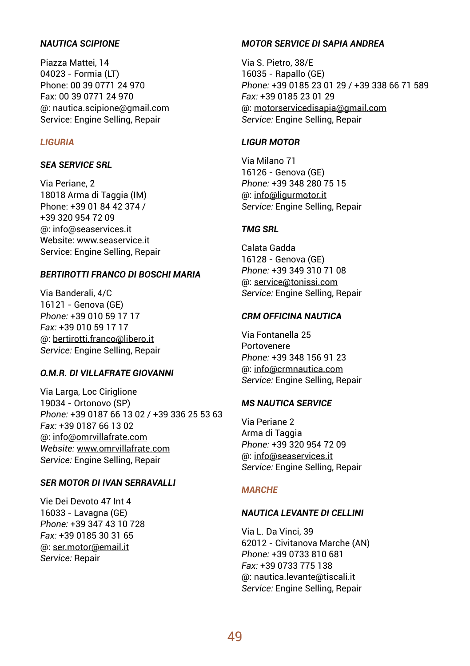## *NAUTICA SCIPIONE*

Piazza Mattei, 14 04023 - Formia (LT) Phone: 00 39 0771 24 970 Fax: 00 39 0771 24 970 @: nautica.scipione@gmail.com Service: Engine Selling, Repair

### *LIGURIA*

### *SEA SERVICE SRL*

Via Periane, 2 18018 Arma di Taggia (IM) Phone: +39 01 84 42 374 / +39 320 954 72 09 @: info@seaservices.it Website: www.seaservice.it Service: Engine Selling, Repair

### *BERTIROTTI FRANCO DI BOSCHI MARIA*

Via Banderali, 4/C 16121 - Genova (GE) *Phone:* +39 010 59 17 17 *Fax:* +39 010 59 17 17 @: bertirotti.franco@libero.it *Service:* Engine Selling, Repair

## *O.M.R. DI VILLAFRATE GIOVANNI*

Via Larga, Loc Ciriglione 19034 - Ortonovo (SP) *Phone:* +39 0187 66 13 02 / +39 336 25 53 63 *Fax:* +39 0187 66 13 02 @: info@omrvillafrate.com *Website:* www.omrvillafrate.com *Service:* Engine Selling, Repair

### *SER MOTOR DI IVAN SERRAVALLI*

Vie Dei Devoto 47 Int 4 16033 - Lavagna (GE) *Phone:* +39 347 43 10 728 *Fax:* +39 0185 30 31 65 @: ser.motor@email.it *Service:* Repair

## *MOTOR SERVICE DI SAPIA ANDREA*

Via S. Pietro, 38/E 16035 - Rapallo (GE) *Phone:* +39 0185 23 01 29 / +39 338 66 71 589 *Fax:* +39 0185 23 01 29 @: motorservicedisapia@gmail.com *Service:* Engine Selling, Repair

### *LIGUR MOTOR*

Via Milano 71 16126 - Genova (GE) *Phone:* +39 348 280 75 15 @: info@ligurmotor.it *Service:* Engine Selling, Repair

### *TMG SRL*

Calata Gadda 16128 - Genova (GE) *Phone:* +39 349 310 71 08 @: service@tonissi.com *Service:* Engine Selling, Repair

## *CRM OFFICINA NAUTICA*

Via Fontanella 25 Portovenere *Phone:* +39 348 156 91 23 @: info@crmnautica.com *Service:* Engine Selling, Repair

### *MS NAUTICA SERVICE*

Via Periane 2 Arma di Taggia *Phone:* +39 320 954 72 09 @: info@seaservices.it *Service:* Engine Selling, Repair

### *MARCHE*

### *NAUTICA LEVANTE DI CELLINI*

Via L. Da Vinci, 39 62012 - Civitanova Marche (AN) *Phone:* +39 0733 810 681 *Fax:* +39 0733 775 138 @: nautica.levante@tiscali.it *Service:* Engine Selling, Repair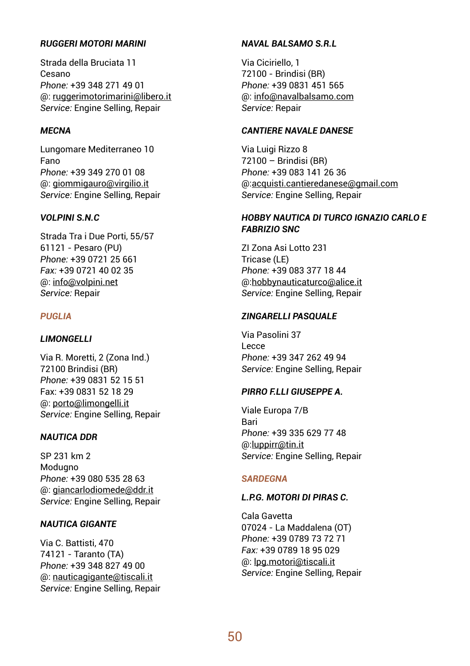## *RUGGERI MOTORI MARINI*

Strada della Bruciata 11 Cesano *Phone:* +39 348 271 49 01 @: ruggerimotorimarini@libero.it *Service:* Engine Selling, Repair

## *MECNA*

Lungomare Mediterraneo 10 Fano *Phone:* +39 349 270 01 08 @: giommigauro@virgilio.it *Service:* Engine Selling, Repair

### *VOLPINI S.N.C*

Strada Tra i Due Porti, 55/57 61121 - Pesaro (PU) *Phone:* +39 0721 25 661 *Fax:* +39 0721 40 02 35 @: info@volpini.net *Service:* Repair

## *PUGLIA*

## *LIMONGELLI*

Via R. Moretti, 2 (Zona Ind.) 72100 Brindisi (BR) *Phone:* +39 0831 52 15 51 Fax: +39 0831 52 18 29 @: porto@limongelli.it *Service:* Engine Selling, Repair

### *NAUTICA DDR*

SP 231 km 2 Modugno *Phone:* +39 080 535 28 63 @: giancarlodiomede@ddr.it *Service:* Engine Selling, Repair

## *NAUTICA GIGANTE*

Via C. Battisti, 470 74121 - Taranto (TA) *Phone:* +39 348 827 49 00 @: nauticagigante@tiscali.it *Service:* Engine Selling, Repair

## *NAVAL BALSAMO S.R.L*

Via Ciciriello, 1 72100 - Brindisi (BR) *Phone:* +39 0831 451 565 @: info@navalbalsamo.com *Service:* Repair

## *CANTIERE NAVALE DANESE*

Via Luigi Rizzo 8 72100 – Brindisi (BR) *Phone:* +39 083 141 26 36 @:acquisti.cantieredanese@gmail.com *Service:* Engine Selling, Repair

## *HOBBY NAUTICA DI TURCO IGNAZIO CARLO E FABRIZIO SNC*

ZI Zona Asi Lotto 231 Tricase (LE) *Phone:* +39 083 377 18 44 @:hobbynauticaturco@alice.it *Service:* Engine Selling, Repair

## *ZINGARELLI PASQUALE*

Via Pasolini 37 Lecce *Phone:* +39 347 262 49 94 *Service:* Engine Selling, Repair

## *PIRRO F.LLI GIUSEPPE A.*

Viale Europa 7/B Bari *Phone:* +39 335 629 77 48 @:luppirr@tin.it *Service:* Engine Selling, Repair

### *SARDEGNA*

### *L.P.G. MOTORI DI PIRAS C.*

Cala Gavetta 07024 - La Maddalena (OT) *Phone:* +39 0789 73 72 71 *Fax:* +39 0789 18 95 029 @: lpg.motori@tiscali.it *Service:* Engine Selling, Repair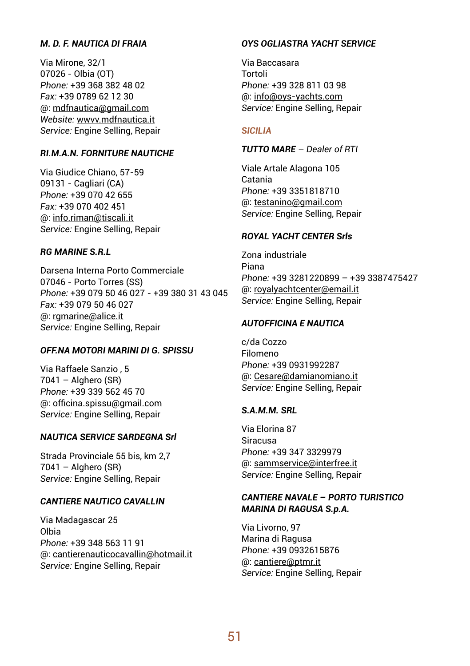## *M. D. F. NAUTICA DI FRAIA*

Via Mirone, 32/1 07026 - Olbia (OT) *Phone:* +39 368 382 48 02 *Fax:* +39 0789 62 12 30 @: mdfnautica@gmail.com *Website:* wwvv.mdfnautica.it *Service:* Engine Selling, Repair

### *RI.M.A.N. FORNITURE NAUTICHE*

Via Giudice Chiano, 57-59 09131 - Cagliari (CA) *Phone:* +39 070 42 655 *Fax:* +39 070 402 451 @: info.riman@tiscali.it *Service:* Engine Selling, Repair

### *RG MARINE S.R.L*

Darsena Interna Porto Commerciale 07046 - Porto Torres (SS) *Phone:* +39 079 50 46 027 - +39 380 31 43 045 *Fax:* +39 079 50 46 027 @: rgmarine@alice.it *Service:* Engine Selling, Repair

## *OFF.NA MOTORI MARINI DI G. SPISSU*

Via Raffaele Sanzio , 5  $7041 -$  Alghero (SR) *Phone:* +39 339 562 45 70 @: officina.spissu@gmail.com *Service:* Engine Selling, Repair

## *NAUTICA SERVICE SARDEGNA Srl*

Strada Provinciale 55 bis, km 2,7  $7041 -$  Alghero (SR) *Service:* Engine Selling, Repair

## *CANTIERE NAUTICO CAVALLIN*

Via Madagascar 25 Olbia *Phone:* +39 348 563 11 91 @: cantierenauticocavallin@hotmail.it *Service:* Engine Selling, Repair

### *OYS OGLIASTRA YACHT SERVICE*

Via Baccasara Tortoli *Phone:* +39 328 811 03 98 @: info@oys-yachts.com *Service:* Engine Selling, Repair

### *SICILIA*

## *TUTTO MARE – Dealer of RTI*

Viale Artale Alagona 105 Catania *Phone:* +39 3351818710 @: testanino@gmail.com *Service:* Engine Selling, Repair

## *ROYAL YACHT CENTER Srls*

Zona industriale Piana *Phone:* +39 3281220899 – +39 3387475427 @: royalyachtcenter@email.it *Service:* Engine Selling, Repair

## *AUTOFFICINA E NAUTICA*

c/da Cozzo Filomeno *Phone:* +39 0931992287 @: Cesare@damianomiano.it *Service:* Engine Selling, Repair

### *S.A.M.M. SRL*

Via Elorina 87 Siracusa *Phone:* +39 347 3329979 @: sammservice@interfree.it *Service:* Engine Selling, Repair

## *CANTIERE NAVALE – PORTO TURISTICO MARINA DI RAGUSA S.p.A.*

Via Livorno, 97 Marina di Ragusa *Phone:* +39 0932615876 @: cantiere@ptmr.it *Service:* Engine Selling, Repair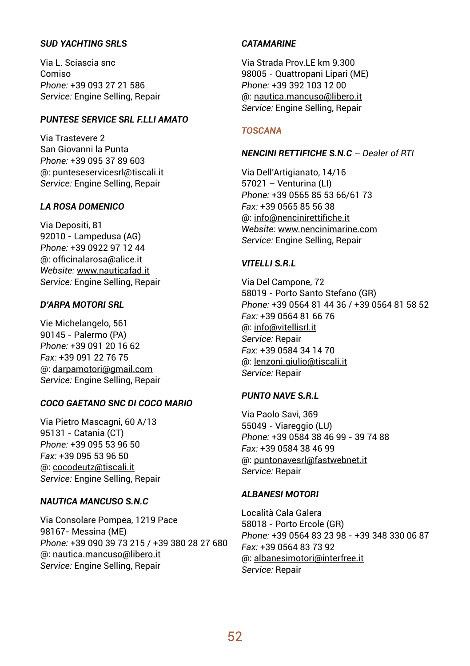## *SUD YACHTING SRLS*

Via L. Sciascia snc Comiso *Phone:* +39 093 27 21 586 *Service:* Engine Selling, Repair

## *PUNTESE SERVICE SRL F.LLI AMATO*

Via Trastevere 2 San Giovanni la Punta *Phone:* +39 095 37 89 603 @: punteseservicesrl@tiscali.it *Service:* Engine Selling, Repair

## *LA ROSA DOMENICO*

Via Depositi, 81 92010 - Lampedusa (AG) *Phone:* +39 0922 97 12 44 @: officinalarosa@alice.it *Website:* www.nauticafad.it *Service:* Engine Selling, Repair

## *D'ARPA MOTORI SRL*

Vie Michelangelo, 561 90145 - Palermo (PA) *Phone:* +39 091 20 16 62 *Fax:* +39 091 22 76 75 @: darpamotori@gmail.com *Service:* Engine Selling, Repair

### *COCO GAETANO SNC DI COCO MARIO*

Via Pietro Mascagni, 60 A/13 95131 - Catania (CT) *Phone:* +39 095 53 96 50 *Fax:* +39 095 53 96 50 @: cocodeutz@tiscali.it *Service:* Engine Selling, Repair

## *NAUTICA MANCUSO S.N.C*

Via Consolare Pompea, 1219 Pace 98167- Messina (ME) *Phone:* +39 090 39 73 215 / +39 380 28 27 680 @: nautica.mancuso@libero.it *Service:* Engine Selling, Repair

### *CATAMARINE*

Via Strada Prov.LE km 9.300 98005 - Quattropani Lipari (ME) *Phone:* +39 392 103 12 00 @: nautica.mancuso@libero.it *Service:* Engine Selling, Repair

### *TOSCANA*

### *NENCINI RETTIFICHE S.N.C – Dealer of RTI*

Via Dell'Artigianato, 14/16 57021 – Venturina (LI) *Phone:* +39 0565 85 53 66/61 73 *Fax:* +39 0565 85 56 38 @: info@nencinirettifiche.it *Website:* www.nencinimarine.com *Service:* Engine Selling, Repair

## *VITELLI S.R.L*

Via Del Campone, 72 58019 - Porto Santo Stefano (GR) *Phone:* +39 0564 81 44 36 / +39 0564 81 58 52 *Fax:* +39 0564 81 66 76 @: info@vitellisrl.it *Service:* Repair *Fax*: +39 0584 34 14 70 @: lenzoni.giulio@tiscali.it *Service:* Repair

### *PUNTO NAVE S.R.L*

Via Paolo Savi, 369 55049 - Viareggio (LU) *Phone:* +39 0584 38 46 99 - 39 74 88 *Fax:* +39 0584 38 46 99 @: puntonavesrl@fastwebnet.it *Service:* Repair

### *ALBANESI MOTORI*

Località Cala Galera 58018 - Porto Ercole (GR) *Phone:* +39 0564 83 23 98 - +39 348 330 06 87 *Fax:* +39 0564 83 73 92 @: albanesimotori@interfree.it *Service:* Repair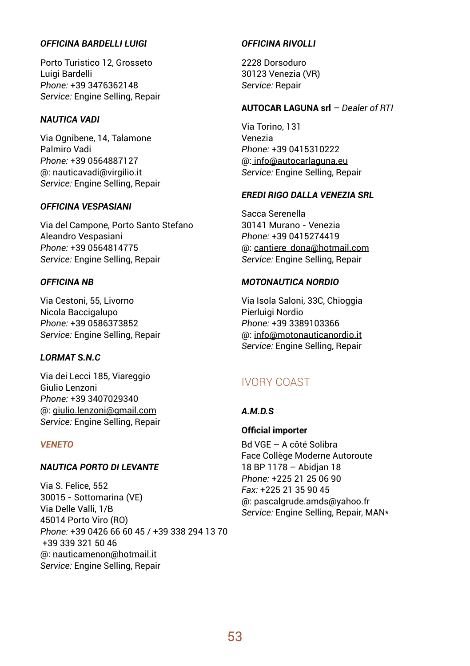### *OFFICINA BARDELLI LUIGI*

Porto Turistico 12, Grosseto Luigi Bardelli *Phone:* +39 3476362148 *Service:* Engine Selling, Repair

## *NAUTICA VADI*

Via Ognibene, 14, Talamone Palmiro Vadi *Phone:* +39 0564887127 @: nauticavadi@virgilio.it *Service:* Engine Selling, Repair

## *OFFICINA VESPASIANI*

Via del Campone, Porto Santo Stefano Aleandro Vespasiani *Phone:* +39 0564814775 *Service:* Engine Selling, Repair

## *OFFICINA NB*

Via Cestoni, 55, Livorno Nicola Baccigalupo *Phone:* +39 0586373852 *Service:* Engine Selling, Repair

### *LORMAT S.N.C*

Via dei Lecci 185, Viareggio Giulio Lenzoni *Phone:* +39 3407029340 @: giulio.lenzoni@gmail.com *Service:* Engine Selling, Repair

### *VENETO*

## *NAUTICA PORTO DI LEVANTE*

Via S. Felice, 552 30015 - Sottomarina (VE) Via Delle Valli, 1/B 45014 Porto Viro (RO) *Phone:* +39 0426 66 60 45 / +39 338 294 13 70 +39 339 321 50 46 @: nauticamenon@hotmail.it *Service:* Engine Selling, Repair

## *OFFICINA RIVOLLI*

2228 Dorsoduro 30123 Venezia (VR) *Service:* Repair

### **AUTOCAR LAGUNA srl** *– Dealer of RTI*

Via Torino, 131 Venezia *Phone:* +39 0415310222 @: info@autocarlaguna.eu *Service:* Engine Selling, Repair

## *EREDI RIGO DALLA VENEZIA SRL*

Sacca Serenella 30141 Murano - Venezia *Phone:* +39 0415274419 @: cantiere\_dona@hotmail.com *Service:* Engine Selling, Repair

## *MOTONAUTICA NORDIO*

Via Isola Saloni, 33C, Chioggia Pierluigi Nordio *Phone:* +39 3389103366 @: info@motonauticanordio.it *Service:* Engine Selling, Repair

## IVORY COAST

## *A.M.D.S*

## **Official importer**

Bd VGE – A côté Solibra Face Collège Moderne Autoroute 18 BP 1178 – Abidjan 18 *Phone:* +225 21 25 06 90 *Fax:* +225 21 35 90 45 @: pascalgrude.amds@yahoo.fr *Service:* Engine Selling, Repair, MAN\*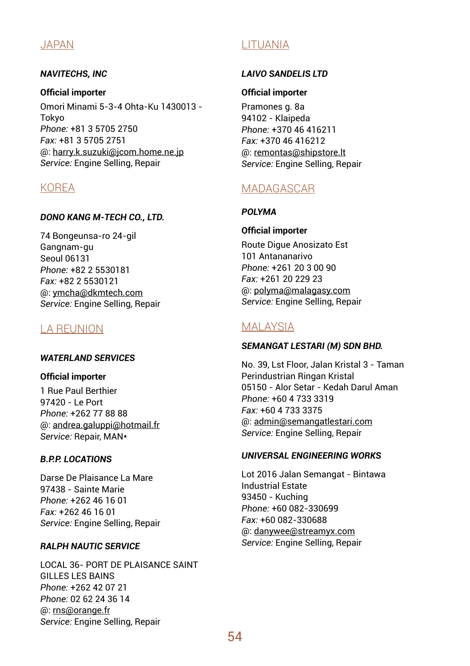## JAPAN

## *NAVITECHS, INC*

**Official importer** Omori Minami 5-3-4 Ohta-Ku 1430013 - Tokyo *Phone:* +81 3 5705 2750 *Fax:* +81 3 5705 2751 @: harry.k.suzuki@jcom.home.ne.jp *Service:* Engine Selling, Repair

## KOREA

## *DONO KANG M-TECH CO., LTD.*

74 Bongeunsa-ro 24-gil Gangnam-gu Seoul 06131 *Phone:* +82 2 5530181 *Fax:* +82 2 5530121 @: ymcha@dkmtech.com *Service:* Engine Selling, Repair

# LA REUNION

## *WATERLAND SERVICES*

**Official importer**

1 Rue Paul Berthier 97420 - Le Port *Phone:* +262 77 88 88 @: andrea.galuppi@hotmail.fr *Service:* Repair, MAN\*

## *B.P.P. LOCATIONS*

Darse De Plaisance La Mare 97438 - Sainte Marie *Phone:* +262 46 16 01 *Fax:* +262 46 16 01 *Service:* Engine Selling, Repair

## *RALPH NAUTIC SERVICE*

LOCAL 36- PORT DE PLAISANCE SAINT GILLES LES BAINS *Phone:* +262 42 07 21 *Phone:* 02 62 24 36 14 @: rns@orange.fr *Service:* Engine Selling, Repair

# LITUANIA

## *LAIVO SANDELIS LTD*

## **Official importer**

Pramones g. 8a 94102 - Klaipeda *Phone:* +370 46 416211 *Fax:* +370 46 416212 @: remontas@shipstore.lt *Service:* Engine Selling, Repair

# MADAGASCAR

## *POLYMA*

## **Official importer**

Route Digue Anosizato Est 101 Antananarivo *Phone:* +261 20 3 00 90 *Fax:* +261 20 229 23 @: polyma@malagasy.com *Service:* Engine Selling, Repair

# **MALAYSIA**

## *SEMANGAT LESTARI (M) SDN BHD.*

No. 39, Lst Floor, Jalan Kristal 3 - Taman Perindustrian Ringan Kristal 05150 - Alor Setar - Kedah Darul Aman *Phone:* +60 4 733 3319 *Fax:* +60 4 733 3375 @: admin@semangatlestari.com *Service:* Engine Selling, Repair

## *UNIVERSAL ENGINEERING WORKS*

Lot 2016 Jalan Semangat - Bintawa Industrial Estate 93450 - Kuching *Phone:* +60 082-330699 *Fax:* +60 082-330688 @: danywee@streamyx.com *Service:* Engine Selling, Repair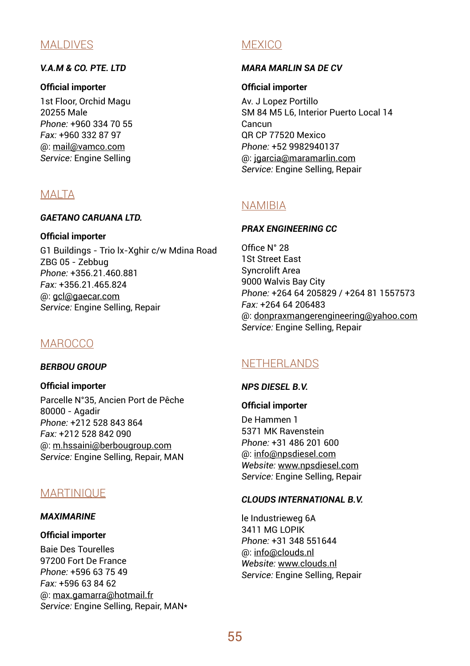## MALDIVES

## *V.A.M & CO. PTE. LTD*

### **Official importer**

1st Floor, Orchid Magu 20255 Male *Phone:* +960 334 70 55 *Fax:* +960 332 87 97 @: mail@vamco.com *Service:* Engine Selling

## MALTA

### *GAETANO CARUANA LTD.*

**Official importer**

G1 Buildings - Trio lx-Xghir c/w Mdina Road ZBG 05 - Zebbug *Phone:* +356.21.460.881 *Fax:* +356.21.465.824 @: gcl@gaecar.com *Service:* Engine Selling, Repair

# **MAROCCO**

*BERBOU GROUP*

**Official importer** Parcelle N°35, Ancien Port de Pêche 80000 - Agadir *Phone:* +212 528 843 864 *Fax:* +212 528 842 090 @: m.hssaini@berbougroup.com *Service:* Engine Selling, Repair, MAN

## **MARTINIOUF**

## *MAXIMARINE*

### **Official importer**

Baie Des Tourelles 97200 Fort De France *Phone:* +596 63 75 49 *Fax:* +596 63 84 62 @: max.gamarra@hotmail.fr *Service:* Engine Selling, Repair, MAN\*

## **MEXICO**

## *MARA MARLIN SA DE CV*

## **Official importer**

Av. J Lopez Portillo SM 84 M5 L6, Interior Puerto Local 14 Cancun QR CP 77520 Mexico *Phone:* +52 9982940137 @: jgarcia@maramarlin.com *Service:* Engine Selling, Repair

## NAMIBIA

## *PRAX ENGINEERING CC*

Office N° 28 1St Street East Syncrolift Area 9000 Walvis Bay City *Phone:* +264 64 205829 / +264 81 1557573 *Fax:* +264 64 206483 @: donpraxmangerengineering@yahoo.com *Service:* Engine Selling, Repair

# NETHERLANDS

## *NPS DIESEL B.V.*

## **Official importer**

De Hammen 1 5371 MK Ravenstein *Phone:* +31 486 201 600 @: info@npsdiesel.com *Website:* www.npsdiesel.com *Service:* Engine Selling, Repair

## *CLOUDS INTERNATIONAL B.V.*

le Industrieweg 6A 3411 MG LOPIK *Phone:* +31 348 551644 @: info@clouds.nl *Website:* www.clouds.nl *Service:* Engine Selling, Repair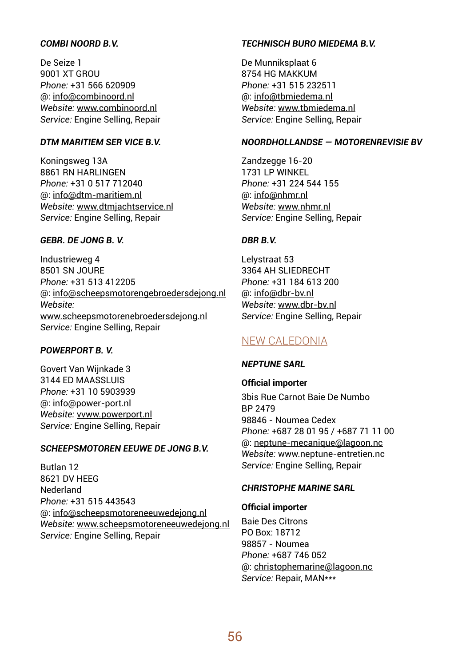## *COMBI NOORD B.V.*

De Seize 1 9001 XT GROU *Phone:* +31 566 620909 @: info@combinoord.nl *Website:* www.combinoord.nl *Service:* Engine Selling, Repair

### *DTM MARITIEM SER VICE B.V.*

Koningsweg 13A 8861 RN HARLINGEN *Phone:* +31 0 517 712040 @: info@dtm-maritiem.nl *Website:* www.dtmjachtservice.nl *Service:* Engine Selling, Repair

## *GEBR. DE JONG B. V.*

Industrieweg 4 8501 SN JOURE *Phone:* +31 513 412205 @: info@scheepsmotorengebroedersdejong.nl *Website:* www.scheepsmotorenebroedersdejong.nl *Service:* Engine Selling, Repair

### *POWERPORT B. V.*

Govert Van Wijnkade 3 3144 ED MAASSLUIS *Phone:* +31 10 5903939 @: info@power-port.nl *Website:* vvww.powerport.nl *Service:* Engine Selling, Repair

### *SCHEEPSMOTOREN EEUWE DE JONG B.V.*

Butlan 12 8621 DV HEEG Nederland *Phone:* +31 515 443543 @: info@scheepsmotoreneeuwedejong.nl *Website:* www.scheepsmotoreneeuwedejong.nl *Service:* Engine Selling, Repair

### *TECHNISCH BURO MIEDEMA B.V.*

De Munniksplaat 6 8754 HG MAKKUM *Phone:* +31 515 232511 @: info@tbmiedema.nl *Website:* www.tbmiedema.nl *Service:* Engine Selling, Repair

#### *NOORDHOLLANDSE — MOTORENREVISIE BV*

Zandzegge 16-20 1731 LP WINKEL *Phone:* +31 224 544 155 @: info@nhmr.nl *Website:* www.nhmr.nl *Service:* Engine Selling, Repair

## *DBR B.V.*

Lelystraat 53 3364 AH SLIEDRECHT *Phone:* +31 184 613 200 @: info@dbr-bv.nl *Website:* www.dbr-bv.nl *Service:* Engine Selling, Repair

## NEW CALEDONIA

### *NEPTUNE SARL*

**Official importer** 3bis Rue Carnot Baie De Numbo BP 2479 98846 - Noumea Cedex *Phone:* +687 28 01 95 / +687 71 11 00 @: neptune-mecanique@lagoon.nc *Website:* www.neptune-entretien.nc *Service:* Engine Selling, Repair

## *CHRISTOPHE MARINE SARL*

### **Official importer**

Baie Des Citrons PO Box: 18712 98857 - Noumea *Phone:* +687 746 052 @: christophemarine@lagoon.nc *Service:* Repair, MAN\*\*\*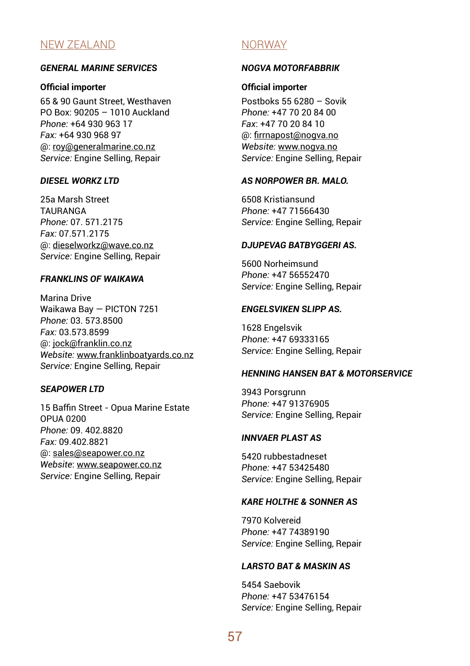## NEW ZEALAND

### *GENERAL MARINE SERVICES*

### **Official importer**

65 & 90 Gaunt Street, Westhaven PO Box: 90205 – 1010 Auckland *Phone:* +64 930 963 17 *Fax:* +64 930 968 97 @: roy@generalmarine.co.nz *Service:* Engine Selling, Repair

### *DIESEL WORKZ LTD*

25a Marsh Street **TAURANGA** *Phone:* 07. 571.2175 *Fax:* 07.571.2175 @: dieselworkz@wave.co.nz *Service:* Engine Selling, Repair

### *FRANKLINS OF WAIKAWA*

Marina Drive Waikawa Bay — PICTON 7251 *Phone:* 03. 573.8500 *Fax:* 03.573.8599 @: jock@franklin.co.nz *Website:* www.franklinboatyards.co.nz *Service:* Engine Selling, Repair

### *SEAPOWER LTD*

15 Baffin Street - Opua Marine Estate OPUA 0200 *Phone:* 09. 402.8820 *Fax:* 09.402.8821 @: sales@seapower.co.nz *Website*: www.seapower.co.nz *Service:* Engine Selling, Repair

## **NORWAY**

### *NOGVA MOTORFABBRIK*

### **Official importer**

Postboks 55 6280 – Sovik *Phone:* +47 70 20 84 00 *Fax*: +47 70 20 84 10 @: firrnapost@nogva.no *Website:* www.nogva.no *Service:* Engine Selling, Repair

### *AS NORPOWER BR. MALO.*

6508 Kristiansund *Phone:* +47 71566430 *Service:* Engine Selling, Repair

### *DJUPEVAG BATBYGGERI AS.*

5600 Norheimsund *Phone:* +47 56552470 *Service:* Engine Selling, Repair

### *ENGELSVIKEN SLIPP AS.*

1628 Engelsvik *Phone:* +47 69333165 *Service:* Engine Selling, Repair

### *HENNING HANSEN BAT & MOTORSERVICE*

3943 Porsgrunn *Phone:* +47 91376905 *Service:* Engine Selling, Repair

### *INNVAER PLAST AS*

5420 rubbestadneset *Phone:* +47 53425480 *Service:* Engine Selling, Repair

## *KARE HOLTHE & SONNER AS*

7970 Kolvereid *Phone:* +47 74389190 *Service:* Engine Selling, Repair

### *LARSTO BAT & MASKIN AS*

5454 Saebovik *Phone:* +47 53476154 *Service:* Engine Selling, Repair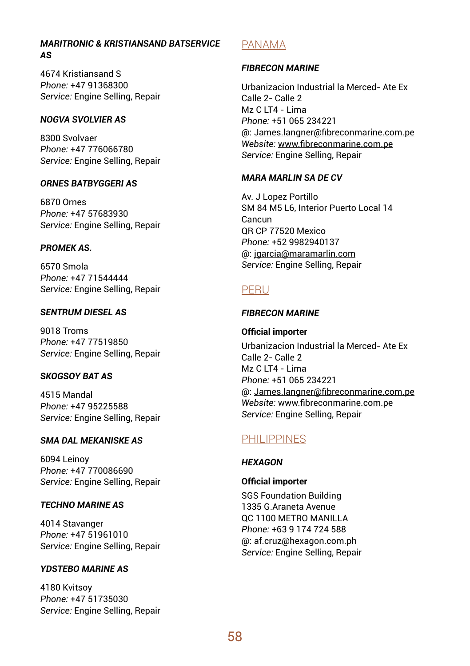## *MARITRONIC & KRISTIANSAND BATSERVICE AS*

4674 Kristiansand S *Phone:* +47 91368300 *Service:* Engine Selling, Repair

## *NOGVA SVOLVIER AS*

8300 Svolvaer *Phone:* +47 776066780 *Service:* Engine Selling, Repair

## *ORNES BATBYGGERI AS*

6870 Ornes *Phone:* +47 57683930 *Service:* Engine Selling, Repair

## *PROMEK AS.*

6570 Smola *Phone:* +47 71544444 *Service:* Engine Selling, Repair

### *SENTRUM DIESEL AS*

9018 Troms *Phone:* +47 77519850 *Service:* Engine Selling, Repair

### *SKOGSOY BAT AS*

4515 Mandal *Phone:* +47 95225588 *Service:* Engine Selling, Repair

### *SMA DAL MEKANISKE AS*

6094 Leinoy *Phone:* +47 770086690 *Service:* Engine Selling, Repair

## *TECHNO MARINE AS*

4014 Stavanger *Phone:* +47 51961010 *Service:* Engine Selling, Repair

## *YDSTEBO MARINE AS*

4180 Kvitsoy *Phone:* +47 51735030 *Service:* Engine Selling, Repair

## PANAMA

### *FIBRECON MARINE*

Urbanizacion Industrial la Merced- Ate Ex Calle 2- Calle 2  $Mz$  C IT4 - Lima *Phone:* +51 065 234221 @: James.langner@fibreconmarine.com.pe *Website:* www.fibreconmarine.com.pe *Service:* Engine Selling, Repair

### *MARA MARLIN SA DE CV*

Av. J Lopez Portillo SM 84 M5 L6, Interior Puerto Local 14 Cancun QR CP 77520 Mexico *Phone:* +52 9982940137 @: jgarcia@maramarlin.com *Service:* Engine Selling, Repair

## PERU

## *FIBRECON MARINE*

### **Official importer**

Urbanizacion Industrial la Merced- Ate Ex Calle 2- Calle 2  $Mz$  C IT4 - Lima *Phone:* +51 065 234221 @: James.langner@fibreconmarine.com.pe *Website:* www.fibreconmarine.com.pe *Service:* Engine Selling, Repair

# PHILIPPINES

### *HEXAGON*

### **Official importer**

SGS Foundation Building 1335 G.Araneta Avenue QC 1100 METRO MANILLA *Phone:* +63 9 174 724 588 @: af.cruz@hexagon.com.ph *Service:* Engine Selling, Repair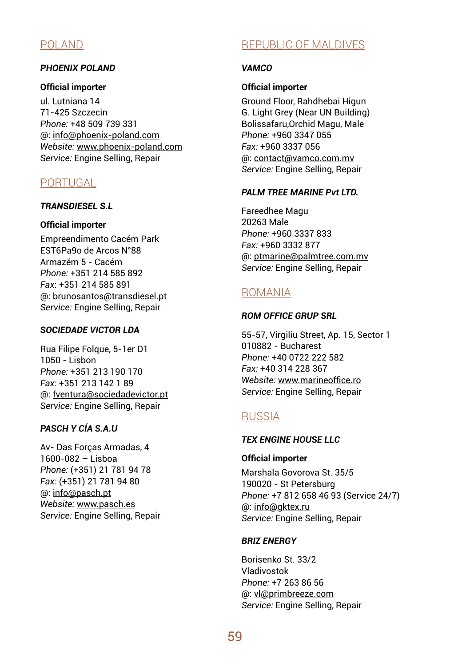# POLAND

## *PHOENIX POLAND*

### **Official importer**

ul. Lutniana 14 71-425 Szczecin *Phone:* +48 509 739 331 @: info@phoenix-poland.com *Website:* www.phoenix-poland.com *Service:* Engine Selling, Repair

## **PORTUGAL**

## *TRANSDIESEL S.L*

### **Official importer**

Empreendimento Cacém Park EST6Pa9o de Arcos N°88 Armazém 5 - Cacém *Phone:* +351 214 585 892 *Fax*: +351 214 585 891 @: brunosantos@transdiesel.pt *Service:* Engine Selling, Repair

### *SOCIEDADE VICTOR LDA*

Rua Filipe Folque, 5-1er D1  $1050 - 1$ ishon *Phone:* +351 213 190 170 *Fax:* +351 213 142 1 89 @: fventura@sociedadevictor.pt *Service:* Engine Selling, Repair

## *PASCH Y CÍA S.A.U*

Av- Das Forças Armadas, 4 1600-082 – Lisboa *Phone:* (+351) 21 781 94 78 *Fax:* (+351) 21 781 94 80 @: info@pasch.pt *Website:* www.pasch.es *Service:* Engine Selling, Repair

# REPUBLIC OF MALDIVES

## *VAMCO*

### **Official importer**

Ground Floor, Rahdhebai Higun G. Light Grey (Near UN Building) Bolissafaru,Orchid Magu, Male *Phone:* +960 3347 055 *Fax:* +960 3337 056 @: contact@vamco.com.mv *Service:* Engine Selling, Repair

### *PALM TREE MARINE Pvt LTD.*

Fareedhee Magu 20263 Male *Phone:* +960 3337 833 *Fax:* +960 3332 877 @: ptmarine@palmtree.com.mv *Service:* Engine Selling, Repair

## ROMANIA

### *ROM OFFICE GRUP SRL*

55-57, Virgiliu Street, Ap. 15, Sector 1 010882 - Bucharest *Phone:* +40 0722 222 582 *Fax:* +40 314 228 367 *Website:* www.marineoffice.ro *Service:* Engine Selling, Repair

## **RUSSIA**

## *TEX ENGINE HOUSE LLC*

### **Official importer**

Marshala Govorova St. 35/5 190020 - St Petersburg *Phone:* +7 812 658 46 93 (Service 24/7) @: info@gktex.ru *Service:* Engine Selling, Repair

### *BRIZ ENERGY*

Borisenko St. 33/2 Vladivostok *Phone:* +7 263 86 56 @: vl@primbreeze.com *Service:* Engine Selling, Repair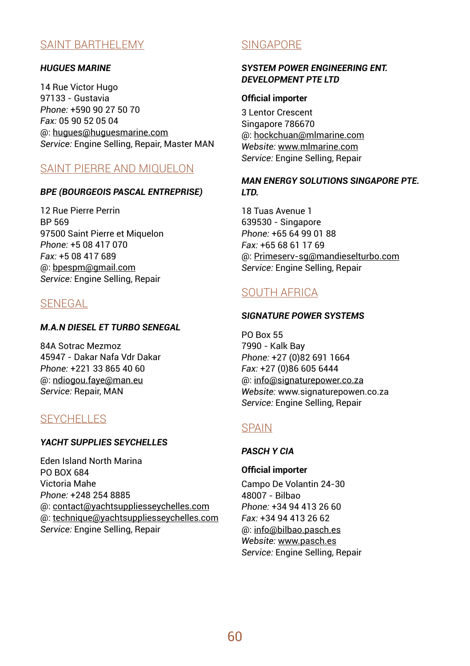## SAINT BARTHELEMY

### *HUGUES MARINE*

14 Rue Victor Hugo 97133 - Gustavia *Phone:* +590 90 27 50 70 *Fax:* 05 90 52 05 04 @: hugues@huguesmarine.com *Service:* Engine Selling, Repair, Master MAN

## SAINT PIERRE AND MIQUELON

### *BPE (BOURGEOIS PASCAL ENTREPRISE)*

12 Rue Pierre Perrin BP 569 97500 Saint Pierre et Miquelon *Phone:* +5 08 417 070 *Fax:* +5 08 417 689 @: bpespm@gmail.com *Service:* Engine Selling, Repair

## **SENEGAL**

## *M.A.N DIESEL ET TURBO SENEGAL*

84A Sotrac Mezmoz 45947 - Dakar Nafa Vdr Dakar *Phone:* +221 33 865 40 60 @: ndiogou.faye@man.eu *Service:* Repair, MAN

## **SEYCHELLES**

### *YACHT SUPPLIES SEYCHELLES*

Eden Island North Marina PO BOX 684 Victoria Mahe *Phone:* +248 254 8885 @: contact@yachtsuppliesseychelles.com @: technique@yachtsuppliesseychelles.com *Service:* Engine Selling, Repair

# **SINGAPORE**

## *SYSTEM POWER ENGINEERING ENT. DEVELOPMENT PTE LTD*

### **Official importer**

3 Lentor Crescent Singapore 786670 @: hockchuan@mlmarine.com *Website:* www.mlmarine.com *Service:* Engine Selling, Repair

## *MAN ENERGY SOLUTIONS SINGAPORE PTE. LTD.*

18 Tuas Avenue 1 639530 - Singapore *Phone:* +65 64 99 01 88 *Fax:* +65 68 61 17 69 @: Primeserv-sg@mandieselturbo.com *Service:* Engine Selling, Repair

# SOUTH AFRICA

## *SIGNATURE POWER SYSTEMS*

PO Box 55 7990 - Kalk Bay *Phone:* +27 (0)82 691 1664 *Fax:* +27 (0)86 605 6444 @: info@signaturepower.co.za *Website:* www.signaturepowen.co.za *Service:* Engine Selling, Repair

## SPAIN

### *PASCH Y CIA*

### **Official importer**

Campo De Volantin 24-30 48007 - Bilbao *Phone:* +34 94 413 26 60 *Fax:* +34 94 413 26 62 @: info@bilbao.pasch.es *Website:* www.pasch.es *Service:* Engine Selling, Repair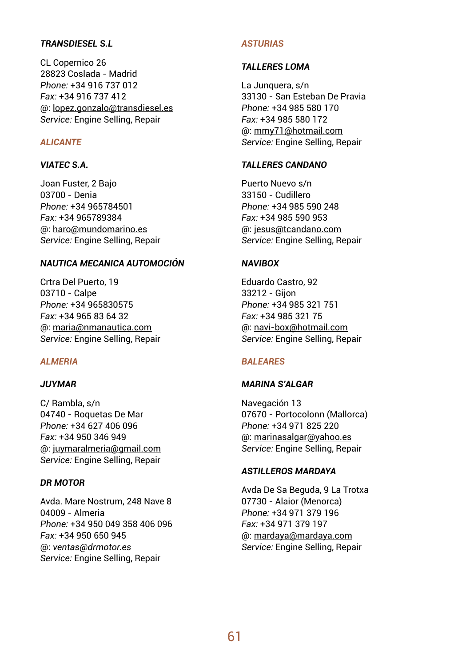## *TRANSDIESEL S.L*

CL Copernico 26 28823 Coslada - Madrid *Phone:* +34 916 737 012 *Fax:* +34 916 737 412 @: lopez.gonzalo@transdiesel.es *Service:* Engine Selling, Repair

## *ALICANTE*

### *VIATEC S.A.*

Joan Fuster, 2 Bajo 03700 - Denia *Phone:* +34 965784501 *Fax:* +34 965789384 @: haro@mundomarino.es *Service:* Engine Selling, Repair

## *NAUTICA MECANICA AUTOMOCIÓN*

Crtra Del Puerto, 19 03710 - Calpe *Phone:* +34 965830575 *Fax:* +34 965 83 64 32 @: maria@nmanautica.com *Service:* Engine Selling, Repair

### *ALMERIA*

### *JUYMAR*

C/ Rambla, s/n 04740 - Roquetas De Mar *Phone:* +34 627 406 096 *Fax:* +34 950 346 949 @: juymaralmeria@gmail.com *Service:* Engine Selling, Repair

### *DR MOTOR*

Avda. Mare Nostrum, 248 Nave 8 04009 - Almeria *Phone:* +34 950 049 358 406 096 *Fax:* +34 950 650 945 @: *ventas@drmotor.es Service:* Engine Selling, Repair

### *ASTURIAS*

### *TALLERES LOMA*

La Junquera, s/n 33130 - San Esteban De Pravia *Phone:* +34 985 580 170 *Fax:* +34 985 580 172 @: mmy71@hotmail.com *Service:* Engine Selling, Repair

### *TALLERES CANDANO*

Puerto Nuevo s/n 33150 - Cudillero *Phone:* +34 985 590 248 *Fax:* +34 985 590 953 @: jesus@tcandano.com *Service:* Engine Selling, Repair

## *NAVIBOX*

Eduardo Castro, 92 33212 - Gijon *Phone:* +34 985 321 751 *Fax:* +34 985 321 75 @: navi-box@hotmail.com *Service:* Engine Selling, Repair

### *BALEARES*

### *MARINA S'ALGAR*

Navegación 13 07670 - Portocolonn (Mallorca) *Phone:* +34 971 825 220 @: marinasalgar@yahoo.es *Service:* Engine Selling, Repair

### *ASTILLEROS MARDAYA*

Avda De Sa Beguda, 9 La Trotxa 07730 - Alaior (Menorca) *Phone:* +34 971 379 196 *Fax:* +34 971 379 197 @: mardaya@mardaya.com *Service:* Engine Selling, Repair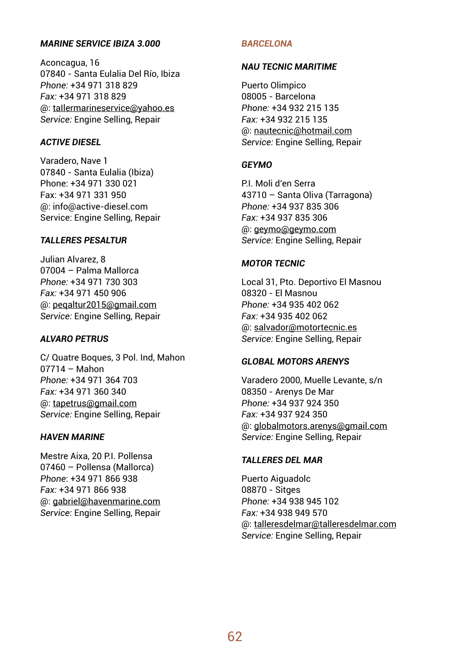## *MARINE SERVICE IBIZA 3.000*

Aconcagua, 16 07840 - Santa Eulalia Del Río, Ibiza *Phone:* +34 971 318 829 *Fax:* +34 971 318 829 @: taIlermarineservice@yahoo.es *Service:* Engine Selling, Repair

### *ACTIVE DIESEL*

Varadero, Nave 1 07840 - Santa Eulalia (Ibiza) Phone: +34 971 330 021 Fax: +34 971 331 950 @: info@active-diesel.com Service: Engine Selling, Repair

## *TALLERES PESALTUR*

Julian Alvarez, 8 07004 – Palma Mallorca *Phone:* +34 971 730 303 *Fax:* +34 971 450 906 @: peqaltur2015@gmail.com *Service:* Engine Selling, Repair

## *ALVARO PETRUS*

C/ Quatre Boques, 3 Pol. Ind, Mahon 07714 – Mahon *Phone:* +34 971 364 703 *Fax:* +34 971 360 340 @: tapetrus@gmail.com *Service:* Engine Selling, Repair

### *HAVEN MARINE*

Mestre Aixa, 20 P.I. Pollensa 07460 – Pollensa (Mallorca) *Phone*: +34 971 866 938 *Fax:* +34 971 866 938 @: gabriel@havenmarine.com *Service:* Engine Selling, Repair

### *BARCELONA*

### *NAU TECNIC MARITIME*

Puerto Olimpico 08005 - Barcelona *Phone:* +34 932 215 135 *Fax:* +34 932 215 135 @: nautecnic@hotmail.com *Service:* Engine Selling, Repair

### *GEYMO*

P.I. Moli d'en Serra 43710 – Santa Oliva (Tarragona) *Phone:* +34 937 835 306 *Fax:* +34 937 835 306 @: geymo@geymo.com *Service:* Engine Selling, Repair

### *MOTOR TECNIC*

Local 31, Pto. Deportivo El Masnou 08320 - El Masnou *Phone:* +34 935 402 062 *Fax:* +34 935 402 062 @: salvador@motortecnic.es *Service:* Engine Selling, Repair

## *GLOBAL MOTORS ARENYS*

Varadero 2000, Muelle Levante, s/n 08350 - Arenys De Mar *Phone:* +34 937 924 350 *Fax:* +34 937 924 350 @: globalmotors.arenys@gmail.com *Service:* Engine Selling, Repair

### *TALLERES DEL MAR*

Puerto Aiguadolc 08870 - Sitges *Phone:* +34 938 945 102 *Fax:* +34 938 949 570 @: talleresdelmar@talleresdelmar.com *Service:* Engine Selling, Repair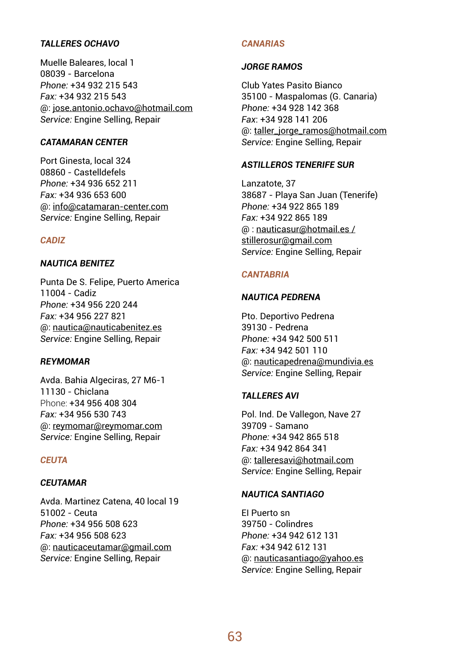## *TALLERES OCHAVO*

Muelle Baleares, local 1 08039 - Barcelona *Phone:* +34 932 215 543 *Fax:* +34 932 215 543 @: jose.antonio.ochavo@hotmail.com *Service:* Engine Selling, Repair

### *CATAMARAN CENTER*

Port Ginesta, local 324 08860 - Castelldefels *Phone:* +34 936 652 211 *Fax:* +34 936 653 600 @: info@catamaran-center.com *Service:* Engine Selling, Repair

## *CADIZ*

## *NAUTICA BENITEZ*

Punta De S. Felipe, Puerto America 11004 - Cadiz *Phone:* +34 956 220 244 *Fax:* +34 956 227 821 @: nautica@nauticabenitez.es *Service:* Engine Selling, Repair

## *REYMOMAR*

Avda. Bahia Algeciras, 27 M6-1 11130 - Chiclana Phone: +34 956 408 304 *Fax:* +34 956 530 743 @: reymomar@reymomar.com *Service:* Engine Selling, Repair

### *CEUTA*

### *CEUTAMAR*

Avda. Martinez Catena, 40 local 19 51002 - Ceuta *Phone:* +34 956 508 623 *Fax:* +34 956 508 623 @: nauticaceutamar@gmail.com *Service:* Engine Selling, Repair

## *CANARIAS*

### *JORGE RAMOS*

Club Yates Pasito Bianco 35100 - Maspalomas (G. Canaria) *Phone:* +34 928 142 368 *Fax*: +34 928 141 206 @: taller\_jorge\_ramos@hotmail.com *Service:* Engine Selling, Repair

### *ASTILLEROS TENERIFE SUR*

Lanzatote, 37 38687 - Playa San Juan (Tenerife) *Phone:* +34 922 865 189 *Fax:* +34 922 865 189 @ : nauticasur@hotmail.es / stillerosur@gmail.com *Service:* Engine Selling, Repair

### *CANTABRIA*

## *NAUTICA PEDRENA*

Pto. Deportivo Pedrena 39130 - Pedrena *Phone:* +34 942 500 511 *Fax:* +34 942 501 110 @: nauticapedrena@mundivia.es *Service:* Engine Selling, Repair

#### *TALLERES AVI*

Pol. Ind. De Vallegon, Nave 27 39709 - Samano *Phone:* +34 942 865 518 *Fax:* +34 942 864 341 @: talleresavi@hotmail.com *Service:* Engine Selling, Repair

### *NAUTICA SANTIAGO*

EI Puerto sn 39750 - Colindres *Phone:* +34 942 612 131 *Fax:* +34 942 612 131 @: nauticasantiago@yahoo.es *Service:* Engine Selling, Repair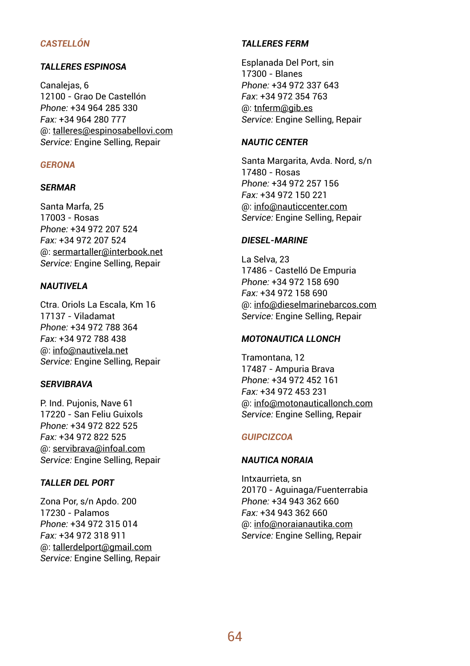## *CASTELLÓN*

## *TALLERES ESPINOSA*

Canalejas, 6 12100 - Grao De Castellón *Phone:* +34 964 285 330 *Fax:* +34 964 280 777 @: talleres@espinosabellovi.com *Service:* Engine Selling, Repair

### *GERONA*

### *SERMAR*

Santa Marfa, 25 17003 - Rosas *Phone:* +34 972 207 524 *Fax:* +34 972 207 524 @: sermartaller@interbook.net *Service:* Engine Selling, Repair

### *NAUTIVELA*

Ctra. Oriols La Escala, Km 16 17137 - Viladamat *Phone:* +34 972 788 364 *Fax:* +34 972 788 438 @: info@nautivela.net *Service:* Engine Selling, Repair

### *SERVIBRAVA*

P. Ind. Pujonis, Nave 61 17220 - San Feliu Guixols *Phone:* +34 972 822 525 *Fax:* +34 972 822 525 @: servibrava@infoal.com *Service:* Engine Selling, Repair

## *TALLER DEL PORT*

Zona Por, s/n Apdo. 200 17230 - Palamos *Phone:* +34 972 315 014 *Fax:* +34 972 318 911 @: tallerdelport@gmail.com *Service:* Engine Selling, Repair

## *TALLERES FERM*

Esplanada Del Port, sin 17300 - Blanes *Phone:* +34 972 337 643 *Fax*: +34 972 354 763 @: tnferm@gib.es *Service:* Engine Selling, Repair

### *NAUTIC CENTER*

Santa Margarita, Avda. Nord, s/n 17480 - Rosas *Phone:* +34 972 257 156 *Fax:* +34 972 150 221 @: info@nauticcenter.com *Service:* Engine Selling, Repair

## *DIESEL-MARINE*

La Selva, 23 17486 - Castelló De Empuria *Phone:* +34 972 158 690 *Fax:* +34 972 158 690 @: info@dieselmarinebarcos.com *Service:* Engine Selling, Repair

### *MOTONAUTICA LLONCH*

Tramontana, 12 17487 - Ampuria Brava *Phone:* +34 972 452 161 *Fax:* +34 972 453 231 @: info@motonauticallonch.com *Service:* Engine Selling, Repair

### *GUIPCIZCOA*

### *NAUTICA NORAIA*

Intxaurrieta, sn 20170 - Aguinaga/Fuenterrabia *Phone:* +34 943 362 660 *Fax:* +34 943 362 660 @: info@noraianautika.com *Service:* Engine Selling, Repair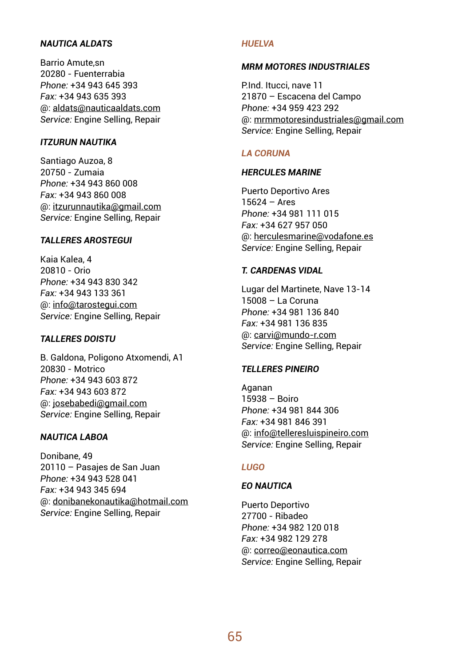## *NAUTICA ALDATS*

Barrio Amute,sn 20280 - Fuenterrabia *Phone:* +34 943 645 393 *Fax:* +34 943 635 393 @: aldats@nauticaaldats.com *Service:* Engine Selling, Repair

### *ITZURUN NAUTIKA*

Santiago Auzoa, 8 20750 - Zumaia *Phone:* +34 943 860 008 *Fax:* +34 943 860 008 @: itzurunnautika@gmail.com *Service:* Engine Selling, Repair

## *TALLERES AROSTEGUI*

Kaia Kalea, 4 20810 - Orio *Phone:* +34 943 830 342 *Fax:* +34 943 133 361 @: info@tarostegui.com *Service:* Engine Selling, Repair

### *TALLERES DOISTU*

B. Galdona, Poligono Atxomendi, A1 20830 - Motrico *Phone:* +34 943 603 872 *Fax:* +34 943 603 872 @: josebabedi@gmail.com *Service:* Engine Selling, Repair

### *NAUTICA LABOA*

Donibane, 49 20110 – Pasajes de San Juan *Phone:* +34 943 528 041 *Fax:* +34 943 345 694 @: donibanekonautika@hotmail.com *Service:* Engine Selling, Repair

### *HUELVA*

### *MRM MOTORES INDUSTRIALES*

P.Ind. Itucci, nave 11 21870 – Escacena del Campo *Phone:* +34 959 423 292 @: mrmmotoresindustriales@gmail.com *Service:* Engine Selling, Repair

### *LA CORUNA*

### **HERCULES MARINE**

Puerto Deportivo Ares 15624 – Ares *Phone:* +34 981 111 015 *Fax:* +34 627 957 050 @: herculesmarine@vodafone.es *Service:* Engine Selling, Repair

## *T. CARDENAS VIDAL*

Lugar del Martinete, Nave 13-14 15008 – La Coruna *Phone:* +34 981 136 840 *Fax:* +34 981 136 835 @: carvi@mundo-r.com *Service:* Engine Selling, Repair

#### *TELLERES PINEIRO*

Aganan 15938 – Boiro *Phone:* +34 981 844 306 *Fax:* +34 981 846 391 @: info@telleresluispineiro.com *Service:* Engine Selling, Repair

### *LUGO*

## *EO NAUTICA*

Puerto Deportivo 27700 - Ribadeo *Phone:* +34 982 120 018 *Fax:* +34 982 129 278 @: correo@eonautica.com *Service:* Engine Selling, Repair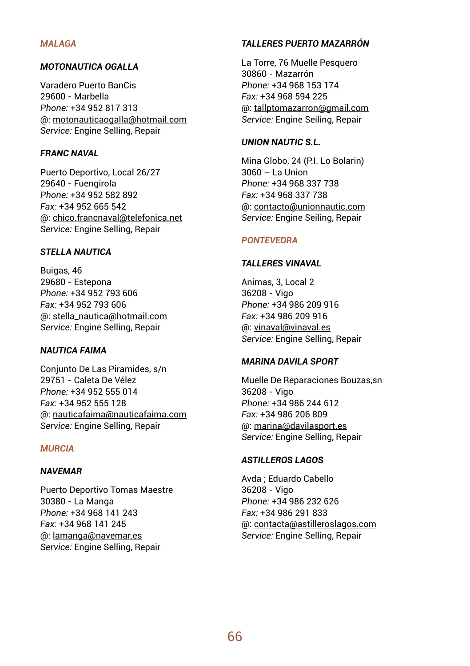### *MALAGA*

## *MOTONAUTICA OGALLA*

Varadero Puerto BanCis 29600 - Marbella *Phone:* +34 952 817 313 @: motonauticaogalla@hotmail.com *Service:* Engine Selling, Repair

## *FRANC NAVAL*

Puerto Deportivo, Local 26/27 29640 - Fuengirola *Phone:* +34 952 582 892 *Fax:* +34 952 665 542 @: chico.francnaval@telefonica.net *Service:* Engine Selling, Repair

### *STELLA NAUTICA*

Buigas, 46 29680 - Estepona *Phone:* +34 952 793 606 *Fax:* +34 952 793 606 @: stella\_nautica@hotmail.com *Service:* Engine Selling, Repair

### *NAUTICA FAIMA*

Conjunto De Las Piramides, s/n 29751 - Caleta De Vélez *Phone:* +34 952 555 014 *Fax:* +34 952 555 128 @: nauticafaima@nauticafaima.com *Service:* Engine Selling, Repair

### *MURCIA*

### *NAVEMAR*

Puerto Deportivo Tomas Maestre 30380 - La Manga *Phone:* +34 968 141 243 *Fax:* +34 968 141 245 @: lamanga@navemar.es *Service:* Engine Selling, Repair

### *TALLERES PUERTO MAZARRÓN*

La Torre, 76 Muelle Pesquero 30860 - Mazarrón *Phone:* +34 968 153 174 *Fax:* +34 968 594 225 @: tallptomazarron@gmail.com *Service:* Engine Seiling, Repair

### *UNION NAUTIC S.L.*

Mina Globo, 24 (P.I. Lo Bolarin)  $3060 - 1$  a Union *Phone:* +34 968 337 738 *Fax:* +34 968 337 738 @: contacto@unionnautic.com *Service:* Engine Seiling, Repair

### *PONTEVEDRA*

### *TALLERES VINAVAL*

Animas, 3, Local 2 36208 - Vigo *Phone:* +34 986 209 916 *Fax:* +34 986 209 916 @: vinaval@vinaval.es *Service:* Engine Selling, Repair

#### *MARINA DAVILA SPORT*

Muelle De Reparaciones Bouzas,sn 36208 - Vigo *Phone:* +34 986 244 612 *Fax:* +34 986 206 809 @: marina@davilasport.es *Service:* Engine Selling, Repair

### *ASTILLEROS LAGOS*

Avda ; Eduardo Cabello 36208 - Vigo *Phone:* +34 986 232 626 *Fax:* +34 986 291 833 @: contacta@astilleroslagos.com *Service:* Engine Selling, Repair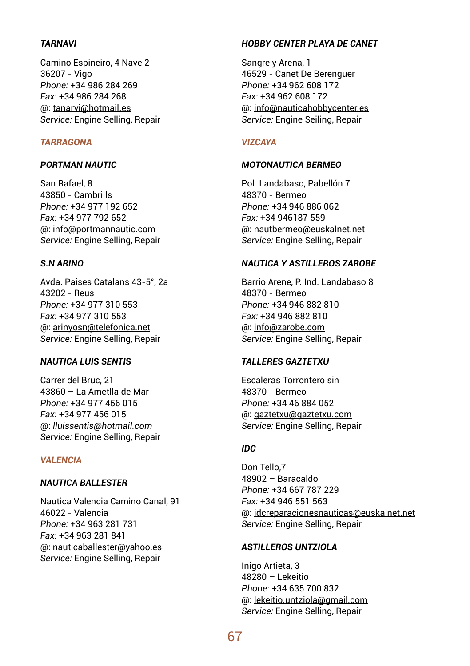## *TARNAVI*

Camino Espineiro, 4 Nave 2 36207 - Vigo *Phone:* +34 986 284 269 *Fax:* +34 986 284 268 @: tanarvi@hotmail.es *Service:* Engine Selling, Repair

### *TARRAGONA*

### *PORTMAN NAUTIC*

San Rafael, 8 43850 - Cambrills *Phone:* +34 977 192 652 *Fax:* +34 977 792 652 @: info@portmannautic.com *Service:* Engine Selling, Repair

## *S.N ARINO*

Avda. Paises Catalans 43-5°, 2a 43202 - Reus *Phone:* +34 977 310 553 *Fax:* +34 977 310 553 @: arinyosn@telefonica.net *Service:* Engine Selling, Repair

## *NAUTICA LUIS SENTIS*

Carrer del Bruc, 21 43860 – La Ametlla de Mar *Phone:* +34 977 456 015 *Fax:* +34 977 456 015 @: *lluissentis@hotmail.com Service:* Engine Selling, Repair

### *VALENCIA*

#### *NAUTICA BALLESTER*

Nautica Valencia Camino Canal, 91 46022 - Valencia *Phone:* +34 963 281 731 *Fax:* +34 963 281 841 @: nauticaballester@yahoo.es *Service:* Engine Selling, Repair

### *HOBBY CENTER PLAYA DE CANET*

Sangre y Arena, 1 46529 - Canet De Berenguer *Phone:* +34 962 608 172 *Fax:* +34 962 608 172 @: info@nauticahobbycenter.es *Service:* Engine Seiling, Repair

### *VIZCAYA*

### *MOTONAUTICA BERMEO*

Pol. Landabaso, Pabellón 7 48370 - Bermeo *Phone:* +34 946 886 062 *Fax:* +34 946187 559 @: nautbermeo@euskalnet.net *Service:* Engine Selling, Repair

## *NAUTICA Y ASTILLEROS ZAROBE*

Barrio Arene, P. Ind. Landabaso 8 48370 - Bermeo *Phone:* +34 946 882 810 *Fax:* +34 946 882 810 @: info@zarobe.com *Service:* Engine Selling, Repair

### *TALLERES GAZTETXU*

Escaleras Torrontero sin 48370 - Bermeo *Phone:* +34 46 884 052 @: gaztetxu@gaztetxu.com *Service:* Engine Selling, Repair

## *IDC*

Don Tello,7 48902 – Baracaldo *Phone:* +34 667 787 229 *Fax:* +34 946 551 563 @: idcreparacionesnauticas@euskalnet.net *Service:* Engine Selling, Repair

### *ASTILLEROS UNTZIOLA*

Inigo Artieta, 3 48280 – Lekeitio *Phone:* +34 635 700 832 @: lekeitio.untziola@gmail.com *Service:* Engine Selling, Repair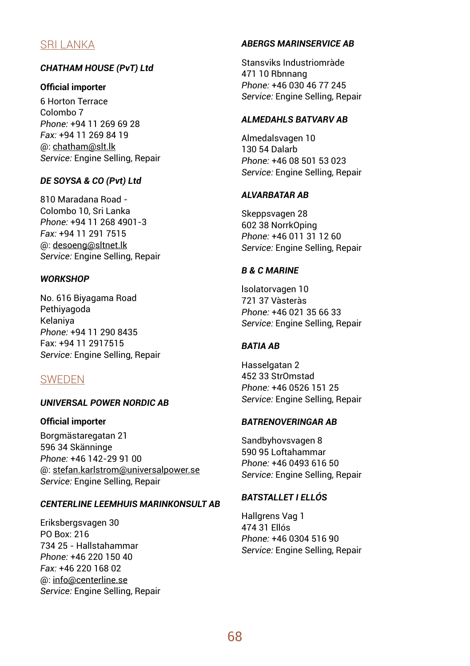# SRI LANKA

## *CHATHAM HOUSE (PvT) Ltd*

## **Official importer**

6 Horton Terrace Colombo 7 *Phone:* +94 11 269 69 28 *Fax:* +94 11 269 84 19 @: chatham@slt.lk *Service:* Engine Selling, Repair

## *DE SOYSA & CO (Pvt) Ltd*

810 Maradana Road - Colombo 10, Sri Lanka *Phone:* +94 11 268 4901-3 *Fax:* +94 11 291 7515 @: desoeng@sltnet.lk *Service:* Engine Selling, Repair

## *WORKSHOP*

No. 616 Biyagama Road Pethiyagoda Kelaniya *Phone:* +94 11 290 8435 Fax: +94 11 2917515 *Service:* Engine Selling, Repair

## SWEDEN

## *UNIVERSAL POWER NORDIC AB*

## **Official importer**

Borgmästaregatan 21 596 34 Skänninge *Phone:* +46 142-29 91 00 @: stefan.karlstrom@universalpower.se *Service:* Engine Selling, Repair

## *CENTERLINE LEEMHUIS MARINKONSULT AB*

Eriksbergsvagen 30 PO Box: 216 734 25 - Hallstahammar *Phone:* +46 220 150 40 *Fax:* +46 220 168 02 @: info@centerline.se *Service:* Engine Selling, Repair

## *ABERGS MARINSERVICE AB*

Stansviks Industriomràde 471 10 Rbnnang *Phone:* +46 030 46 77 245 *Service:* Engine Selling, Repair

## *ALMEDAHLS BATVARV AB*

Almedalsvagen 10 130 54 Dalarb *Phone:* +46 08 501 53 023 *Service:* Engine Selling, Repair

## *ALVARBATAR AB*

Skeppsvagen 28 602 38 NorrkOping *Phone:* +46 011 31 12 60 *Service:* Engine Selling, Repair

## *B & C MARINE*

lsolatorvagen 10 721 37 Vàsteràs *Phone:* +46 021 35 66 33 *Service:* Engine Selling, Repair

## *BATIA AB*

Hasselgatan 2 452 33 StrOmstad *Phone:* +46 0526 151 25 *Service:* Engine Selling, Repair

## *BATRENOVERINGAR AB*

Sandbyhovsvagen 8 590 95 Loftahammar *Phone:* +46 0493 616 50 *Service:* Engine Selling, Repair

## *BATSTALLET I ELLÓS*

Hallgrens Vag 1 474 31 Ellós *Phone:* +46 0304 516 90 *Service:* Engine Selling, Repair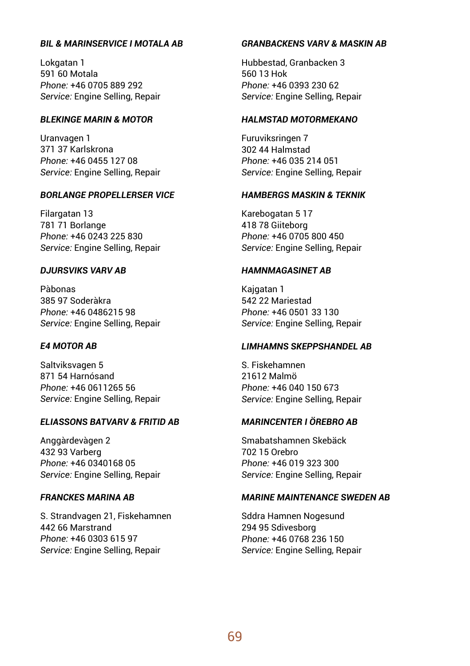## *BIL & MARINSERVICE I MOTALA AB*

Lokgatan 1 591 60 Motala *Phone:* +46 0705 889 292 *Service:* Engine Selling, Repair

## *BLEKINGE MARIN & MOTOR*

Uranvagen 1 371 37 Karlskrona *Phone:* +46 0455 127 08 *Service:* Engine Selling, Repair

## *BORLANGE PROPELLERSER VICE*

Filargatan 13 781 71 Borlange *Phone:* +46 0243 225 830 *Service:* Engine Selling, Repair

### *DJURSVIKS VARV AB*

Pàbonas 385 97 Soderàkra *Phone:* +46 0486215 98 *Service:* Engine Selling, Repair

### *E4 MOTOR AB*

Saltviksvagen 5 871 54 Harnósand *Phone:* +46 0611265 56 *Service:* Engine Selling, Repair

### *ELIASSONS BATVARV & FRITID AB*

Anggàrdevàgen 2 432 93 Varberg *Phone:* +46 0340168 05 *Service:* Engine Selling, Repair

### *FRANCKES MARINA AB*

S. Strandvagen 21, Fiskehamnen 442 66 Marstrand *Phone:* +46 0303 615 97 *Service:* Engine Selling, Repair

### *GRANBACKENS VARV & MASKIN AB*

Hubbestad, Granbacken 3 560 13 Hok *Phone:* +46 0393 230 62 *Service:* Engine Selling, Repair

## *HALMSTAD MOTORMEKANO*

Furuviksringen 7 302 44 Halmstad *Phone:* +46 035 214 051 *Service:* Engine Selling, Repair

### *HAMBERGS MASKIN & TEKNIK*

Karebogatan 5 17 418 78 Giiteborg *Phone:* +46 0705 800 450 *Service:* Engine Selling, Repair

## *HAMNMAGASINET AB*

Kajgatan 1 542 22 Mariestad *Phone:* +46 0501 33 130 *Service:* Engine Selling, Repair

#### *LIMHAMNS SKEPPSHANDEL AB*

S. Fiskehamnen 21612 Malmö *Phone:* +46 040 150 673 *Service:* Engine Selling, Repair

### *MARINCENTER I ÖREBRO AB*

Smabatshamnen Skebäck 702 15 Orebro *Phone:* +46 019 323 300 *Service:* Engine Selling, Repair

#### *MARINE MAINTENANCE SWEDEN AB*

Sddra Hamnen Nogesund 294 95 Sdivesborg *Phone:* +46 0768 236 150 *Service:* Engine Selling, Repair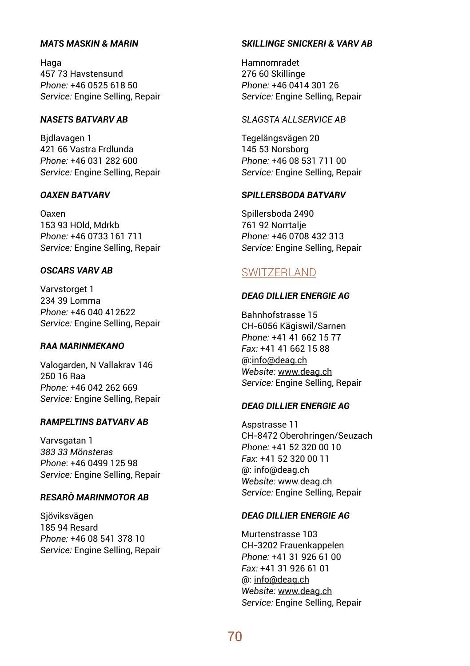### *MATS MASKIN & MARIN*

Haga 457 73 Havstensund *Phone:* +46 0525 618 50 *Service:* Engine Selling, Repair

## *NASETS BATVARV AB*

Bjdlavagen 1 421 66 Vastra Frdlunda *Phone:* +46 031 282 600 *Service:* Engine Selling, Repair

## *OAXEN BATVARV*

Oaxen 153 93 HOld, Mdrkb *Phone:* +46 0733 161 711 *Service:* Engine Selling, Repair

## *OSCARS VARV AB*

Varvstorget 1 234 39 Lomma *Phone:* +46 040 412622 *Service:* Engine Selling, Repair

### *RAA MARINMEKANO*

Valogarden, N Vallakrav 146 250 16 Raa *Phone:* +46 042 262 669 *Service:* Engine Selling, Repair

### *RAMPELTINS BATVARV AB*

Varvsgatan 1 *383 33 Mönsteras Phone*: +46 0499 125 98 *Service:* Engine Selling, Repair

## *RESARÒ MARINMOTOR AB*

Sjöviksvägen 185 94 Resard *Phone:* +46 08 541 378 10 *Service:* Engine Selling, Repair

### *SKILLINGE SNICKERI & VARV AB*

Hamnomradet 276 60 Skillinge *Phone:* +46 0414 301 26 *Service:* Engine Selling, Repair

## *SLAGSTA ALLSERVICE AB*

Tegelängsvägen 20 145 53 Norsborg *Phone:* +46 08 531 711 00 *Service:* Engine Selling, Repair

## *SPILLERSBODA BATVARV*

Spillersboda 2490 761 92 Norrtalje *Phone:* +46 0708 432 313 *Service:* Engine Selling, Repair

## SWITZERLAND

### *DEAG DILLIER ENERGIE AG*

Bahnhofstrasse 15 CH-6056 Kägiswil/Sarnen *Phone:* +41 41 662 15 77 *Fax:* +41 41 662 15 88 @:info@deag.ch *Website:* www.deag.ch *Service:* Engine Selling, Repair

## *DEAG DILLIER ENERGIE AG*

Aspstrasse 11 CH-8472 Oberohringen/Seuzach *Phone:* +41 52 320 00 10 *Fax*: +41 52 320 00 11 @: info@deag.ch *Website:* www.deag.ch *Service:* Engine Selling, Repair

## *DEAG DILLIER ENERGIE AG*

Murtenstrasse 103 CH-3202 Frauenkappelen *Phone:* +41 31 926 61 00 *Fax:* +41 31 926 61 01 @: info@deag.ch *Website:* www.deag.ch *Service:* Engine Selling, Repair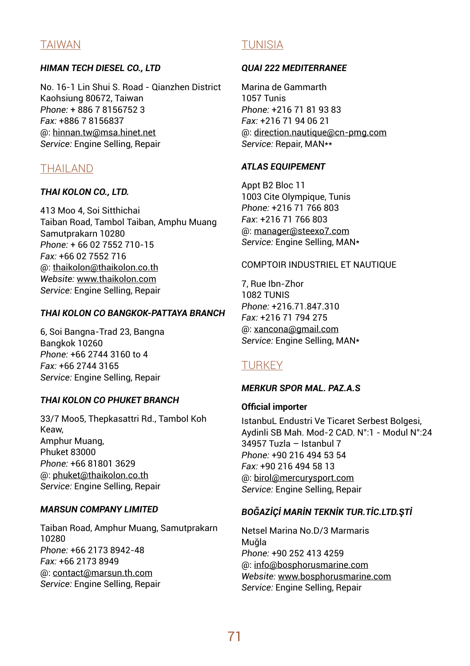# TAIWAN

## *HIMAN TECH DIESEL CO., LTD*

No. 16-1 Lin Shui S. Road - Qianzhen District Kaohsiung 80672, Taiwan *Phone:* + 886 7 8156752 3 *Fax:* +886 7 8156837 @: hinnan.tw@msa.hinet.net *Service:* Engine Selling, Repair

## THAILAND

### *THAI KOLON CO., LTD.*

413 Moo 4, Soi Sitthichai Taiban Road, Tambol Taiban, Amphu Muang Samutprakarn 10280 *Phone:* + 66 02 7552 710-15 *Fax:* +66 02 7552 716 @: thaikolon@thaikolon.co.th *Website:* www.thaikolon.com *Service:* Engine Selling, Repair

## *THAI KOLON CO BANGKOK-PATTAYA BRANCH*

6, Soi Bangna-Trad 23, Bangna Bangkok 10260 *Phone:* +66 2744 3160 to 4 *Fax:* +66 2744 3165 *Service:* Engine Selling, Repair

## *THAI KOLON CO PHUKET BRANCH*

33/7 Moo5, Thepkasattri Rd., Tambol Koh Keaw, Amphur Muang, Phuket 83000 *Phone:* +66 81801 3629 @: phuket@thaikolon.co.th *Service:* Engine Selling, Repair

### *MARSUN COMPANY LIMITED*

Taiban Road, Amphur Muang, Samutprakarn 10280 *Phone:* +66 2173 8942-48 *Fax:* +66 2173 8949 @: contact@marsun.th.com *Service:* Engine Selling, Repair

## TUNISIA

### *QUAI 222 MEDITERRANEE*

Marina de Gammarth 1057 Tunis *Phone:* +216 71 81 93 83 *Fax:* +216 71 94 06 21 @: direction.nautique@cn-pmg.com *Service:* Repair, MAN\*\*

### *ATLAS EQUIPEMENT*

Appt B2 Bloc 11 1003 Cite Olympique, Tunis *Phone:* +216 71 766 803 *Fax*: +216 71 766 803 @: manager@steexo7.com *Service:* Engine Selling, MAN\*

## COMPTOIR INDUSTRIEL ET NAUTIQUE

7, Rue Ibn-Zhor 1082 TUNIS *Phone:* +216.71.847.310 *Fax:* +216 71 794 275 @: xancona@gmail.com *Service:* Engine Selling, MAN\*

## **TURKEY**

### *MERKUR SPOR MAL. PAZ.A.S*

### **Official importer**

IstanbuL Endustri Ve Ticaret Serbest Bolgesi, Aydinli SB Mah. Mod-2 CAD. N°:1 - Modul N°:24 34957 Tuzla – Istanbul 7 *Phone:* +90 216 494 53 54 *Fax:* +90 216 494 58 13 @: birol@mercurysport.com *Service:* Engine Selling, Repair

## *BOĞAZİÇİ MARİN TEKNİK TUR.TİC.LTD.ŞTİ*

Netsel Marina No.D/3 Marmaris Muğla *Phone:* +90 252 413 4259 @: info@bosphorusmarine.com *Website:* www.bosphorusmarine.com *Service:* Engine Selling, Repair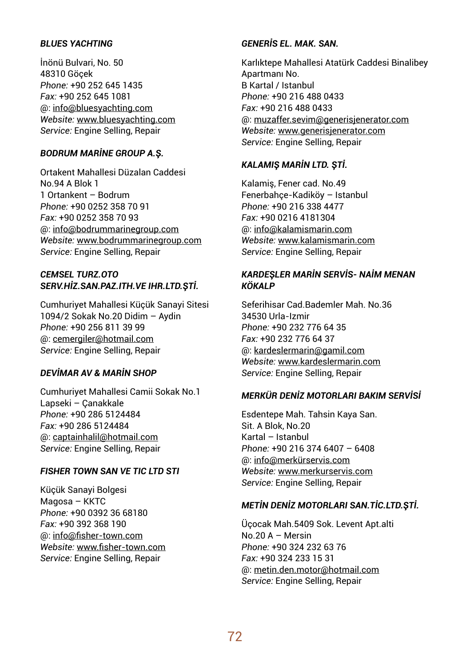## *BLUES YACHTING*

İnönü Bulvari, No. 50 48310 Göçek *Phone:* +90 252 645 1435 *Fax:* +90 252 645 1081 @: info@bluesyachting.com *Website:* www.bluesyachting.com *Service:* Engine Selling, Repair

## *BODRUM MARİNE GROUP A.Ş.*

Ortakent Mahallesi Düzalan Caddesi No.94 A Blok 1 1 Ortankent – Bodrum *Phone:* +90 0252 358 70 91 *Fax:* +90 0252 358 70 93 @: info@bodrummarinegroup.com *Website:* www.bodrummarinegroup.com *Service:* Engine Selling, Repair

## *CEMSEL TURZ.OTO SERV.HİZ.SAN.PAZ.ITH.VE IHR.LTD.ŞTİ.*

Cumhuriyet Mahallesi Küçük Sanayi Sitesi 1094/2 Sokak No.20 Didim – Aydin *Phone:* +90 256 811 39 99 @: cemergiler@hotmail.com *Service:* Engine Selling, Repair

## *DEVİMAR AV & MARİN SHOP*

Cumhuriyet Mahallesi Camii Sokak No.1 Lapseki – Çanakkale *Phone:* +90 286 5124484 *Fax:* +90 286 5124484 @: captainhalil@hotmail.com *Service:* Engine Selling, Repair

### *FISHER TOWN SAN VE TIC LTD STI*

Küçük Sanayi Bolgesi Magosa – KKTC *Phone:* +90 0392 36 68180 *Fax:* +90 392 368 190 @: info@fisher-town.com *Website:* www.fisher-town.com *Service:* Engine Selling, Repair

## *GENERİS EL. MAK. SAN.*

Karlıktepe Mahallesi Atatürk Caddesi Binalibey Apartmanı No. B Kartal / Istanbul *Phone:* +90 216 488 0433 *Fax:* +90 216 488 0433 @: muzaffer.sevim@generisjenerator.com *Website:* www.generisjenerator.com *Service:* Engine Selling, Repair

### *KALAMIŞ MARİN LTD. ŞTİ.*

Kalamiş, Fener cad. No.49 Fenerbahçe-Kadiköy – Istanbul *Phone:* +90 216 338 4477 *Fax:* +90 0216 4181304 @: info@kalamismarin.com *Website:* www.kalamismarin.com *Service:* Engine Selling, Repair

## *KARDEŞLER MARİN SERVİS- NAİM MENAN KÖKALP*

Seferihisar Cad.Bademler Mah. No.36 34530 Urla-Izmir *Phone:* +90 232 776 64 35 *Fax:* +90 232 776 64 37 @: kardeslermarin@gamil.com *Website:* www.kardeslermarin.com *Service:* Engine Selling, Repair

### *MERKÜR DENİZ MOTORLARI BAKIM SERVİSİ*

Esdentepe Mah. Tahsin Kaya San. Sit. A Blok, No. 20 Kartal – Istanbul *Phone:* +90 216 374 6407 – 6408 @: info@merkürservis.com *Website:* www.merkurservis.com *Service:* Engine Selling, Repair

## *METİN DENİZ MOTORLARI SAN.TİC.LTD.ŞTİ.*

Üçocak Mah.5409 Sok. Levent Apt.alti No.20 A – Mersin *Phone:* +90 324 232 63 76 *Fax:* +90 324 233 15 31 @: metin.den.motor@hotmail.com *Service:* Engine Selling, Repair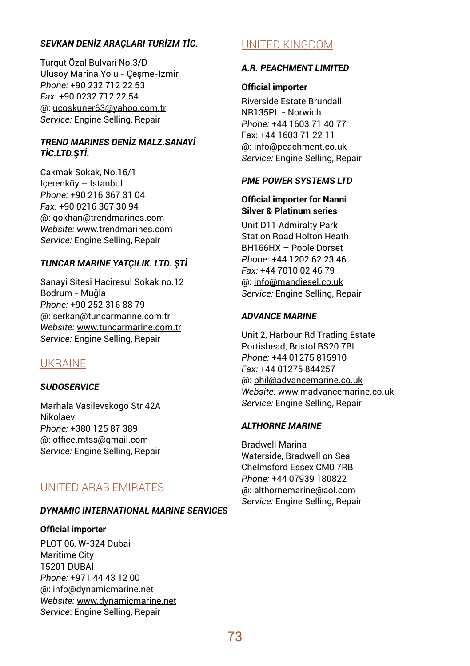## *SEVKAN DENİZ ARAÇLARI TURİZM TİC.*

Turgut Özal Bulvari No.3/D Ulusoy Marina Yolu - Çeşme-Izmir *Phone:* +90 232 712 22 53 *Fax:* +90 0232 712 22 54 @: ucoskuner63@yahoo.com.tr *Service:* Engine Selling, Repair

## *TREND MARINES DENİZ MALZ.SANAYİ TİC.LTD.ŞTİ.*

Cakmak Sokak, No.16/1 Içerenköy – Istanbul *Phone:* +90 216 367 31 04 *Fax:* +90 0216 367 30 94 @: gokhan@trendmarines.com *Website:* www.trendmarines.com *Service:* Engine Selling, Repair

## *TUNCAR MARINE YATÇILIK. LTD. ŞTİ*

Sanayi Sitesi Haciresul Sokak no.12 Bodrum - Muğla *Phone:* +90 252 316 88 79 @: serkan@tuncarmarine.com.tr *Website:* www.tuncarmarine.com.tr *Service:* Engine Selling, Repair

## UKRAINE

## *SUDOSERVICE*

Marhala Vasilevskogo Str 42A Nikolaev *Phone:* +380 125 87 389 @: office.mtss@gmail.com *Service:* Engine Selling, Repair

## UNITED ARAB EMIRATES

#### *DYNAMIC INTERNATIONAL MARINE SERVICES*

#### **Official importer**

PLOT 06, W-324 Dubai Maritime City 15201 DUBAI *Phone:* +971 44 43 12 00 @: info@dynamicmarine.net *Website:* www.dynamicmarine.net *Service*: Engine Selling, Repair

## UNITED KINGDOM

#### *A.R. PEACHMENT LIMITED*

#### **Official importer**

Riverside Estate Brundall NR135PL - Norwich *Phone:* +44 1603 71 40 77 Fax: +44 1603 71 22 11 @: info@peachment.co.uk *Service:* Engine Selling, Repair

#### *PME POWER SYSTEMS LTD*

#### **Official importer for Nanni Silver & Platinum series**

Unit D11 Admiralty Park Station Road Holton Heath BH166HX – Poole Dorset *Phone:* +44 1202 62 23 46 *Fax:* +44 7010 02 46 79 @: info@mandiesel.co.uk *Service:* Engine Selling, Repair

## *ADVANCE MARINE*

Unit 2, Harbour Rd Trading Estate Portishead, Bristol BS20 7BL *Phone:* +44 01275 815910 *Fax:* +44 01275 844257 @: phil@advancemarine.co.uk *Website:* www.madvancemarine.co.uk *Service:* Engine Selling, Repair

## *ALTHORNE MARINE*

Bradwell Marina Waterside, Bradwell on Sea Chelmsford Essex CM0 7RB *Phone:* +44 07939 180822 @: althornemarine@aol.com *Service:* Engine Selling, Repair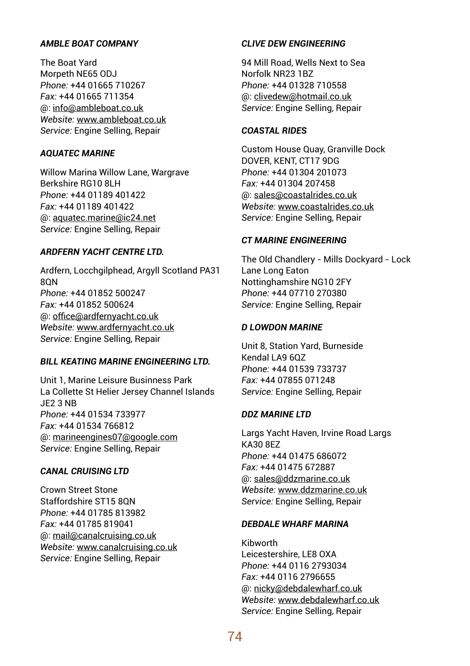## *AMBLE BOAT COMPANY*

The Boat Yard Morpeth NE65 ODJ *Phone:* +44 01665 710267 *Fax:* +44 01665 711354 @: info@ambleboat.co.uk *Website:* www.ambleboat.co.uk *Service:* Engine Selling, Repair

## *AQUATEC MARINE*

Willow Marina Willow Lane, Wargrave Berkshire RG10 8LH *Phone:* +44 01189 401422 *Fax:* +44 01189 401422 @: aquatec.marine@ic24.net *Service:* Engine Selling, Repair

## *ARDFERN YACHT CENTRE LTD.*

Ardfern, Locchgilphead, Argyll Scotland PA31 8QN *Phone:* +44 01852 500247 *Fax:* +44 01852 500624 @: office@ardfernyacht.co.uk *Website:* www.ardfernyacht.co.uk *Service:* Engine Selling, Repair

## *BILL KEATING MARINE ENGINEERING LTD.*

Unit 1, Marine Leisure Businness Park La Collette St Helier Jersey Channel Islands JE2 3 NB *Phone:* +44 01534 733977 *Fax:* +44 01534 766812 @: marineengines07@google.com *Service:* Engine Selling, Repair

#### *CANAL CRUISING LTD*

Crown Street Stone Staffordshire ST15 8QN *Phone:* +44 01785 813982 *Fax:* +44 01785 819041 @: mail@canalcruising.co.uk *Website:* www.canalcruising.co.uk *Service:* Engine Selling, Repair

## *CLIVE DEW ENGINEERING*

94 Mill Road, Wells Next to Sea Norfolk NR23 1BZ *Phone:* +44 01328 710558 @: clivedew@hotmail.co.uk *Service:* Engine Selling, Repair

## *COASTAL RIDES*

Custom House Quay, Granville Dock DOVER, KENT, CT17 9DG *Phone:* +44 01304 201073 *Fax:* +44 01304 207458 @: sales@coastalrides.co.uk *Website:* www.coastalrides.co.uk *Service:* Engine Selling, Repair

## *CT MARINE ENGINEERING*

The Old Chandlery - Mills Dockyard - Lock Lane Long Eaton Nottinghamshire NG10 2FY *Phone:* +44 07710 270380 *Service:* Engine Selling, Repair

#### *D LOWDON MARINE*

Unit 8, Station Yard, Burneside Kendal LA9 6QZ *Phone:* +44 01539 733737 *Fax:* +44 07855 071248 *Service:* Engine Selling, Repair

## *DDZ MARINE LTD*

Largs Yacht Haven, Irvine Road Largs KA30 8EZ *Phone:* +44 01475 686072 *Fax:* +44 01475 672887 @: sales@ddzmarine.co.uk *Website:* www.ddzmarine.co.uk *Service:* Engine Selling, Repair

## *DEBDALE WHARF MARINA*

Kibworth Leicestershire, LE8 OXA *Phone:* +44 0116 2793034 *Fax:* +44 0116 2796655 @: nicky@debdalewharf.co.uk *Website:* www.debdalewharf.co.uk *Service:* Engine Selling, Repair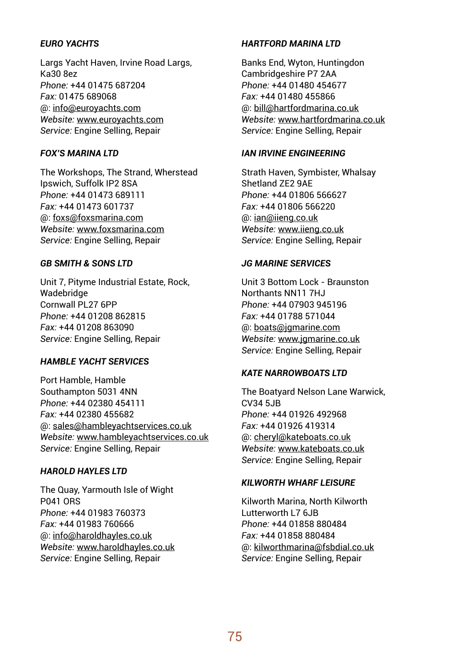## *EURO YACHTS*

Largs Yacht Haven, Irvine Road Largs, Ka30 8ez *Phone:* +44 01475 687204 *Fax:* 01475 689068 @: info@euroyachts.com *Website:* www.euroyachts.com *Service:* Engine Selling, Repair

## *FOX'S MARINA LTD*

The Workshops, The Strand, Wherstead Ipswich, Suffolk IP2 8SA *Phone:* +44 01473 689111 *Fax:* +44 01473 601737 @: foxs@foxsmarina.com *Website:* www.foxsmarina.com *Service:* Engine Selling, Repair

## *GB SMITH & SONS LTD*

Unit 7, Pityme Industrial Estate, Rock, Wadebridge Cornwall PL27 6PP *Phone:* +44 01208 862815 *Fax:* +44 01208 863090 *Service:* Engine Selling, Repair

## *HAMBLE YACHT SERVICES*

Port Hamble, Hamble Southampton 5031 4NN *Phone:* +44 02380 454111 *Fax:* +44 02380 455682 @: sales@hambleyachtservices.co.uk *Website:* www.hambleyachtservices.co.uk *Service:* Engine Selling, Repair

## *HAROLD HAYLES LTD*

The Quay, Yarmouth Isle of Wight P041 ORS *Phone:* +44 01983 760373 *Fax:* +44 01983 760666 @: info@haroldhayles.co.uk *Website:* www.haroldhayles.co.uk *Service:* Engine Selling, Repair

## *HARTFORD MARINA LTD*

Banks End, Wyton, Huntingdon Cambridgeshire P7 2AA *Phone:* +44 01480 454677 *Fax:* +44 01480 455866 @: bill@hartfordmarina.co.uk *Website:* www.hartfordmarina.co.uk *Service:* Engine Selling, Repair

#### *IAN IRVINE ENGINEERING*

Strath Haven, Symbister, Whalsay Shetland ZE2 9AE *Phone:* +44 01806 566627 *Fax:* +44 01806 566220 @: ian@iieng.co.uk *Website:* www.iieng.co.uk *Service:* Engine Selling, Repair

## *JG MARINE SERVICES*

Unit 3 Bottom Lock - Braunston Northants NN11 7HJ *Phone:* +44 07903 945196 *Fax:* +44 01788 571044 @: boats@jgmarine.com *Website:* www.jgmarine.co.uk *Service:* Engine Selling, Repair

## *KATE NARROWBOATS LTD*

The Boatyard Nelson Lane Warwick,  $CVA4$  5.IB *Phone:* +44 01926 492968 *Fax:* +44 01926 419314 @: cheryl@kateboats.co.uk *Website:* www.kateboats.co.uk *Service:* Engine Selling, Repair

## *KILWORTH WHARF LEISURE*

Kilworth Marina, North Kilworth Lutterworth L7 6.IB *Phone:* +44 01858 880484 *Fax:* +44 01858 880484 @: kilworthmarina@fsbdial.co.uk *Service:* Engine Selling, Repair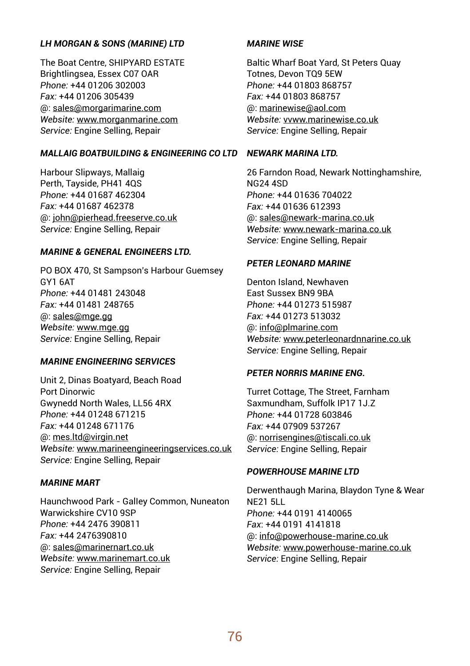#### *LH MORGAN & SONS (MARINE) LTD*

The Boat Centre, SHIPYARD ESTATE Brightlingsea, Essex C07 OAR *Phone:* +44 01206 302003 *Fax:* +44 01206 305439 @: sales@morgarimarine.com *Website:* www.morganmarine.com *Service:* Engine Selling, Repair

#### *MALLAIG BOATBUILDING & ENGINEERING CO LTD NEWARK MARINA LTD.*

Harbour Slipways, Mallaig Perth, Tayside, PH41 4QS *Phone:* +44 01687 462304 *Fax:* +44 01687 462378 @: john@pierhead.freeserve.co.uk *Service:* Engine Selling, Repair

#### *MARINE & GENERAL ENGINEERS LTD.*

PO BOX 470, St Sampson's Harbour Guemsey GY1 6AT *Phone:* +44 01481 243048 *Fax:* +44 01481 248765 @: sales@mge.gg *Website:* www.mge.gg *Service:* Engine Selling, Repair

## *MARINE ENGINEERING SERVICES*

Unit 2, Dinas Boatyard, Beach Road Port Dinorwic Gwynedd North Wales, LL56 4RX *Phone:* +44 01248 671215 *Fax:* +44 01248 671176 @: mes.ltd@virgin.net *Website:* www.marineengineeringservices.co.uk *Service:* Engine Selling, Repair

## *MARINE MART*

Haunchwood Park - GalIey Common, Nuneaton Warwickshire CV10 9SP *Phone:* +44 2476 390811 *Fax:* +44 2476390810 @: saIes@marinernart.co.uk *Website:* www.marinemart.co.uk *Service:* Engine Selling, Repair

## *MARINE WISE*

Baltic Wharf Boat Yard, St Peters Quay Totnes, Devon TQ9 5EW *Phone:* +44 01803 868757 *Fax:* +44 01803 868757 @: marinewise@aol.com *Website:* vvww.marinewise.co.uk *Service:* Engine Selling, Repair

26 Farndon Road, Newark Nottinghamshire, NG24 4SD *Phone:* +44 01636 704022 *Fax:* +44 01636 612393 @: sales@newark-marina.co.uk *Website:* www.newark-marina.co.uk *Service:* Engine Selling, Repair

#### *PETER LEONARD MARINE*

Denton Island, Newhaven East Sussex BN9 9BA *Phone:* +44 01273 515987 *Fax:* +44 01273 513032 @: info@plmarine.com *Website:* www.peterleonardnnarine.co.uk *Service:* Engine Selling, Repair

## *PETER NORRIS MARINE ENG.*

Turret Cottage, The Street, Farnham Saxmundham, Suffolk IP17 1J 7 *Phone:* +44 01728 603846 *Fax:* +44 07909 537267 @: norrisengines@tiscali.co.uk *Service:* Engine Selling, Repair

## *POWERHOUSE MARINE LTD*

Derwenthaugh Marina, Blaydon Tyne & Wear NE21 5LL *Phone:* +44 0191 4140065 *Fax*: +44 0191 4141818 @: info@powerhouse-marine.co.uk *Website:* www.powerhouse-marine.co.uk *Service:* Engine Selling, Repair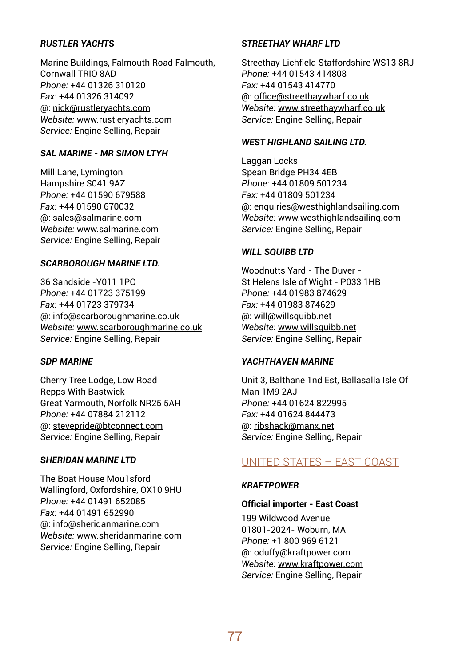## *RUSTLER YACHTS*

Marine Buildings, Falmouth Road Falmouth, Cornwall TRIO 8AD *Phone:* +44 01326 310120 *Fax:* +44 01326 314092 @: nick@rustleryachts.com *Website:* www.rustleryachts.com *Service:* Engine Selling, Repair

## *SAL MARINE - MR SIMON LTYH*

Mill Lane, Lymington Hampshire S041 9AZ *Phone:* +44 01590 679588 *Fax:* +44 01590 670032 @: sales@salmarine.com *Website:* www.salmarine.com *Service:* Engine Selling, Repair

#### *SCARBOROUGH MARINE LTD.*

36 Sandside -Y011 1PQ *Phone:* +44 01723 375199 *Fax:* +44 01723 379734 @: info@scarboroughmarine.co.uk *Website:* www.scarboroughmarine.co.uk *Service:* Engine Selling, Repair

## *SDP MARINE*

Cherry Tree Lodge, Low Road Repps With Bastwick Great Yarmouth, Norfolk NR25 5AH *Phone:* +44 07884 212112 @: stevepride@btconnect.com *Service:* Engine Selling, Repair

## *SHERIDAN MARINE LTD*

The Boat House Mou1sford Wallingford, Oxfordshire, OX10 9HU *Phone:* +44 01491 652085 *Fax:* +44 01491 652990 @: info@sheridanmarine.com *Website:* www.sheridanmarine.com *Service:* Engine Selling, Repair

#### *STREETHAY WHARF LTD*

Streethay Lichfield Staffordshire WS13 8RJ *Phone:* +44 01543 414808 *Fax:* +44 01543 414770 @: office@streethaywharf.co.uk *Website:* www.streethaywharf.co.uk *Service:* Engine Selling, Repair

#### *WEST HIGHLAND SAILING LTD.*

Laggan Locks Spean Bridge PH34 4EB *Phone:* +44 01809 501234 *Fax:* +44 01809 501234 @: enquiries@westhighlandsailing.com *Website:* www.westhighlandsailing.com *Service:* Engine Selling, Repair

## *WILL SQUIBB LTD*

Woodnutts Yard - The Duver - St Helens Isle of Wight - P033 1HB *Phone:* +44 01983 874629 *Fax:* +44 01983 874629 @: will@willsquibb.net *Website:* www.willsquibb.net *Service:* Engine Selling, Repair

## *YACHTHAVEN MARINE*

Unit 3, Balthane 1nd Est, Ballasalla Isle Of Man 1M9 2AJ *Phone:* +44 01624 822995 *Fax:* +44 01624 844473 @: ribshack@manx.net *Service:* Engine Selling, Repair

## UNITED STATES – EAST COAST

## *KRAFTPOWER*

#### **Official importer - East Coast**

199 Wildwood Avenue 01801-2024- Woburn, MA *Phone:* +1 800 969 6121 @: oduffy@kraftpower.com *Website:* www.kraftpower.com *Service:* Engine Selling, Repair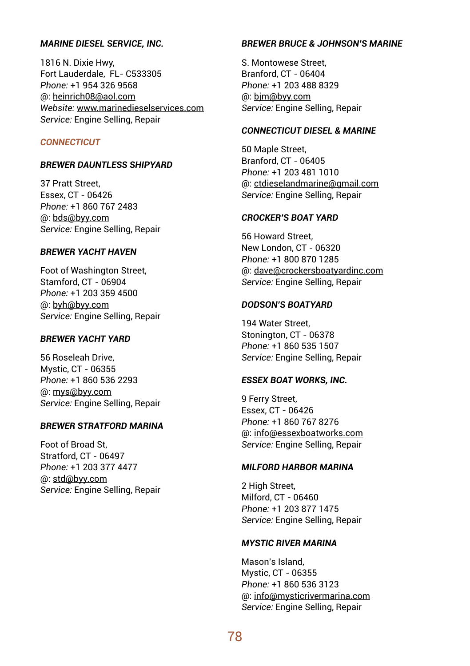#### *MARINE DIESEL SERVICE, INC.*

1816 N. Dixie Hwy, Fort Lauderdale, FL- C533305 *Phone:* +1 954 326 9568 @: heinrich08@aol.com *Website:* www.marinedieselservices.com *Service:* Engine Selling, Repair

#### *CONNECTICUT*

#### *BREWER DAUNTLESS SHIPYARD*

37 Pratt Street, Essex, CT - 06426 *Phone:* +1 860 767 2483 @: bds@byy.com *Service:* Engine Selling, Repair

#### *BREWER YACHT HAVEN*

Foot of Washington Street, Stamford, CT - 06904 *Phone:* +1 203 359 4500 @: byh@byy.com *Service:* Engine Selling, Repair

## *BREWER YACHT YARD*

56 Roseleah Drive, Mystic, CT - 06355 *Phone:* +1 860 536 2293 @: mys@byy.com *Service:* Engine Selling, Repair

#### *BREWER STRATFORD MARINA*

Foot of Broad St, Stratford, CT - 06497 *Phone:* +1 203 377 4477 @: std@byy.com *Service:* Engine Selling, Repair

## *BREWER BRUCE & JOHNSON'S MARINE*

S. Montowese Street, Branford, CT - 06404 *Phone:* +1 203 488 8329 @: bjm@byy.com *Service:* Engine Selling, Repair

## *CONNECTICUT DIESEL & MARINE*

50 Maple Street, Branford, CT - 06405 *Phone:* +1 203 481 1010 @: ctdieselandmarine@gmail.com *Service:* Engine Selling, Repair

#### *CROCKER'S BOAT YARD*

56 Howard Street, New London, CT - 06320 *Phone:* +1 800 870 1285 @: dave@crockersboatyardinc.com *Service:* Engine Selling, Repair

#### *DODSON'S BOATYARD*

194 Water Street, Stonington, CT - 06378 *Phone:* +1 860 535 1507 *Service:* Engine Selling, Repair

#### *ESSEX BOAT WORKS, INC.*

9 Ferry Street, Essex, CT - 06426 *Phone:* +1 860 767 8276 @: info@essexboatworks.com *Service:* Engine Selling, Repair

## *MILFORD HARBOR MARINA*

2 High Street, Milford, CT - 06460 *Phone:* +1 203 877 1475 *Service:* Engine Selling, Repair

## *MYSTIC RIVER MARINA*

Mason's Island, Mystic, CT - 06355 *Phone:* +1 860 536 3123 @: info@mysticrivermarina.com *Service:* Engine Selling, Repair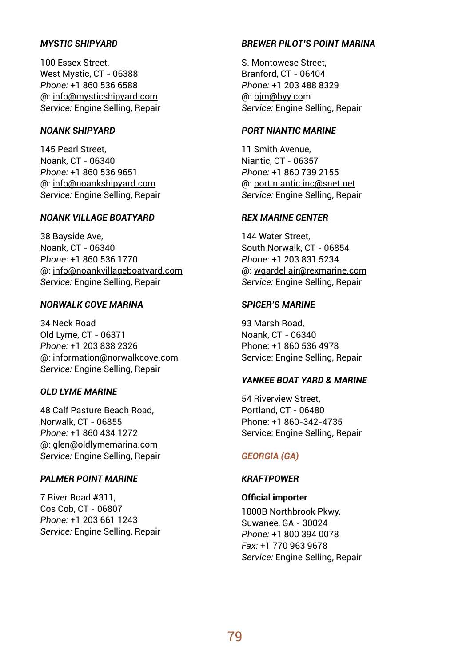## *MYSTIC SHIPYARD*

100 Essex Street, West Mystic, CT - 06388 *Phone:* +1 860 536 6588 @: info@mysticshipyard.com *Service:* Engine Selling, Repair

## *NOANK SHIPYARD*

145 Pearl Street, Noank, CT - 06340 *Phone:* +1 860 536 9651 @: info@noankshipyard.com *Service:* Engine Selling, Repair

#### *NOANK VILLAGE BOATYARD*

38 Bayside Ave, Noank, CT - 06340 *Phone:* +1 860 536 1770 @: info@noankvillageboatyard.com *Service:* Engine Selling, Repair

## *NORWALK COVE MARINA*

34 Neck Road Old Lyme, CT - 06371 *Phone:* +1 203 838 2326 @: information@norwalkcove.com *Service:* Engine Selling, Repair

## *OLD LYME MARINE*

48 Calf Pasture Beach Road, Norwalk, CT - 06855 *Phone:* +1 860 434 1272 @: glen@oldlymemarina.com *Service:* Engine Selling, Repair

## *PALMER POINT MARINE*

7 River Road #311, Cos Cob, CT - 06807 *Phone:* +1 203 661 1243 *Service:* Engine Selling, Repair

### *BREWER PILOT'S POINT MARINA*

S. Montowese Street, Branford, CT - 06404 *Phone:* +1 203 488 8329 @: bjm@byy.com *Service:* Engine Selling, Repair

## *PORT NIANTIC MARINE*

11 Smith Avenue, Niantic, CT - 06357 *Phone:* +1 860 739 2155 @: port.niantic.inc@snet.net *Service:* Engine Selling, Repair

#### *REX MARINE CENTER*

144 Water Street, South Norwalk, CT - 06854 *Phone:* +1 203 831 5234 @: wgardellajr@rexmarine.com *Service:* Engine Selling, Repair

## *SPICER'S MARINE*

93 Marsh Road, Noank, CT - 06340 Phone: +1 860 536 4978 Service: Engine Selling, Repair

#### *YANKEE BOAT YARD & MARINE*

54 Riverview Street, Portland, CT - 06480 Phone: +1 860-342-4735 Service: Engine Selling, Repair

## *GEORGIA (GA)*

## *KRAFTPOWER*

## **Official importer**

1000B Northbrook Pkwy, Suwanee, GA - 30024 *Phone:* +1 800 394 0078 *Fax:* +1 770 963 9678 *Service:* Engine Selling, Repair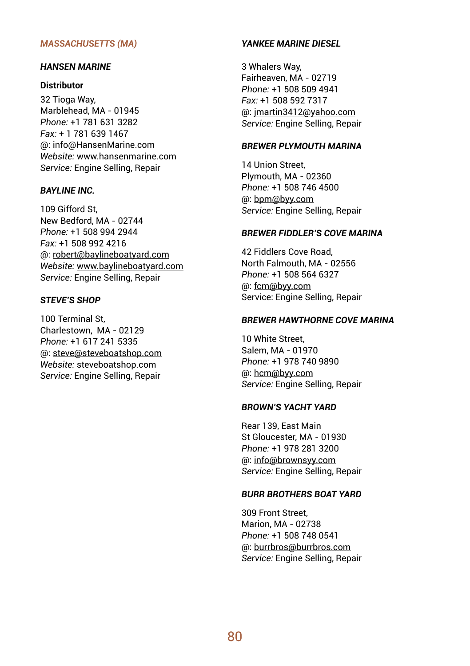#### *MASSACHUSETTS (MA)*

#### *HANSEN MARINE*

#### **Distributor**

32 Tioga Way, Marblehead, MA - 01945 *Phone:* +1 781 631 3282 *Fax:* + 1 781 639 1467 @: info@HansenMarine.com *Website:* www.hansenmarine.com *Service:* Engine Selling, Repair

## *BAYLINE INC.*

109 Gifford St, New Bedford, MA - 02744 *Phone:* +1 508 994 2944 *Fax:* +1 508 992 4216 @: robert@baylineboatyard.com *Website:* www.baylineboatyard.com *Service:* Engine Selling, Repair

#### *STEVE'S SHOP*

100 Terminal St, Charlestown, MA - 02129 *Phone:* +1 617 241 5335 @: steve@steveboatshop.com *Website:* steveboatshop.com *Service:* Engine Selling, Repair

## *YANKEE MARINE DIESEL*

3 Whalers Way, Fairheaven, MA - 02719 *Phone:* +1 508 509 4941 *Fax:* +1 508 592 7317 @: jmartin3412@yahoo.com *Service:* Engine Selling, Repair

## *BREWER PLYMOUTH MARINA*

14 Union Street, Plymouth, MA - 02360 *Phone:* +1 508 746 4500 @: bpm@byy.com *Service:* Engine Selling, Repair

#### *BREWER FIDDLER'S COVE MARINA*

42 Fiddlers Cove Road, North Falmouth, MA - 02556 *Phone:* +1 508 564 6327 @: fcm@byy.com Service: Engine Selling, Repair

#### *BREWER HAWTHORNE COVE MARINA*

10 White Street, Salem, MA - 01970 *Phone:* +1 978 740 9890 @: hcm@byy.com *Service:* Engine Selling, Repair

#### *BROWN'S YACHT YARD*

Rear 139, East Main St Gloucester, MA - 01930 *Phone:* +1 978 281 3200 @: info@brownsyy.com *Service:* Engine Selling, Repair

## *BURR BROTHERS BOAT YARD*

309 Front Street, Marion, MA - 02738 *Phone:* +1 508 748 0541 @: burrbros@burrbros.com *Service:* Engine Selling, Repair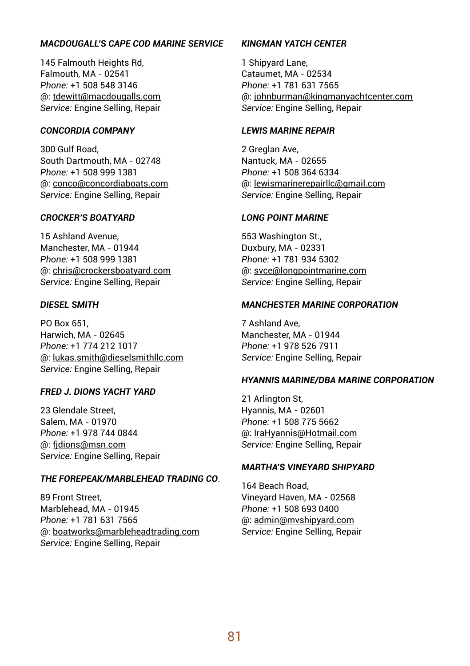## *MACDOUGALL'S CAPE COD MARINE SERVICE*

145 Falmouth Heights Rd, Falmouth, MA - 02541 *Phone:* +1 508 548 3146 @: tdewitt@macdougalls.com *Service:* Engine Selling, Repair

## *CONCORDIA COMPANY*

300 Gulf Road, South Dartmouth, MA - 02748 *Phone:* +1 508 999 1381 @: conco@concordiaboats.com *Service:* Engine Selling, Repair

#### *CROCKER'S BOATYARD*

15 Ashland Avenue, Manchester, MA - 01944 *Phone:* +1 508 999 1381 @: chris@crockersboatyard.com *Service:* Engine Selling, Repair

#### *DIESEL SMITH*

PO Box 651, Harwich, MA - 02645 *Phone:* +1 774 212 1017 @: lukas.smith@dieselsmithllc.com *Service:* Engine Selling, Repair

## *FRED J. DIONS YACHT YARD*

23 Glendale Street, Salem, MA - 01970 *Phone:* +1 978 744 0844 @: fjdions@msn.com *Service:* Engine Selling, Repair

#### *THE FOREPEAK/MARBLEHEAD TRADING CO*.

89 Front Street, Marblehead, MA - 01945 *Phone:* +1 781 631 7565 @: boatworks@marbleheadtrading.com *Service:* Engine Selling, Repair

## *KINGMAN YATCH CENTER*

1 Shipyard Lane, Cataumet, MA - 02534 *Phone:* +1 781 631 7565 @: johnburman@kingmanyachtcenter.com *Service:* Engine Selling, Repair

#### *LEWIS MARINE REPAIR*

2 Greglan Ave, Nantuck, MA - 02655 *Phone:* +1 508 364 6334 @: lewismarinerepairllc@gmail.com *Service:* Engine Selling, Repair

#### *LONG POINT MARINE*

553 Washington St., Duxbury, MA - 02331 *Phone:* +1 781 934 5302 @: svce@longpointmarine.com *Service:* Engine Selling, Repair

## *MANCHESTER MARINE CORPORATION*

7 Ashland Ave, Manchester, MA - 01944 *Phone:* +1 978 526 7911 *Service:* Engine Selling, Repair

#### *HYANNIS MARINE/DBA MARINE CORPORATION*

21 Arlington St, Hyannis, MA - 02601 *Phone:* +1 508 775 5662 @: IraHyannis@Hotmail.com *Service:* Engine Selling, Repair

## *MARTHA'S VINEYARD SHIPYARD*

164 Beach Road, Vineyard Haven, MA - 02568 *Phone:* +1 508 693 0400 @: admin@mvshipyard.com *Service:* Engine Selling, Repair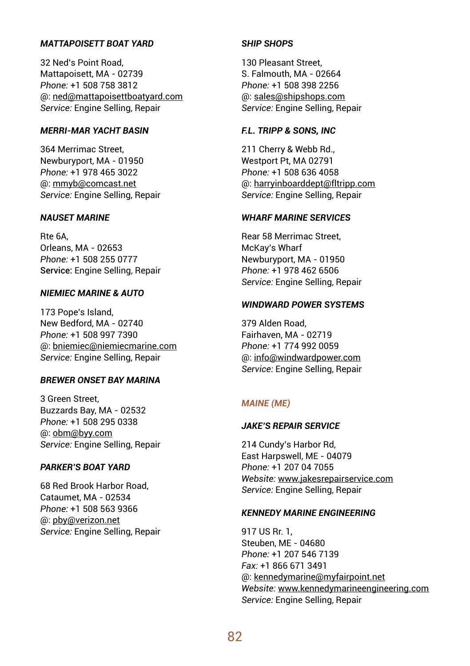## *MATTAPOISETT BOAT YARD*

32 Ned's Point Road, Mattapoisett, MA - 02739 *Phone:* +1 508 758 3812 @: ned@mattapoisettboatyard.com *Service:* Engine Selling, Repair

## *MERRI-MAR YACHT BASIN*

364 Merrimac Street, Newburyport, MA - 01950 *Phone:* +1 978 465 3022 @: mmyb@comcast.net *Service:* Engine Selling, Repair

#### *NAUSET MARINE*

Rte 6A, Orleans, MA - 02653 *Phone:* +1 508 255 0777 Service: Engine Selling, Repair

## *NIEMIEC MARINE & AUTO*

173 Pope's Island, New Bedford, MA - 02740 *Phone:* +1 508 997 7390 @: bniemiec@niemiecmarine.com *Service:* Engine Selling, Repair

## *BREWER ONSET BAY MARINA*

3 Green Street, Buzzards Bay, MA - 02532 *Phone:* +1 508 295 0338 @: obm@byy.com *Service:* Engine Selling, Repair

## *PARKER'S BOAT YARD*

68 Red Brook Harbor Road, Cataumet, MA - 02534 *Phone:* +1 508 563 9366 @: pby@verizon.net *Service:* Engine Selling, Repair

## *SHIP SHOPS*

130 Pleasant Street, S. Falmouth, MA - 02664 *Phone:* +1 508 398 2256 @: sales@shipshops.com *Service:* Engine Selling, Repair

#### *F.L. TRIPP & SONS, INC*

211 Cherry & Webb Rd., Westport Pt, MA 02791 *Phone:* +1 508 636 4058 @: harryinboarddept@fltripp.com *Service:* Engine Selling, Repair

## *WHARF MARINE SERVICES*

Rear 58 Merrimac Street, McKay's Wharf Newburyport, MA - 01950 *Phone:* +1 978 462 6506 *Service:* Engine Selling, Repair

## *WINDWARD POWER SYSTEMS*

379 Alden Road, Fairhaven, MA - 02719 *Phone:* +1 774 992 0059 @: info@windwardpower.com *Service:* Engine Selling, Repair

## *MAINE (ME)*

## *JAKE'S REPAIR SERVICE*

214 Cundy's Harbor Rd, East Harpswell, ME - 04079 *Phone:* +1 207 04 7055 *Website:* www.jakesrepairservice.com *Service:* Engine Selling, Repair

#### *KENNEDY MARINE ENGINEERING*

917 US Rr. 1, Steuben, ME - 04680 *Phone:* +1 207 546 7139 *Fax:* +1 866 671 3491 @: kennedymarine@myfairpoint.net *Website:* www.kennedymarineengineering.com *Service:* Engine Selling, Repair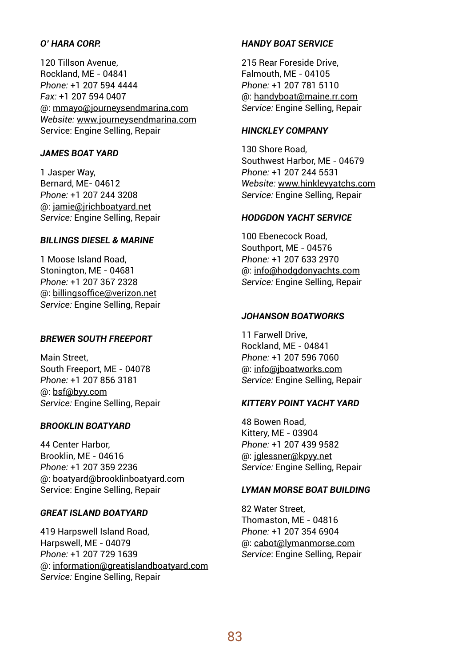## *O' HARA CORP.*

120 Tillson Avenue, Rockland, ME - 04841 *Phone:* +1 207 594 4444 *Fax:* +1 207 594 0407 @: mmayo@journeysendmarina.com *Website:* www.journeysendmarina.com Service: Engine Selling, Repair

#### *JAMES BOAT YARD*

1 Jasper Way, Bernard, ME- 04612 *Phone:* +1 207 244 3208 @: jamie@jrichboatyard.net *Service:* Engine Selling, Repair

## *BILLINGS DIESEL & MARINE*

1 Moose Island Road, Stonington, ME - 04681 *Phone:* +1 207 367 2328 @: billingsoffice@verizon.net *Service:* Engine Selling, Repair

## *BREWER SOUTH FREEPORT*

Main Street, South Freeport, ME - 04078 *Phone:* +1 207 856 3181 @: bsf@byy.com *Service:* Engine Selling, Repair

#### *BROOKLIN BOATYARD*

44 Center Harbor, Brooklin, ME - 04616 *Phone:* +1 207 359 2236 @: boatyard@brooklinboatyard.com Service: Engine Selling, Repair

#### *GREAT ISLAND BOATYARD*

419 Harpswell Island Road, Harpswell, ME - 04079 *Phone:* +1 207 729 1639 @: information@greatislandboatyard.com *Service:* Engine Selling, Repair

## *HANDY BOAT SERVICE*

215 Rear Foreside Drive, Falmouth, ME - 04105 *Phone:* +1 207 781 5110 @: handyboat@maine.rr.com *Service:* Engine Selling, Repair

## *HINCKLEY COMPANY*

130 Shore Road, Southwest Harbor, ME - 04679 *Phone:* +1 207 244 5531 *Website:* www.hinkleyyatchs.com *Service:* Engine Selling, Repair

#### *HODGDON YACHT SERVICE*

100 Ebenecock Road, Southport, ME - 04576 *Phone:* +1 207 633 2970 @: info@hodgdonyachts.com *Service:* Engine Selling, Repair

## *JOHANSON BOATWORKS*

11 Farwell Drive, Rockland, ME - 04841 *Phone:* +1 207 596 7060 @: info@jboatworks.com *Service:* Engine Selling, Repair

#### *KITTERY POINT YACHT YARD*

48 Bowen Road, Kittery, ME - 03904 *Phone:* +1 207 439 9582 @: jglessner@kpyy.net *Service:* Engine Selling, Repair

## *LYMAN MORSE BOAT BUILDING*

82 Water Street, Thomaston, ME - 04816 *Phone:* +1 207 354 6904 @: cabot@lymanmorse.com *Service*: Engine Selling, Repair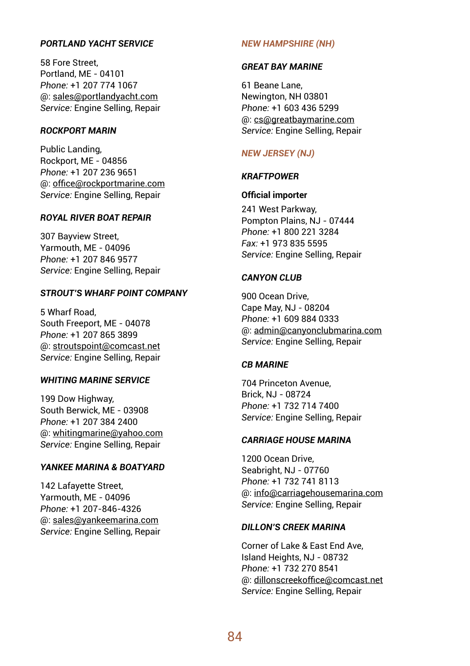## *PORTLAND YACHT SERVICE*

58 Fore Street, Portland, ME - 04101 *Phone:* +1 207 774 1067 @: sales@portlandyacht.com *Service:* Engine Selling, Repair

## *ROCKPORT MARIN*

Public Landing, Rockport, ME - 04856 *Phone:* +1 207 236 9651 @: office@rockportmarine.com *Service:* Engine Selling, Repair

#### *ROYAL RIVER BOAT REPAIR*

307 Bayview Street, Yarmouth, ME - 04096 *Phone:* +1 207 846 9577 *Service:* Engine Selling, Repair

## *STROUT'S WHARF POINT COMPANY*

5 Wharf Road, South Freeport, ME - 04078 *Phone:* +1 207 865 3899 @: stroutspoint@comcast.net *Service:* Engine Selling, Repair

## *WHITING MARINE SERVICE*

199 Dow Highway, South Berwick, ME - 03908 *Phone:* +1 207 384 2400 @: whitingmarine@yahoo.com *Service:* Engine Selling, Repair

## *YANKEE MARINA & BOATYARD*

142 Lafayette Street, Yarmouth, ME - 04096 *Phone:* +1 207-846-4326 @: sales@yankeemarina.com *Service:* Engine Selling, Repair

#### *NEW HAMPSHIRE (NH)*

#### *GREAT BAY MARINE*

61 Beane Lane, Newington, NH 03801 *Phone:* +1 603 436 5299 @: cs@greatbaymarine.com *Service:* Engine Selling, Repair

#### *NEW JERSEY (NJ)*

#### *KRAFTPOWER*

#### **Official importer**

241 West Parkway, Pompton Plains, NJ - 07444 *Phone:* +1 800 221 3284 *Fax:* +1 973 835 5595 *Service:* Engine Selling, Repair

#### *CANYON CLUB*

900 Ocean Drive, Cape May, NJ - 08204 *Phone:* +1 609 884 0333 @: admin@canyonclubmarina.com *Service:* Engine Selling, Repair

#### *CB MARINE*

704 Princeton Avenue, Brick, NJ - 08724 *Phone:* +1 732 714 7400 *Service:* Engine Selling, Repair

#### *CARRIAGE HOUSE MARINA*

1200 Ocean Drive, Seabright, NJ - 07760 *Phone:* +1 732 741 8113 @: info@carriagehousemarina.com *Service:* Engine Selling, Repair

#### *DILLON'S CREEK MARINA*

Corner of Lake & East End Ave, Island Heights, NJ - 08732 *Phone:* +1 732 270 8541 @: dillonscreekoffice@comcast.net *Service:* Engine Selling, Repair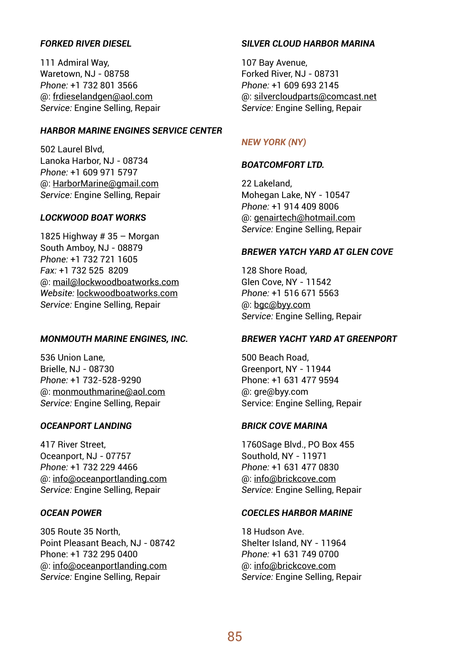## *FORKED RIVER DIESEL*

111 Admiral Way, Waretown, NJ - 08758 *Phone:* +1 732 801 3566 @: frdieselandgen@aol.com *Service:* Engine Selling, Repair

## *HARBOR MARINE ENGINES SERVICE CENTER*

502 Laurel Blvd, Lanoka Harbor, NJ - 08734 *Phone:* +1 609 971 5797 @: HarborMarine@gmail.com *Service:* Engine Selling, Repair

#### *LOCKWOOD BOAT WORKS*

1825 Highway # 35 – Morgan South Amboy, NJ - 08879 *Phone:* +1 732 721 1605 *Fax:* +1 732 525 8209 @: mail@lockwoodboatworks.com *Website:* lockwoodboatworks.com *Service:* Engine Selling, Repair

#### *MONMOUTH MARINE ENGINES, INC.*

536 Union Lane, Brielle, NJ - 08730 *Phone:* +1 732-528-9290 @: monmouthmarine@aol.com *Service:* Engine Selling, Repair

#### *OCEANPORT LANDING*

417 River Street, Oceanport, NJ - 07757 *Phone:* +1 732 229 4466 @: info@oceanportlanding.com *Service:* Engine Selling, Repair

#### *OCEAN POWER*

305 Route 35 North, Point Pleasant Beach, NJ - 08742 Phone: +1 732 295 0400 @: info@oceanportlanding.com *Service:* Engine Selling, Repair

## *SILVER CLOUD HARBOR MARINA*

107 Bay Avenue, Forked River, NJ - 08731 *Phone:* +1 609 693 2145 @: silvercloudparts@comcast.net *Service:* Engine Selling, Repair

## *NEW YORK (NY)*

#### *BOATCOMFORT LTD.*

22 Lakeland, Mohegan Lake, NY - 10547 *Phone:* +1 914 409 8006 @: genairtech@hotmail.com *Service:* Engine Selling, Repair

#### *BREWER YATCH YARD AT GLEN COVE*

128 Shore Road, Glen Cove, NY - 11542 *Phone:* +1 516 671 5563 @: bgc@byy.com *Service:* Engine Selling, Repair

## *BREWER YACHT YARD AT GREENPORT*

500 Beach Road, Greenport, NY - 11944 Phone: +1 631 477 9594 @: gre@byy.com Service: Engine Selling, Repair

#### *BRICK COVE MARINA*

1760Sage Blvd., PO Box 455 Southold, NY - 11971 *Phone:* +1 631 477 0830 @: info@brickcove.com *Service:* Engine Selling, Repair

#### *COECLES HARBOR MARINE*

18 Hudson Ave. Shelter Island, NY - 11964 *Phone:* +1 631 749 0700 @: info@brickcove.com *Service:* Engine Selling, Repair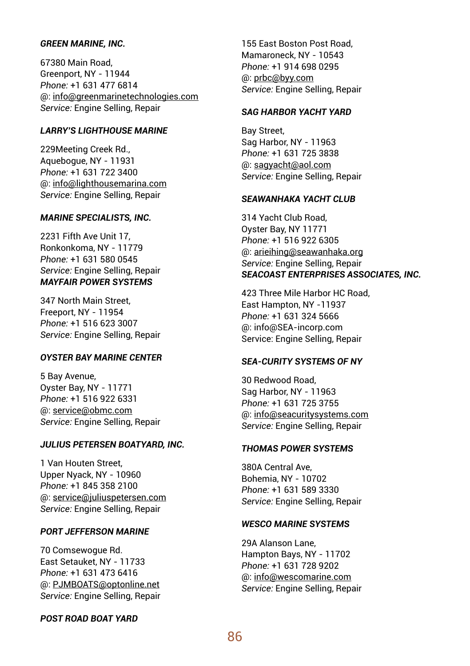#### *GREEN MARINE, INC.*

67380 Main Road, Greenport, NY - 11944 *Phone:* +1 631 477 6814 @: info@greenmarinetechnologies.com *Service:* Engine Selling, Repair

## *LARRY'S LIGHTHOUSE MARINE*

229Meeting Creek Rd., Aquebogue, NY - 11931 *Phone:* +1 631 722 3400 @: info@lighthousemarina.com *Service:* Engine Selling, Repair

#### *MARINE SPECIALISTS, INC.*

2231 Fifth Ave Unit 17, Ronkonkoma, NY - 11779 *Phone:* +1 631 580 0545 *Service:* Engine Selling, Repair *MAYFAIR POWER SYSTEMS*

347 North Main Street, Freeport, NY - 11954 *Phone:* +1 516 623 3007 *Service:* Engine Selling, Repair

## *OYSTER BAY MARINE CENTER*

5 Bay Avenue, Oyster Bay, NY - 11771 *Phone:* +1 516 922 6331 @: service@obmc.com *Service:* Engine Selling, Repair

## *JULIUS PETERSEN BOATYARD, INC.*

1 Van Houten Street, Upper Nyack, NY - 10960 *Phone:* +1 845 358 2100 @: service@juliuspetersen.com *Service:* Engine Selling, Repair

## *PORT JEFFERSON MARINE*

70 Comsewogue Rd. East Setauket, NY - 11733 *Phone:* +1 631 473 6416 @: PJMBOATS@optonline.net *Service:* Engine Selling, Repair

## *POST ROAD BOAT YARD*

155 East Boston Post Road, Mamaroneck, NY - 10543 *Phone:* +1 914 698 0295 @: prbc@byy.com *Service:* Engine Selling, Repair

#### *SAG HARBOR YACHT YARD*

Bay Street, Sag Harbor, NY - 11963 *Phone:* +1 631 725 3838 @: sagyacht@aol.com *Service:* Engine Selling, Repair

#### *SEAWANHAKA YACHT CLUB*

314 Yacht Club Road, Oyster Bay, NY 11771 *Phone:* +1 516 922 6305 @: arieihing@seawanhaka.org *Service:* Engine Selling, Repair *SEACOAST ENTERPRISES ASSOCIATES, INC.*

423 Three Mile Harbor HC Road, East Hampton, NY -11937 *Phone:* +1 631 324 5666 @: info@SEA-incorp.com Service: Engine Selling, Repair

## *SEA-CURITY SYSTEMS OF NY*

30 Redwood Road, Sag Harbor, NY - 11963 *Phone:* +1 631 725 3755 @: info@seacuritysystems.com *Service:* Engine Selling, Repair

#### *THOMAS POWER SYSTEMS*

380A Central Ave, Bohemia, NY - 10702 *Phone:* +1 631 589 3330 *Service:* Engine Selling, Repair

## *WESCO MARINE SYSTEMS*

29A Alanson Lane, Hampton Bays, NY - 11702 *Phone:* +1 631 728 9202 @: info@wescomarine.com *Service:* Engine Selling, Repair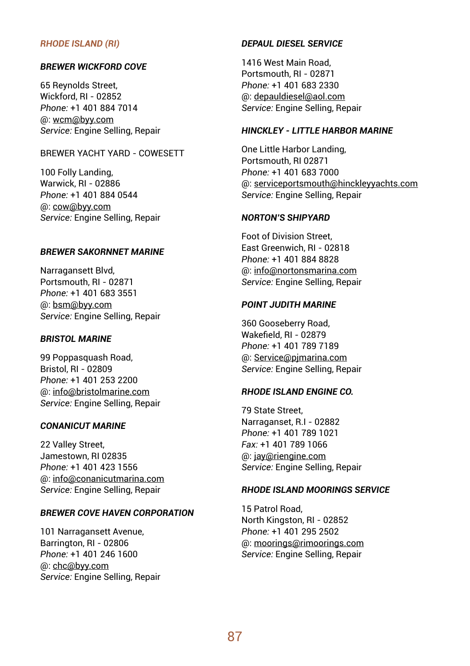#### *RHODE ISLAND (RI)*

#### *BREWER WICKFORD COVE*

65 Reynolds Street, Wickford, RI - 02852 *Phone:* +1 401 884 7014 @: wcm@byy.com *Service:* Engine Selling, Repair

## BREWER YACHT YARD - COWESETT

100 Folly Landing, Warwick, RI - 02886 *Phone:* +1 401 884 0544 @: cow@byy.com *Service:* Engine Selling, Repair

#### *BREWER SAKORNNET MARINE*

Narragansett Blvd, Portsmouth, RI - 02871 *Phone:* +1 401 683 3551 @: bsm@byy.com *Service:* Engine Selling, Repair

## *BRISTOL MARINE*

99 Poppasquash Road, Bristol, RI - 02809 *Phone:* +1 401 253 2200 @: info@bristolmarine.com *Service:* Engine Selling, Repair

#### *CONANICUT MARINE*

22 Valley Street, Jamestown, RI 02835 *Phone:* +1 401 423 1556 @: info@conanicutmarina.com *Service:* Engine Selling, Repair

## *BREWER COVE HAVEN CORPORATION*

101 Narragansett Avenue, Barrington, RI - 02806 *Phone:* +1 401 246 1600 @: chc@byy.com *Service:* Engine Selling, Repair

#### *DEPAUL DIESEL SERVICE*

1416 West Main Road, Portsmouth, RI - 02871 *Phone:* +1 401 683 2330 @: depauldiesel@aol.com *Service:* Engine Selling, Repair

## *HINCKLEY - LITTLE HARBOR MARINE*

One Little Harbor Landing, Portsmouth, RI 02871 *Phone:* +1 401 683 7000 @: serviceportsmouth@hinckleyyachts.com *Service:* Engine Selling, Repair

#### *NORTON'S SHIPYARD*

Foot of Division Street, East Greenwich, RI - 02818 *Phone:* +1 401 884 8828 @: info@nortonsmarina.com *Service:* Engine Selling, Repair

## *POINT JUDITH MARINE*

360 Gooseberry Road, Wakefield, RI - 02879 *Phone:* +1 401 789 7189 @: Service@pjmarina.com *Service:* Engine Selling, Repair

## *RHODE ISLAND ENGINE CO.*

79 State Street, Narraganset, R.I - 02882 *Phone:* +1 401 789 1021 *Fax:* +1 401 789 1066 @: jay@riengine.com *Service:* Engine Selling, Repair

## *RHODE ISLAND MOORINGS SERVICE*

15 Patrol Road, North Kingston, RI - 02852 *Phone:* +1 401 295 2502 @: moorings@rimoorings.com *Service:* Engine Selling, Repair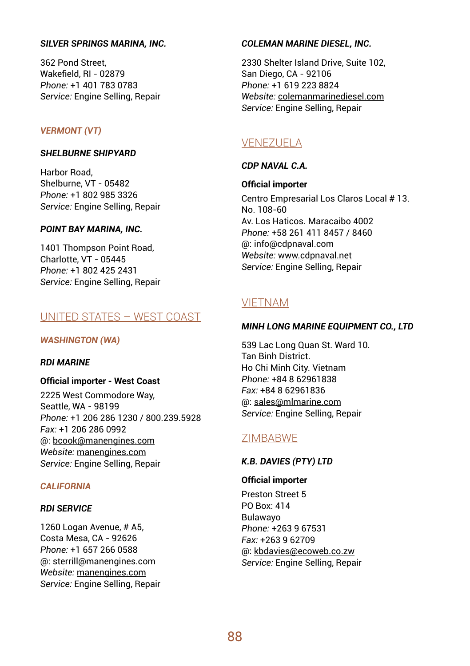#### *SILVER SPRINGS MARINA, INC.*

362 Pond Street, Wakefield, RI - 02879 *Phone:* +1 401 783 0783 *Service:* Engine Selling, Repair

## *VERMONT (VT)*

#### **SHELBURNE SHIPYARD**

Harbor Road, Shelburne, VT - 05482 *Phone:* +1 802 985 3326 *Service:* Engine Selling, Repair

#### *POINT BAY MARINA, INC.*

1401 Thompson Point Road, Charlotte, VT - 05445 *Phone:* +1 802 425 2431 *Service:* Engine Selling, Repair

## UNITED STATES – WEST COAST

#### *WASHINGTON (WA)*

#### *RDI MARINE*

**Official importer - West Coast**

2225 West Commodore Way, Seattle, WA - 98199 *Phone:* +1 206 286 1230 / 800.239.5928 *Fax:* +1 206 286 0992 @: bcook@manengines.com *Website:* manengines.com *Service:* Engine Selling, Repair

## *CALIFORNIA*

#### *RDI SERVICE*

1260 Logan Avenue, # A5, Costa Mesa, CA - 92626 *Phone:* +1 657 266 0588 @: sterrill@manengines.com *Website:* manengines.com *Service:* Engine Selling, Repair

#### *COLEMAN MARINE DIESEL, INC.*

2330 Shelter Island Drive, Suite 102, San Diego, CA - 92106 *Phone:* +1 619 223 8824 *Website:* colemanmarinediesel.com *Service:* Engine Selling, Repair

## VENEZUELA

## *CDP NAVAL C.A.*

**Official importer**

Centro Empresarial Los Claros Local # 13. No. 108-60 Av. Los Haticos. Maracaibo 4002 *Phone:* +58 261 411 8457 / 8460 @: info@cdpnaval.com *Website:* www.cdpnaval.net *Service:* Engine Selling, Repair

## VIETNAM

#### *MINH LONG MARINE EQUIPMENT CO., LTD*

539 Lac Long Quan St. Ward 10. Tan Binh District. Ho Chi Minh City. Vietnam *Phone:* +84 8 62961838 *Fax:* +84 8 62961836 @: sales@mlmarine.com *Service:* Engine Selling, Repair

## ZIMBABWE

## *K.B. DAVIES (PTY) LTD*

#### **Official importer**

Preston Street 5 PO Box: 414 Bulawayo *Phone:* +263 9 67531 *Fax:* +263 9 62709 @: kbdavies@ecoweb.co.zw *Service:* Engine Selling, Repair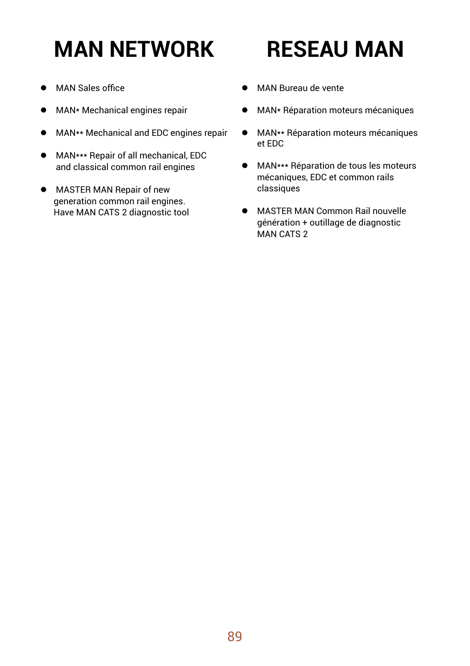# **MAN NETWORK**

## **RESEAU MAN**

- MAN Sales office
- $\bullet$  MAN\* Mechanical engines repair
- MAN\*\* Mechanical and EDC engines repair
- **MAN\*\*\* Repair of all mechanical, EDC** and classical common rail engines
- **•** MASTER MAN Repair of new generation common rail engines. Have MAN CATS 2 diagnostic tool
- $\bullet$  MAN Bureau de vente
- **•** MAN\* Réparation moteurs mécaniques
- **•** MAN\*\* Réparation moteurs mécaniques et EDC
- **•** MAN\*\*\* Réparation de tous les moteurs mécaniques, EDC et common rails classiques
- **MASTER MAN Common Rail nouvelle**  génération + outillage de diagnostic MAN CATS 2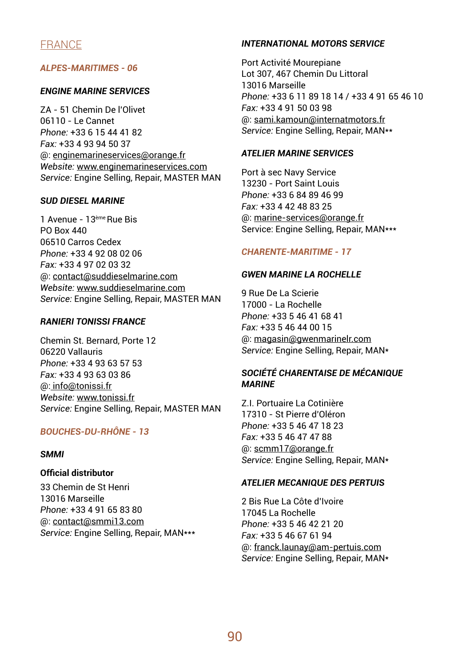## FRANCE

## *ALPES-MARITIMES - 06*

#### *ENGINE MARINE SERVICES*

ZA - 51 Chemin De l'Olivet 06110 - Le Cannet *Phone:* +33 6 15 44 41 82 *Fax:* +33 4 93 94 50 37 @: enginemarineservices@orange.fr *Website:* www.enginemarineservices.com *Service:* Engine Selling, Repair, MASTER MAN

#### *SUD DIESEL MARINE*

1 Avenue - 13ème Rue Bis PO Box 440 06510 Carros Cedex *Phone:* +33 4 92 08 02 06 *Fax:* +33 4 97 02 03 32 @: contact@suddieselmarine.com *Website:* www.suddieselmarine.com *Service:* Engine Selling, Repair, MASTER MAN

## *RANIERI TONISSI FRANCE*

Chemin St. Bernard, Porte 12 06220 Vallauris *Phone:* +33 4 93 63 57 53 *Fax:* +33 4 93 63 03 86 @: info@tonissi.fr *Website:* www.tonissi.fr *Service:* Engine Selling, Repair, MASTER MAN

## *BOUCHES-DU-RHÔNE - 13*

#### *SMMI*

## **Official distributor**

33 Chemin de St Henri 13016 Marseille *Phone:* +33 4 91 65 83 80 @: contact@smmi13.com *Service:* Engine Selling, Repair, MAN\*\*\*

## *INTERNATIONAL MOTORS SERVICE*

Port Activité Mourepiane Lot 307, 467 Chemin Du Littoral 13016 Marseille *Phone:* +33 6 11 89 18 14 / +33 4 91 65 46 10 *Fax:* +33 4 91 50 03 98 @: sami.kamoun@internatmotors.fr *Service:* Engine Selling, Repair, MAN\*\*

## *ATELIER MARINE SERVICES*

Port à sec Navy Service 13230 - Port Saint Louis *Phone:* +33 6 84 89 46 99 *Fax:* +33 4 42 48 83 25 @: marine-services@orange.fr Service: Engine Selling, Repair, MAN\*\*\*

#### *CHARENTE-MARITIME - 17*

#### *GWEN MARINE LA ROCHELLE*

9 Rue De La Scierie 17000 - La Rochelle *Phone:* +33 5 46 41 68 41 *Fax:* +33 5 46 44 00 15 @: magasin@gwenmarinelr.com *Service:* Engine Selling, Repair, MAN\*

## *SOCIÉTÉ CHARENTAISE DE MÉCANIQUE MARINE*

Z.I. Portuaire La Cotinière 17310 - St Pierre d'Oléron *Phone:* +33 5 46 47 18 23 *Fax:* +33 5 46 47 47 88 @: scmm17@orange.fr *Service:* Engine Selling, Repair, MAN\*

#### *ATELIER MECANIQUE DES PERTUIS*

2 Bis Rue La Côte d'Ivoire 17045 La Rochelle *Phone:* +33 5 46 42 21 20 *Fax:* +33 5 46 67 61 94 @: franck.launay@am-pertuis.com *Service:* Engine Selling, Repair, MAN\*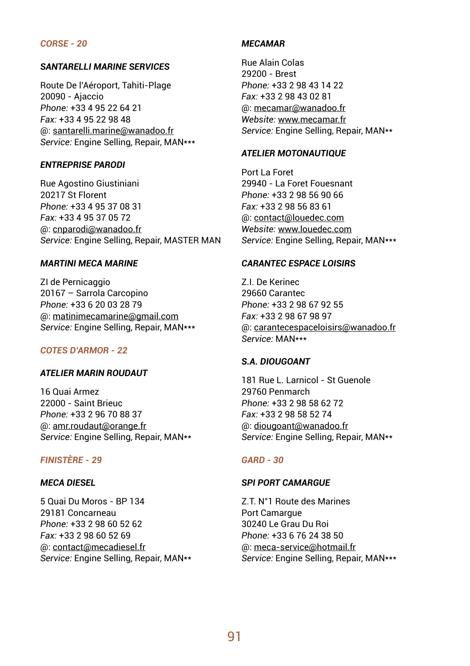#### *CORSE - 20*

#### *SANTARELLI MARINE SERVICES*

Route De l'Aéroport, Tahiti-Plage 20090 - Ajaccio *Phone:* +33 4 95 22 64 21 *Fax:* +33 4 95 22 98 48 @: santarelli.marine@wanadoo.fr *Service:* Engine Selling, Repair, MAN\*\*\*

#### *ENTREPRISE PARODI*

Rue Agostino Giustiniani 20217 St Florent *Phone:* +33 4 95 37 08 31 *Fax:* +33 4 95 37 05 72 @: cnparodi@wanadoo.fr *Service:* Engine Selling, Repair, MASTER MAN

## *MARTINI MECA MARINE*

ZI de Pernicaggio 20167 – Sarrola Carcopino *Phone:* +33 6 20 03 28 79 @: matinimecamarine@gmail.com *Service:* Engine Selling, Repair, MAN\*\*\*

#### *COTES D'ARMOR - 22*

#### *ATELIER MARIN ROUDAUT*

16 Quai Armez 22000 - Saint Brieuc *Phone:* +33 2 96 70 88 37 @: amr.roudaut@orange.fr *Service:* Engine Selling, Repair, MAN\*\*

## *FINISTÈRE - 29*

#### *MECA DIESEL*

5 Quai Du Moros - BP 134 29181 Concarneau *Phone:* +33 2 98 60 52 62 *Fax:* +33 2 98 60 52 69 @: contact@mecadiesel.fr *Service:* Engine Selling, Repair, MAN\*\*

## *MECAMAR*

Rue Alain Colas 29200 - Brest *Phone:* +33 2 98 43 14 22 *Fax:* +33 2 98 43 02 81 @: mecamar@wanadoo.fr *Website:* www.mecamar.fr *Service:* Engine Selling, Repair, MAN\*\*

#### *ATELIER MOTONAUTIQUE*

Port La Foret 29940 - La Foret Fouesnant *Phone:* +33 2 98 56 90 66 *Fax:* +33 2 98 56 83 61 @: contact@louedec.com *Website:* www.louedec.com *Service:* Engine Selling, Repair, MAN\*\*\*

#### *CARANTEC ESPACE LOISIRS*

Z.I. De Kerinec 29660 Carantec *Phone:* +33 2 98 67 92 55 *Fax:* +33 2 98 67 98 97 @: carantecespaceloisirs@wanadoo.fr *Service:* MAN\*\*\*

#### *S.A. DIOUGOANT*

181 Rue L. Larnicol - St Guenole 29760 Penmarch *Phone:* +33 2 98 58 62 72 *Fax:* +33 2 98 58 52 74 @: diougoant@wanadoo.fr *Service:* Engine Selling, Repair, MAN\*\*

#### *GARD - 30*

#### *SPI PORT CAMARGUE*

Z.T. N°1 Route des Marines Port Camargue 30240 Le Grau Du Roi *Phone:* +33 6 76 24 38 50 @: meca-service@hotmail.fr *Service:* Engine Selling, Repair, MAN\*\*\*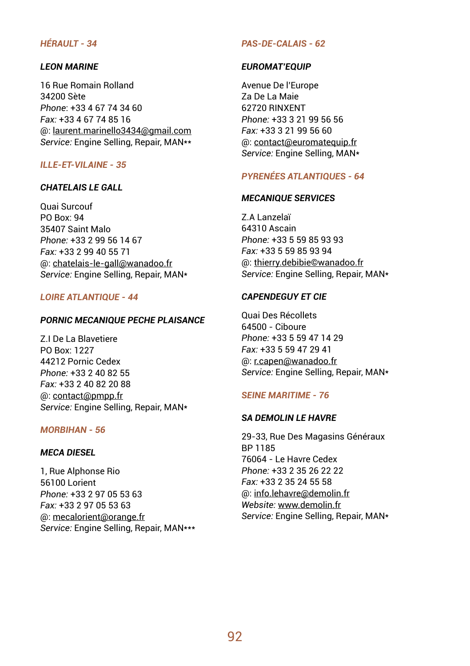## *HÉRAULT - 34*

#### *LEON MARINE*

16 Rue Romain Rolland 34200 Sète *Phone*: +33 4 67 74 34 60 *Fax:* +33 4 67 74 85 16 @: laurent.marinello3434@gmail.com *Service:* Engine Selling, Repair, MAN\*\*

## *ILLE-ET-VILAINE - 35*

## *CHATELAIS LE GALL*

Quai Surcouf PO Box: 94 35407 Saint Malo *Phone:* +33 2 99 56 14 67 *Fax:* +33 2 99 40 55 71 @: chatelais-le-gall@wanadoo.fr *Service:* Engine Selling, Repair, MAN\*

## *LOIRE ATLANTIQUE - 44*

#### *PORNIC MECANIQUE PECHE PLAISANCE*

Z.I De La Blavetiere PO Box: 1227 44212 Pornic Cedex *Phone:* +33 2 40 82 55 *Fax:* +33 2 40 82 20 88 @: contact@pmpp.fr *Service:* Engine Selling, Repair, MAN\*

## *MORBIHAN - 56*

## *MECA DIESEL*

1, Rue Alphonse Rio 56100 Lorient *Phone:* +33 2 97 05 53 63 *Fax:* +33 2 97 05 53 63 @: mecalorient@orange.fr *Service:* Engine Selling, Repair, MAN\*\*\*

#### *PAS-DE-CALAIS - 62*

#### *EUROMAT'EQUIP*

Avenue De l'Europe Za De La Maie 62720 RINXENT *Phone:* +33 3 21 99 56 56 *Fax:* +33 3 21 99 56 60 @: contact@euromatequip.fr *Service:* Engine Selling, MAN\*

## *PYRENÉES ATLANTIQUES - 64*

#### *MECANIQUE SERVICES*

Z.A Lanzelaï 64310 Ascain *Phone:* +33 5 59 85 93 93 *Fax:* +33 5 59 85 93 94 @: thierry.debibie©wanadoo.fr *Service:* Engine Selling, Repair, MAN\*

## *CAPENDEGUY ET CIE*

Quai Des Récollets 64500 - Ciboure *Phone:* +33 5 59 47 14 29 *Fax:* +33 5 59 47 29 41 @: r.capen@wanadoo.fr *Service:* Engine Selling, Repair, MAN\*

## *SEINE MARITIME - 76*

#### *SA DEMOLIN LE HAVRE*

29-33, Rue Des Magasins Généraux BP 1185 76064 - Le Havre Cedex *Phone:* +33 2 35 26 22 22 *Fax:* +33 2 35 24 55 58 @: info.lehavre@demolin.fr *Website:* www.demolin.fr *Service:* Engine Selling, Repair, MAN\*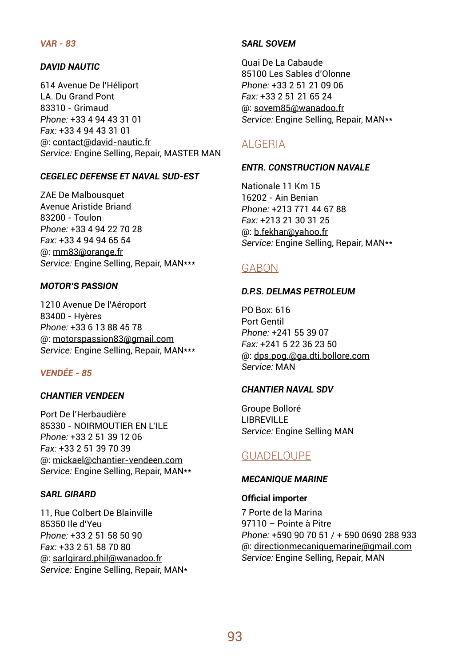## *VAR - 83*

## *DAVID NAUTIC*

614 Avenue De l'Héliport LA. Du Grand Pont 83310 - Grimaud *Phone:* +33 4 94 43 31 01 *Fax:* +33 4 94 43 31 01 @: contact@david-nautic.fr *Service:* Engine Selling, Repair, MASTER MAN

#### *CEGELEC DEFENSE ET NAVAL SUD-EST*

ZAE De Malbousquet Avenue Aristide Briand 83200 - Toulon *Phone:* +33 4 94 22 70 28 *Fax:* +33 4 94 94 65 54 @: mm83@orange.fr *Service:* Engine Selling, Repair, MAN\*\*\*

#### *MOTOR'S PASSION*

1210 Avenue De l'Aéroport 83400 - Hyères *Phone:* +33 6 13 88 45 78 @: motorspassion83@gmail.com *Service:* Engine Selling, Repair, MAN\*\*\*

## *VENDÉE - 85*

## *CHANTIER VENDEEN*

Port De l'Herbaudière 85330 - NOIRMOUTIER EN L'ILE *Phone:* +33 2 51 39 12 06 *Fax:* +33 2 51 39 70 39 @: mickael@chantier-vendeen.com *Service:* Engine Selling, Repair, MAN\*\*

#### *SARL GIRARD*

11, Rue Colbert De Blainville 85350 Ile d'Yeu *Phone:* +33 2 51 58 50 90 *Fax:* +33 2 51 58 70 80 @: sarlgirard.phil@wanadoo.fr *Service:* Engine Selling, Repair, MAN\*

#### *SARL SOVEM*

Quai De La Cabaude 85100 Les Sables d'Olonne *Phone:* +33 2 51 21 09 06 *Fax:* +33 2 51 21 65 24 @: sovem85@wanadoo.fr *Service:* Engine Selling, Repair, MAN\*\*

## ALGERIA

#### *ENTR. CONSTRUCTION NAVALE*

Nationale 11 Km 15 16202 - Ain Benian *Phone:* +213 771 44 67 88 *Fax:* +213 21 30 31 25 @: b.fekhar@yahoo.fr *Service:* Engine Selling, Repair, MAN\*\*

## GABON

#### *D.P.S. DELMAS PETROLEUM*

PO Box: 616 Port Gentil *Phone:* +241 55 39 07 *Fax:* +241 5 22 36 23 50 @: dps.pog.@ga.dti.bollore.com *Service:* MAN

#### *CHANTIER NAVAL SDV*

Groupe Bolloré **LIBREVILLE** *Service:* Engine Selling MAN

## GUADELOUPE

#### *MECANIQUE MARINE*

#### **Official importer**

7 Porte de la Marina 97110 – Pointe à Pitre *Phone:* +590 90 70 51 / + 590 0690 288 933 @: directionmecaniquemarine@gmail.com *Service:* Engine Selling, Repair, MAN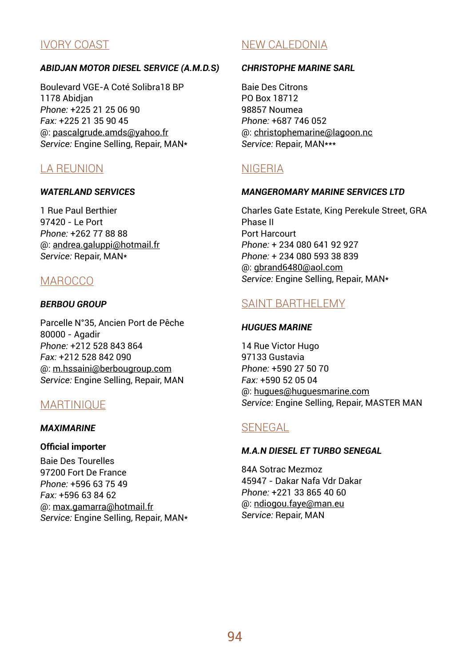## IVORY COAST

## *ABIDJAN MOTOR DIESEL SERVICE (A.M.D.S)*

Boulevard VGE-A Coté Solibra18 BP 1178 Abidjan *Phone:* +225 21 25 06 90 *Fax:* +225 21 35 90 45 @: pascalgrude.amds@yahoo.fr *Service:* Engine Selling, Repair, MAN\*

## LA REUNION

## *WATERLAND SERVICES*

1 Rue Paul Berthier 97420 - Le Port *Phone:* +262 77 88 88 @: andrea.galuppi@hotmail.fr *Service:* Repair, MAN\*

## **MAROCCO**

## *BERBOU GROUP*

Parcelle N°35, Ancien Port de Pêche 80000 - Agadir *Phone:* +212 528 843 864 *Fax:* +212 528 842 090 @: m.hssaini@berbougroup.com *Service:* Engine Selling, Repair, MAN

## **MARTINIOUF**

## *MAXIMARINE*

## **Official importer**

Baie Des Tourelles 97200 Fort De France *Phone:* +596 63 75 49 *Fax:* +596 63 84 62 @: max.gamarra@hotmail.fr *Service:* Engine SeIling, Repair, MAN\*

## NEW CALEDONIA

## *CHRISTOPHE MARINE SARL*

Baie Des Citrons PO Box 18712 98857 Noumea *Phone:* +687 746 052 @: christophemarine@lagoon.nc *Service:* Repair, MAN\*\*\*

## NIGERIA

## *MANGEROMARY MARINE SERVICES LTD*

Charles Gate Estate, King Perekule Street, GRA Phase II Port Harcourt *Phone:* + 234 080 641 92 927 *Phone:* + 234 080 593 38 839 @: gbrand6480@aol.com *Service:* Engine Selling, Repair, MAN\*

## SAINT BARTHELEMY

## *HUGUES MARINE*

14 Rue Victor Hugo 97133 Gustavia *Phone:* +590 27 50 70 *Fax:* +590 52 05 04 @: hugues@huguesmarine.com *Service:* Engine Selling, Repair, MASTER MAN

## SENEGAL

## *M.A.N DIESEL ET TURBO SENEGAL*

84A Sotrac Mezmoz 45947 - Dakar Nafa Vdr Dakar *Phone:* +221 33 865 40 60 @: ndiogou.faye@man.eu *Service:* Repair, MAN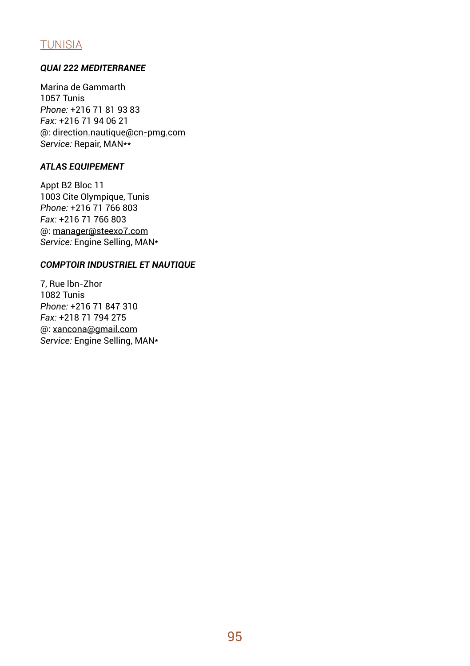## TUNISIA

## *QUAI 222 MEDITERRANEE*

Marina de Gammarth 1057 Tunis *Phone:* +216 71 81 93 83 *Fax:* +216 71 94 06 21 @: direction.nautique@cn-pmg.com *Service:* Repair, MAN\*\*

## *ATLAS EQUIPEMENT*

Appt B2 Bloc 11 1003 Cite Olympique, Tunis *Phone:* +216 71 766 803 *Fax:* +216 71 766 803 @: manager@steexo7.com *Service:* Engine Selling, MAN\*

## *COMPTOIR INDUSTRIEL ET NAUTIQUE*

7, Rue lbn-Zhor 1082 Tunis *Phone:* +216 71 847 310 *Fax:* +218 71 794 275 @: xancona@gmail.com *Service:* Engine Selling, MAN\*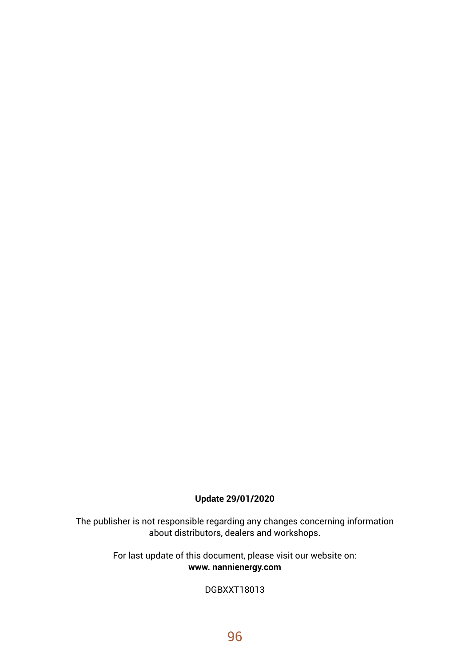## **Update 29/01/2020**

The publisher is not responsible regarding any changes concerning information about distributors, dealers and workshops.

> For last update of this document, please visit our website on: **www. nannienergy.com**

> > DGBXXT18013